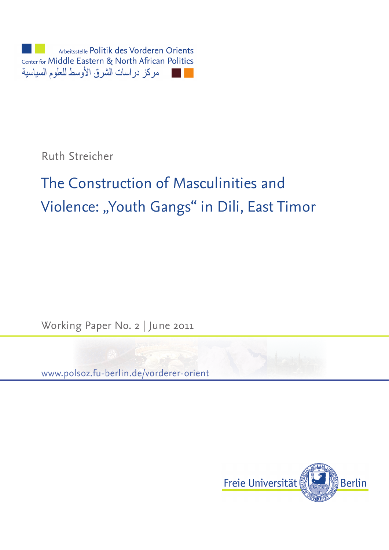

Ruth Streicher

# The Construction of Masculinities and Violence: "Youth Gangs" in Dili, East Timor

Working Paper No. 2 | June 2011



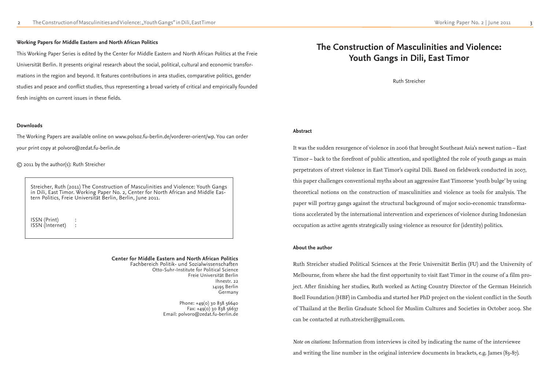# **The Construction of Masculinities and Violence: Youth Gangs in Dili, East Timor**

#### **Center for Middle Eastern and North African Politics**

Phone: +49(0) 30 838 56640 Fax:  $+49(0)$  30 838 56637 Email: polvoro@zedat.fu-berlin.de

Fachbereich Politik- und Sozialwissenschaften Otto-Suhr-Institute for Political Science Freie Universität Berlin Ihnestr. 22 14195 Berlin Germany

#### **Working Papers for Middle Eastern and North African Politics**

This Working Paper Series is edited by the Center for Middle Eastern and North African Politics at the Freie Universität Berlin. It presents original research about the social, political, cultural and economic transformations in the region and beyond. It features contributions in area studies, comparative politics, gender studies and peace and conflict studies, thus representing a broad variety of critical and empirically founded fresh insights on current issues in these fields.

#### **Downloads**

The Working Papers are available online on www.polsoz.fu-berlin.de/vorderer-orient/wp. You can order your print copy at polvoro@zedat.fu-berlin.de

© 2011 by the author(s): Ruth Streicher

Streicher, Ruth (2011) The Construction of Masculinities and Violence: Youth Gangs in Dili, East Timor. Working Paper No. 2, Center for North African and Middle Eastern Politics, Freie Universität Berlin, Berlin, June 2011.

ISSN (Print) : ISSN (Internet) :

Ruth Streicher

It was the sudden resurgence of violence in 2006 that brought Southeast Asia's newest nation – East Timor – back to the forefront of public attention, and spotlighted the role of youth gangs as main perpetrators of street violence in East Timor's capital Dili. Based on fieldwork conducted in 2007, this paper challenges conventional myths about an aggressive East Timorese 'youth bulge' by using theoretical notions on the construction of masculinities and violence as tools for analysis. The paper will portray gangs against the structural background of major socio-economic transformations accelerated by the international intervention and experiences of violence during Indonesian occupation as active agents strategically using violence as resource for (identity) politics.

Ruth Streicher studied Political Sciences at the Freie Universität Berlin (FU) and the University of Melbourne, from where she had the first opportunity to visit East Timor in the course of a film project. After finishing her studies, Ruth worked as Acting Country Director of the German Heinrich Boell Foundation (HBF) in Cambodia and started her PhD project on the violent conflict in the South of Thailand at the Berlin Graduate School for Muslim Cultures and Societies in October 2009. She can be contacted at ruth.streicher@gmail.com.

*Note on citations*: Information from interviews is cited by indicating the name of the interviewee and writing the line number in the original interview documents in brackets, e.g. James (83-87).

#### **Abstract**

#### **About the author**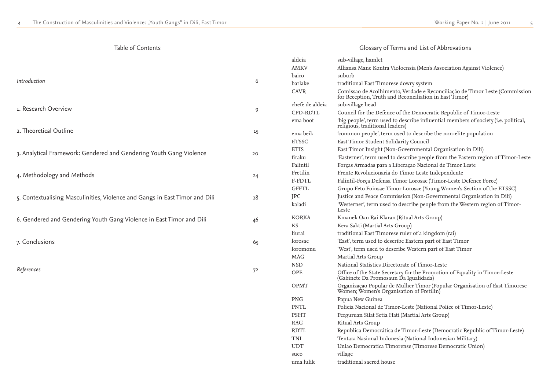### Table of Contents

| Introduction                                                                | 6  |
|-----------------------------------------------------------------------------|----|
| 1. Research Overview                                                        | 9  |
| 2. Theoretical Outline                                                      | 15 |
| 3. Analytical Framework: Gendered and Gendering Youth Gang Violence         | 20 |
| 4. Methodology and Methods                                                  | 24 |
| 5. Contextualising Masculinities, Violence and Gangs in East Timor and Dili | 28 |
| 6. Gendered and Gendering Youth Gang Violence in East Timor and Dili        | 46 |
| 7. Conclusions                                                              | 65 |
| References                                                                  | 72 |
|                                                                             |    |

| aldeia          | sub-village, hamlet                                                                                                                   |
|-----------------|---------------------------------------------------------------------------------------------------------------------------------------|
| <b>AMKV</b>     | Alliansa Mane Kontra Violoensia (Men's Association Against Violence)                                                                  |
| bairo           | suburb                                                                                                                                |
| barlake         | traditional East Timorese dowry system                                                                                                |
| <b>CAVR</b>     | Comissao de Acolhimento, Verdade e Reconciliação de Timor Leste (Commission<br>for Reception, Truth and Reconciliation in East Timor) |
| chefe de aldeia | sub-village head                                                                                                                      |
| CPD-RDTL        | Council for the Defence of the Democratic Republic of Timor-Leste                                                                     |
| ema boot        | 'big people', term used to describe influential members of society (i.e. political,<br>religious, traditional leaders)                |
| ema beik        | 'common people', term used to describe the non-elite population                                                                       |
| <b>ETSSC</b>    | East Timor Student Solidarity Council                                                                                                 |
| <b>ETIS</b>     | East Timor Insight (Non-Governmental Organisation in Dili)                                                                            |
| firaku          | 'Easterner', term used to describe people from the Eastern region of Timor-Leste                                                      |
| Falintil        | Forças Armadas para a Liberaçao Nacional de Timor Leste                                                                               |
| Fretilin        | Frente Revolucionaria do Timor Leste Independente                                                                                     |
| F-FDTL          | Falintil-Força Defensa Timor Lorosae (Timor-Leste Defence Force)                                                                      |
| <b>GFFTL</b>    | Grupo Feto Foinsae Timor Lorosae (Young Women's Section of the ETSSC)                                                                 |
| JPC             | Justice and Peace Commission (Non-Governmental Organisation in Dili)                                                                  |
| kaladi          | 'Westerner', term used to describe people from the Western region of Timor-<br>Leste                                                  |
| <b>KORKA</b>    | Kmanek Oan Rai Klaran (Ritual Arts Group)                                                                                             |
| <b>KS</b>       | Kera Sakti (Martial Arts Group)                                                                                                       |
| liurai          | traditional East Timorese ruler of a kingdom (rai)                                                                                    |
| lorosae         | 'East', term used to describe Eastern part of East Timor                                                                              |
| loromonu        | 'West', term used to describe Western part of East Timor                                                                              |
| MAG             | Martial Arts Group                                                                                                                    |
| <b>NSD</b>      | National Statistics Directorate of Timor-Leste                                                                                        |
| <b>OPE</b>      | Office of the State Secretary for the Promotion of Equality in Timor-Leste<br>(Gabinete Da Promosaun Da Igualidada)                   |
| <b>OPMT</b>     | Organizaçao Popular de Mulher Timor (Popular Organisation of East Timorese<br>Women; Women's Organisation of Fretilin)                |
| <b>PNG</b>      | Papua New Guinea                                                                                                                      |
| <b>PNTL</b>     | Policia Nacional de Timor-Leste (National Police of Timor-Leste)                                                                      |
| <b>PSHT</b>     | Perguruan Silat Setia Hati (Martial Arts Group)                                                                                       |
| <b>RAG</b>      | <b>Ritual Arts Group</b>                                                                                                              |
| <b>RDTL</b>     | Republica Democrática de Timor-Leste (Democratic Republic of Timor-Leste)                                                             |
| TNI             | Tentara Nasional Indonesia (National Indonesian Military)                                                                             |
| <b>UDT</b>      | Uniao Democratica Timorense (Timorese Democratic Union)                                                                               |
| suco            | village                                                                                                                               |
| uma lulik       | traditional sacred house                                                                                                              |

# Glossary of Terms and List of Abbrevations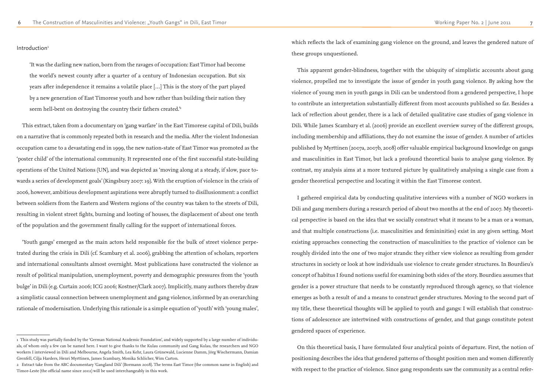Introduction<sup>1</sup>

which reflects the lack of examining gang violence on the ground, and leaves the gendered nature of these groups unquestioned.

This apparent gender-blindness, together with the ubiquity of simplistic accounts about gang violence, propelled me to investigate the issue of gender in youth gang violence. By asking how the violence of young men in youth gangs in Dili can be understood from a gendered perspective, I hope to contribute an interpretation substantially different from most accounts published so far. Besides a lack of reflection about gender, there is a lack of detailed qualitative case studies of gang violence in Dili. While James Scambary et al. (2006) provide an excellent overview survey of the different groups, including membership and affiliations, they do not examine the issue of gender. A number of articles published by Myrttinen (2007a, 2007b, 2008) offer valuable empirical background knowledge on gangs and masculinities in East Timor, but lack a profound theoretical basis to analyse gang violence. By contrast, my analysis aims at a more textured picture by qualitatively analysing a single case from a gender theoretical perspective and locating it within the East Timorese context.

On this theoretical basis, I have formulated four analytical points of departure. First, the notion of positioning describes the idea that gendered patterns of thought position men and women differently with respect to the practice of violence. Since gang respondents saw the community as a central refer-

'It was the darling new nation, born from the ravages of occupation: East Timor had become the world's newest county after a quarter of a century of Indonesian occupation. But six years after independence it remains a volatile place […] This is the story of the part played by a new generation of East Timorese youth and how rather than building their nation they seem hell-bent on destroying the country their fathers created.<sup>2</sup>

> I gathered empirical data by conducting qualitative interviews with a number of NGO workers in Dili and gang members during a research period of about two months at the end of 2007. My theoretical perspective is based on the idea that we socially construct what it means to be a man or a woman, and that multiple constructions (i.e. masculinities and femininities) exist in any given setting. Most existing approaches connecting the construction of masculinities to the practice of violence can be roughly divided into the one of two major strands: they either view violence as resulting from gender structures in society or look at how individuals use violence to create gender structures. In Bourdieu's concept of habitus I found notions useful for examining both sides of the story. Bourdieu assumes that gender is a power structure that needs to be constantly reproduced through agency, so that violence emerges as both a result of and a means to construct gender structures. Moving to the second part of my title, these theoretical thoughts will be applied to youth and gangs: I will establish that constructions of adolescence are intertwined with constructions of gender, and that gangs constitute potent gendered spaces of experience.

This extract, taken from a documentary on 'gang warfare' in the East Timorese capital of Dili, builds on a narrative that is commonly repeated both in research and the media. After the violent Indonesian occupation came to a devastating end in 1999, the new nation-state of East Timor was promoted as the 'poster child' of the international community. It represented one of the first successful state-building operations of the United Nations (UN), and was depicted as 'moving along at a steady, if slow, pace towards a series of development goals' (Kingsbury 2007: 19). With the eruption of violence in the crisis of 2006, however, ambitious development aspirations were abruptly turned to disillusionment: a conflict between soldiers from the Eastern and Western regions of the country was taken to the streets of Dili, resulting in violent street fights, burning and looting of houses, the displacement of about one tenth of the population and the government finally calling for the support of international forces.

'Youth gangs' emerged as the main actors held responsible for the bulk of street violence perpetrated during the crisis in Dili (cf. Scambary et al. 2006), grabbing the attention of scholars, reporters and international consultants almost overnight. Most publications have constructed the violence as result of political manipulation, unemployment, poverty and demographic pressures from the 'youth bulge' in Dili (e.g. Curtain 2006; ICG 2006; Kostner/Clark 2007). Implicitly, many authors thereby draw a simplistic causal connection between unemployment and gang violence, informed by an overarching rationale of modernisation. Underlying this rationale is a simple equation of 'youth' with 'young males',

<sup>1</sup> This study was partially funded by the 'German National Academic Foundation', and widely supported by a large number of individuals, of whom only a few can be named here. I want to give thanks to the Kulau community and Gang Kulau, the researchers and NGO workers I interviewed in Dili and Melbourne, Angela Smith, Lea Kehr, Laura Grünewald, Lucienne Damm, Jörg Wischermann, Damian Grenfell, Cilja Harders, Henri Myrttinen, James Scambary, Monika Schlicher, Wim Carton.

<sup>2</sup> Extract take from the ABC documentary 'Gangland Dili' (Bormann 2008). The terms East Timor (the common name in English) and Timor-Leste (the official name since 2002) will be used interchangeably in this work.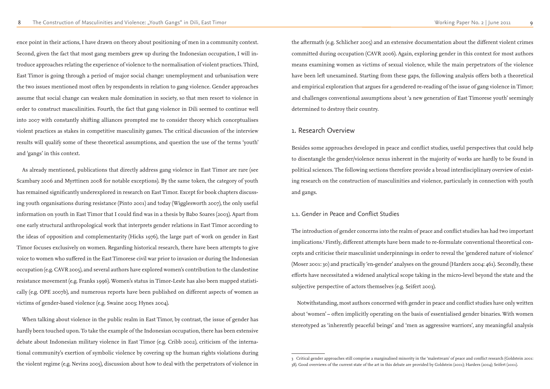ence point in their actions, I have drawn on theory about positioning of men in a community context. Second, given the fact that most gang members grew up during the Indonesian occupation, I will introduce approaches relating the experience of violence to the normalisation of violent practices. Third, East Timor is going through a period of major social change: unemployment and urbanisation were the two issues mentioned most often by respondents in relation to gang violence. Gender approaches assume that social change can weaken male domination in society, so that men resort to violence in order to construct masculinities. Fourth, the fact that gang violence in Dili seemed to continue well into 2007 with constantly shifting alliances prompted me to consider theory which conceptualises violent practices as stakes in competitive masculinity games. The critical discussion of the interview results will qualify some of these theoretical assumptions, and question the use of the terms 'youth' and 'gangs' in this context.

As already mentioned, publications that directly address gang violence in East Timor are rare (see Scambary 2006 and Myrttinen 2008 for notable exceptions). By the same token, the category of youth has remained significantly underexplored in research on East Timor. Except for book chapters discussing youth organisations during resistance (Pinto 2001) and today (Wigglesworth 2007), the only useful information on youth in East Timor that I could find was in a thesis by Babo Soares (2003). Apart from one early structural anthropological work that interprets gender relations in East Timor according to the ideas of opposition and complementarity (Hicks 1976), the large part of work on gender in East Timor focuses exclusively on women. Regarding historical research, there have been attempts to give voice to women who suffered in the East Timorese civil war prior to invasion or during the Indonesian occupation (e.g. CAVR 2005), and several authors have explored women's contribution to the clandestine resistance movement (e.g. Franks 1996). Women's status in Timor-Leste has also been mapped statistically (e.g. OPE 2007b), and numerous reports have been published on different aspects of women as victims of gender-based violence (e.g. Swaine 2003; Hynes 2004).

When talking about violence in the public realm in East Timor, by contrast, the issue of gender has hardly been touched upon. To take the example of the Indonesian occupation, there has been extensive debate about Indonesian military violence in East Timor (e.g. Cribb 2002), criticism of the international community's exertion of symbolic violence by covering up the human rights violations during the violent regime (e.g. Nevins 2005), discussion about how to deal with the perpetrators of violence in the aftermath (e.g. Schlicher 2005) and an extensive documentation about the different violent crimes committed during occupation (CAVR 2006). Again, exploring gender in this context for most authors means examining women as victims of sexual violence, while the main perpetrators of the violence have been left unexamined. Starting from these gaps, the following analysis offers both a theoretical and empirical exploration that argues for a gendered re-reading of the issue of gang violence in Timor; and challenges conventional assumptions about 'a new generation of East Timorese youth' seemingly determined to destroy their country.

# 1. Research Overview

Besides some approaches developed in peace and conflict studies, useful perspectives that could help to disentangle the gender/violence nexus inherent in the majority of works are hardly to be found in political sciences. The following sections therefore provide a broad interdisciplinary overview of existing research on the construction of masculinities and violence, particularly in connection with youth and gangs.

### 1.1. Gender in Peace and Conflict Studies

The introduction of gender concerns into the realm of peace and conflict studies has had two important implications.3 Firstly, different attempts have been made to re-formulate conventional theoretical concepts and criticise their masculinist underpinnings in order to reveal the 'gendered nature of violence' (Moser 2001: 30) and practically 'en-gender' analyses on the ground (Harders 2004: 461). Secondly, these efforts have necessitated a widened analytical scope taking in the micro-level beyond the state and the subjective perspective of actors themselves (e.g. Seifert 2003).

Notwithstanding, most authors concerned with gender in peace and conflict studies have only written about 'women' – often implicitly operating on the basis of essentialised gender binaries. With women stereotyped as 'inherently peaceful beings' and 'men as aggressive warriors', any meaningful analysis

<sup>3</sup> Critical gender approaches still comprise a marginalised minority in the 'malestream' of peace and conflict research (Goldstein 2001: 38). Good overviews of the current state of the art in this debate are provided by Goldstein (2001); Harders (2004); Seifert (2001).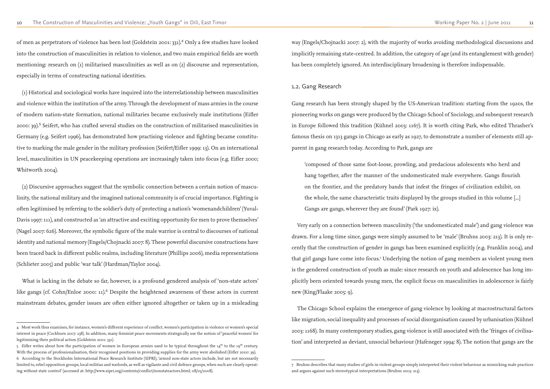of men as perpetrators of violence has been lost (Goldstein 2001: 331).<sup>4</sup> Only a few studies have looked into the construction of masculinities in relation to violence, and two main empirical fields are worth mentioning: research on (1) militarised masculinities as well as on (2) discourse and representation, especially in terms of constructing national identities.

(1) Historical and sociological works have inquired into the interrelationship between masculinities and violence within the institution of the army. Through the development of mass armies in the course of modern nation-state formation, national militaries became exclusively male institutions (Eifler 2000: 39).<sup>5</sup> Seifert, who has crafted several studies on the construction of militarised masculinities in Germany (e.g. Seifert 1996), has demonstrated how practising violence and fighting became constitutive to marking the male gender in the military profession (Seifert/Eifler 1999: 13). On an international level, masculinities in UN peacekeeping operations are increasingly taken into focus (e.g. Eifler 2000; Whitworth 2004).

(2) Discursive approaches suggest that the symbolic connection between a certain notion of masculinity, the national military and the imagined national community is of crucial importance. Fighting is often legitimised by referring to the soldier's duty of protecting a nation's 'womenandchildren' (Yuval-Davis 1997: 111), and constructed as 'an attractive and exciting opportunity for men to prove themselves' (Nagel 2007: 626). Moreover, the symbolic figure of the male warrior is central to discourses of national identity and national memory (Engels/Chojnacki 2007: 8). These powerful discursive constructions have been traced back in different public realms, including literature (Phillips 2006), media representations (Schlieter 2005) and public 'war talk' (Hardman/Taylor 2004).

What is lacking in the debate so far, however, is a profound gendered analysis of 'non-state actors' like gangs (cf. Cohn/Enloe 2000: 11).<sup>6</sup> Despite the heightened awareness of these actors in current mainstream debates, gender issues are often either ignored altogether or taken up in a misleading way (Engels/Chojnacki 2007: 2), with the majority of works avoiding methodological discussions and implicitly remaining state-centred. In addition, the category of age (and its entanglement with gender) has been completely ignored. An interdisciplinary broadening is therefore indispensable.

#### 1.2. Gang Research

Gang research has been strongly shaped by the US-American tradition: starting from the 1920s, the pioneering works on gangs were produced by the Chicago School of Sociology, and subsequent research in Europe followed this tradition (Kühnel 2003: 1167). It is worth citing Park, who edited Thrasher's famous thesis on 1313 gangs in Chicago as early as 1927, to demonstrate a number of elements still apparent in gang research today. According to Park, gangs are

'composed of those same foot-loose, prowling, and predacious adolescents who herd and hang together, after the manner of the undomesticated male everywhere. Gangs flourish on the frontier, and the predatory bands that infest the fringes of civilization exhibit, on the whole, the same characteristic traits displayed by the groups studied in this volume [...] Gangs are gangs, wherever they are found' (Park 1927: ix).

Very early on a connection between masculinity ('the undomesticated male') and gang violence was drawn. For a long time since, gangs were simply assumed to be 'male' (Bruhns 2003: 213). It is only recently that the construction of gender in gangs has been examined explicitly (e.g. Franklin 2004), and that girl gangs have come into focus.<sup>7</sup> Underlying the notion of gang members as violent young men is the gendered construction of youth as male: since research on youth and adolescence has long implicitly been oriented towards young men, the explicit focus on masculinities in adolescence is fairly new (King/Flaake 2005: 9).

The Chicago School explains the emergence of gang violence by looking at macrostructural factors like migration, social inequality and processes of social disorganisation caused by urbanisation (Kühnel 2003: 1168). In many contemporary studies, gang violence is still associated with the 'fringes of civilisation' and interpreted as deviant, unsocial behaviour (Hafeneger 1994: 8). The notion that gangs are the

<sup>5</sup> Eifler writes about how the participation of women in European armies used to be typical throughout the  $14<sup>th</sup>$  to the  $19<sup>th</sup>$  century. With the process of professionalisation, their recognised positions in providing supplies for the army were abolished (Eifler 2000: 39). 6 According to the Stockholm International Peace Research Institute (SIPRI), 'armed non-state actors include, but are not necessarily limited to, rebel opposition groups, local militias and warlords, as well as vigilante and civil defence groups, when such are clearly operating without state control' (accessed at: http://www.sipri.org/contents/conflict/nonstateactors.html; 08/05/2008).

<sup>4</sup> Most work thus examines, for instance, women's different experience of conflict, women's participation in violence or women's special interest in peace (Cockburn 2007: 238). In addition, many feminist peace movements strategically use the notion of 'peaceful women' for legitimising their political action (Goldstein 2001: 331).

<sup>7</sup> Bruhns describes that many studies of girls in violent groups simply interpreted their violent behaviour as mimicking male practices and argues against such stereotypical interpretations (Bruhns 2003: 213).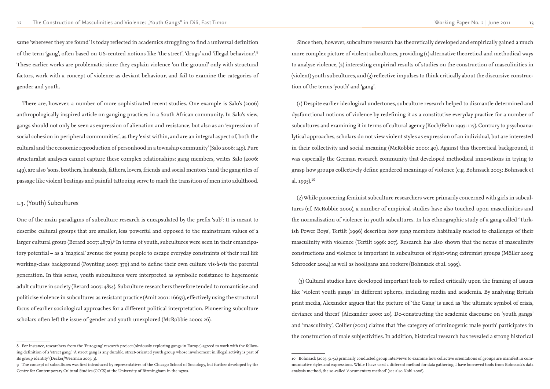same 'wherever they are found' is today reflected in academics struggling to find a universal definition of the term 'gang', often based on US-centred notions like 'the street', 'drugs' and 'illegal behaviour'.<sup>8</sup> These earlier works are problematic since they explain violence 'on the ground' only with structural factors, work with a concept of violence as deviant behaviour, and fail to examine the categories of gender and youth.

There are, however, a number of more sophisticated recent studies. One example is Salo's (2006) anthropologically inspired article on ganging practices in a South African community. In Salo's view, gangs should not only be seen as expression of alienation and resistance, but also as an 'expression of social cohesion in peripheral communities', as they 'exist within, and are an integral aspect of, both the cultural and the economic reproduction of personhood in a township community' (Salo 2006: 149). Pure structuralist analyses cannot capture these complex relationships: gang members, writes Salo (2006: 149), are also 'sons, brothers, husbands, fathers, lovers, friends and social mentors'; and the gang rites of passage like violent beatings and painful tattooing serve to mark the transition of men into adulthood.

# 1.3. (Youth) Subcultures

One of the main paradigms of subculture research is encapsulated by the prefix 'sub': It is meant to describe cultural groups that are smaller, less powerful and opposed to the mainstream values of a larger cultural group (Berard 2007: 4872).<sup>9</sup> In terms of youth, subcultures were seen in their emancipatory potential – as a 'magical' avenue for young people to escape everyday constraints of their real life working-class background (Poynting 2007: 379) and to define their own culture vis-à-vis the parental generation. In this sense, youth subcultures were interpreted as symbolic resistance to hegemonic adult culture in society (Berard 2007: 4874). Subculture researchers therefore tended to romanticise and politicise violence in subcultures as resistant practice (Amit 2001: 16657), effectively using the structural focus of earlier sociological approaches for a different political interpretation. Pioneering subculture scholars often left the issue of gender and youth unexplored (McRobbie 2000: 26).

Since then, however, subculture research has theoretically developed and empirically gained a much more complex picture of violent subcultures, providing (1) alternative theoretical and methodical ways to analyse violence, (2) interesting empirical results of studies on the construction of masculinities in (violent) youth subcultures, and (3) reflective impulses to think critically about the discursive construction of the terms 'youth' and 'gang'.

(1) Despite earlier ideological undertones, subculture research helped to dismantle determined and dysfunctional notions of violence by redefining it as a constitutive everyday practice for a number of subcultures and examining it in terms of cultural agency (Koch/Behn 1997: 117). Contrary to psychoanalytical approaches, scholars do not view violent styles as expression of an individual, but are interested in their collectivity and social meaning (McRobbie 2000: 40). Against this theoretical background, it was especially the German research community that developed methodical innovations in trying to grasp how groups collectively define gendered meanings of violence (e.g. Bohnsack 2003; Bohnsack et al. 1995).<sup>10</sup>

(2) While pioneering feminist subculture researchers were primarily concerned with girls in subcultures (cf. McRobbie 2000), a number of empirical studies have also touched upon masculinities and the normalisation of violence in youth subcultures. In his ethnographic study of a gang called 'Turkish Power Boys', Tertilt (1996) describes how gang members habitually reacted to challenges of their masculinity with violence (Tertilt 1996: 207). Research has also shown that the nexus of masculinity constructions and violence is important in subcultures of right-wing extremist groups (Möller 2003; Schroeder 2004) as well as hooligans and rockers (Bohnsack et al. 1995).

 (3) Cultural studies have developed important tools to reflect critically upon the framing of issues like 'violent youth gangs' in different spheres, including media and academia. By analysing British print media, Alexander argues that the picture of 'the Gang' is used as 'the ultimate symbol of crisis, deviance and threat' (Alexander 2000: 20). De-constructing the academic discourse on 'youth gangs' and 'masculinity', Collier (2001) claims that 'the category of criminogenic male youth' participates in the construction of male subjectivities. In addition, historical research has revealed a strong historical

<sup>8</sup> For instance, researchers from the 'Eurogang' research project (obviously exploring gangs in Europe) agreed to work with the following definition of a 'street gang': 'A street gang is any durable, street-oriented youth group whose involvement in illegal activity is part of its group identity' (Decker/Weerman 2005: 3).

<sup>9</sup> The concept of subcultures was first introduced by representatives of the Chicago School of Sociology, but further developed by the Centre for Contemporary Cultural Studies (CCCS) at the University of Birmingham in the 1970s.

<sup>10</sup> Bohnsack (2003: 51-54) primarily conducted group interviews to examine how collective orientations of groups are manifest in communicative styles and expressions. While I have used a different method for data gathering, I have borrowed tools from Bohnsack's data analysis method, the so-called 'documentary method' (see also Nohl 2006).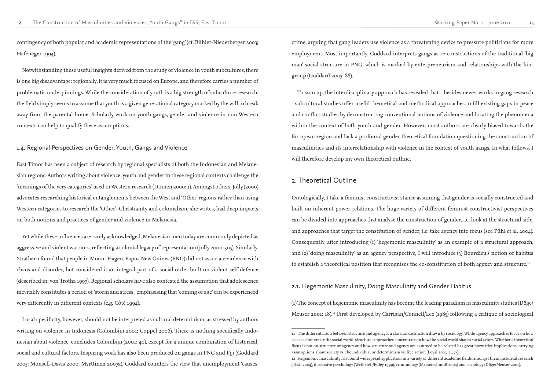contingency of both popular and academic representations of the 'gang' (cf. Bühler-Niederberger 2003; Hafeneger 1994).

Notwithstanding these useful insights derived from the study of violence in youth subcultures, there is one big disadvantage: regionally, it is very much focused on Europe, and therefore carries a number of problematic underpinnings. While the consideration of youth is a big strength of subculture research, the field simply seems to assume that youth is a given generational category marked by the will to break away from the parental home. Scholarly work on youth gangs, gender and violence in non-Western contexts can help to qualify these assumptions.

#### 1.4. Regional Perspectives on Gender, Youth, Gangs and Violence

East Timor has been a subject of research by regional specialists of both the Indonesian and Melanesian regions. Authors writing about violence, youth and gender in these regional contexts challenge the 'meanings of the very categories' used in Western research (Dinnen 2000: 1). Amongst others, Jolly (2000) advocates researching historical entanglements between the West and 'Other' regions rather than using Western categories to research the 'Other'. Christianity and colonialism, she writes, had deep impacts on both notions and practices of gender and violence in Melanesia.

Yet while these influences are rarely acknowledged, Melanesian men today are commonly depicted as aggressive and violent warriors, reflecting a colonial legacy of representation (Jolly 2000: 305). Similarly, Strathern found that people in Mount Hagen, Papua New Guinea (PNG) did not associate violence with chaos and disorder, but considered it an integral part of a social order built on violent self-defence (described in: von Trotha 1997). Regional scholars have also contested the assumption that adolescence inevitably constitutes a period of 'storm and stress', emphasising that 'coming of age' can be experienced very differently in different contexts (e.g. Côté 1994).

Ontologically, I take a feminist constructivist stance assuming that gender is socially constructed and built on inherent power relations. The huge variety of different feminist constructivist perspectives can be divided into approaches that analyse the construction of gender, i.e. look at the structural side, and approaches that target the constitution of gender; i.e. take agency into focus (see Pühl et al. 2004). Consequently, after introducing (1) 'hegemonic masculinity' as an example of a structural approach, and (2) 'doing masculinity' as an agency perspective, I will introduce (3) Bourdieu's notion of habitus to establish a theoretical position that recognises the co-constitution of both agency and structure.<sup>11</sup>

Local specificity, however, should not be interpreted as cultural determinism, as stressed by authors writing on violence in Indonesia (Colombijn 2001; Coppel 2006). There is nothing specifically Indonesian about violence, concludes Colombijn (2001: 40), except for a unique combination of historical, social and cultural factors. Inspiring work has also been produced on gangs in PNG and Fiji (Goddard 2005; Monsell-Davis 2000; Myrttinen 2007a). Goddard counters the view that unemployment 'causes' crime, arguing that gang leaders use violence as a threatening device to pressure politicians for more employment. Most importantly, Goddard interprets gangs as re-constructions of the traditional 'big man' social structure in PNG, which is marked by enterpreneurism and relationships with the kingroup (Goddard 2005: 88).

To sum up, the interdisciplinary approach has revealed that – besides newer works in gang research - subcultural studies offer useful theoretical and methodical approaches to fill existing gaps in peace and conflict studies by deconstructing conventional notions of violence and locating the phenomena within the context of both youth and gender. However, most authors are clearly biased towards the European region and lack a profound gender theoretical foundation questioning the construction of masculinities and its interrelationship with violence in the context of youth gangs. In what follows, I will therefore develop my own theoretical outline.

# 2. Theoretical Outline

2.1. Hegemonic Masculinity, Doing Masculinity and Gender Habitus

(1) The concept of hegemonic masculinity has become the leading paradigm in masculinity studies (Döge/ Meuser 2001: 18).12 First developed by Carrigan/Connell/Lee (1985) following a critique of sociological

<sup>11</sup> The differentiation between structure and agency is a classical distinction drawn by sociology. While agency approaches focus on how social actors create the social world, structural approaches concentrate on how the social world shapes social actors. Whether a theoretical focus is put on structure or agency and how structure and agency are assumed to be related has great normative implications, carrying assumptions about society vs. the individual or determinism vs. free action (Loyal 2003: 51, 71). 12 Hegemonic masculinity has found widespread application in a variety of different academic fields, amongst them historical research (Tosh 2004), discursive psychology (Wetherell/Edley 1999), criminology (Messerschmidt 2004) and sociology (Döge/Meuser 2001).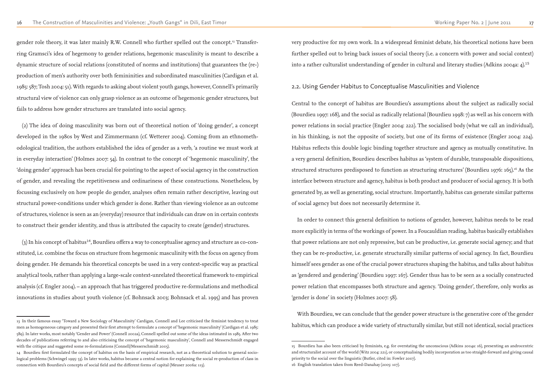gender role theory, it was later mainly R.W. Connell who further spelled out the concept.<sup>13</sup> Transferring Gramsci's idea of hegemony to gender relations, hegemonic masculinity is meant to describe a dynamic structure of social relations (constituted of norms and institutions) that guarantees the (re-) production of men's authority over both femininities and subordinated masculinities (Cardigan et al. 1985: 587; Tosh 2004: 51). With regards to asking about violent youth gangs, however, Connell's primarily structural view of violence can only grasp violence as an outcome of hegemonic gender structures, but fails to address how gender structures are translated into social agency.

 $(3)$  In his concept of habitus<sup>14</sup>, Bourdieu offers a way to conceptualise agency and structure as co-constituted, i.e. combine the focus on structure from hegemonic masculinity with the focus on agency from doing gender. He demands his theoretical concepts be used in a very context-specific way as practical analytical tools, rather than applying a large-scale context-unrelated theoretical framework to empirical analysis (cf. Engler 2004). – an approach that has triggered productive re-formulations and methodical innovations in studies about youth violence (cf. Bohnsack 2003; Bohnsack et al. 1995) and has proven

(2) The idea of doing masculinity was born out of theoretical notion of 'doing gender', a concept developed in the 1980s by West and Zimmermann (cf. Wetterer 2004). Coming from an ethnomethodological tradition, the authors established the idea of gender as a verb, 'a routine we must work at in everyday interaction' (Holmes 2007: 54). In contrast to the concept of 'hegemonic masculinity', the 'doing gender' approach has been crucial for pointing to the aspect of social agency in the construction of gender, and revealing the repetitiveness and ordinariness of these constructions. Nonetheless, by focussing exclusively on how people do gender, analyses often remain rather descriptive, leaving out structural power-conditions under which gender is done. Rather than viewing violence as an outcome of structures, violence is seen as an (everyday) resource that individuals can draw on in certain contexts to construct their gender identity, and thus is attributed the capacity to create (gender) structures.

very productive for my own work. In a widespread feminist debate, his theoretical notions have been further spelled out to bring back issues of social theory (i.e. a concern with power and social context) into a rather culturalist understanding of gender in cultural and literary studies (Adkins 2004a: 4).<sup>15</sup>

### 2.2. Using Gender Habitus to Conceptualise Masculinities and Violence

Central to the concept of habitus are Bourdieu's assumptions about the subject as radically social (Bourdieu 1997: 168), and the social as radically relational (Bourdieu 1998: 7) as well as his concern with power relations in social practice (Engler 2004: 222). The socialised body (what we call an individual), in his thinking, is not the opposite of society, but one of its forms of existence (Engler 2004: 224). Habitus reflects this double logic binding together structure and agency as mutually constitutive. In a very general definition, Bourdieu describes habitus as 'system of durable, transposable dispositions, structured structures predisposed to function as structuring structures' (Bourdieu 1976: 165).<sup>16</sup> As the interface between structure and agency, habitus is both product and producer of social agency. It is both generated by, as well as generating, social structure. Importantly, habitus can generate similar patterns of social agency but does not necessarily determine it.

In order to connect this general definition to notions of gender, however, habitus needs to be read more explicitly in terms of the workings of power. In a Foucauldian reading, habitus basically establishes that power relations are not only repressive, but can be productive, i.e. generate social agency; and that they can be re-productive, i.e. generate structurally similar patterns of social agency. In fact, Bourdieu himself sees gender as one of the crucial power structures shaping the habitus, and talks about habitus as 'gendered and gendering' (Bourdieu 1997: 167). Gender thus has to be seen as a socially constructed power relation that encompasses both structure and agency. 'Doing gender', therefore, only works as 'gender is done' in society (Holmes 2007: 58).

With Bourdieu, we can conclude that the gender power structure is the generative core of the gender habitus, which can produce a wide variety of structurally similar, but still not identical, social practices

<sup>13</sup> In their famous essay 'Toward a New Sociology of Masculinity' Cardigan, Connell and Lee criticised the feminist tendency to treat men as homogeneous category and presented their first attempt to formulate a concept of 'hegemonic masculinity' (Cardigan et al. 1985: 589). In later works, most notably 'Gender and Power' (Connell 2002a), Connell spelled out some of the ideas intimated in 1985. After two decades of publications referring to and also criticising the concept of 'hegemonic masculinity', Connell and Messerschmidt engaged with the critique and suggested some re-formulations (Connell/Messerschmidt 2005).

<sup>14</sup> Bourdieu first formulated the concept of habitus on the basis of empirical research, not as a theoretical solution to general sociological problems (Schwingel 1995: 53). In later works, habitus became a central notion for explaining the social re-production of class in connection with Bourdieu's concepts of social field and the different forms of capital (Meuser 2006a: 113).

<sup>15</sup> Bourdieu has also been criticised by feminists, e.g. for overstating the unconscious (Adkins 2004a: 16), presenting an androcentric and structuralist account of the world (Witz 2004: 221), or conceptualising bodily incorporation as too straight-forward and giving causal priority to the social over the linguistic (Butler, cited in: Fowler 2007). 16 English translation taken from Reed-Danahay (2005: 107).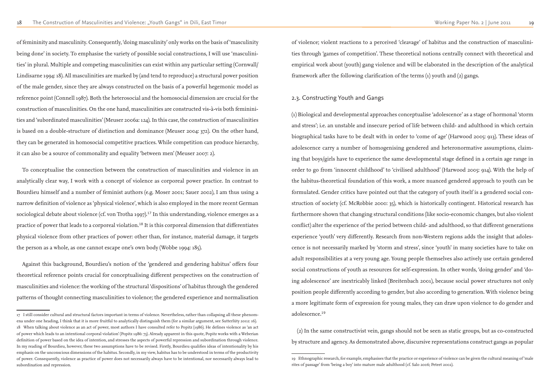of femininity and masculinity. Consequently, 'doing masculinity' only works on the basis of 'masculinity being done' in society. To emphasise the variety of possible social constructions, I will use 'masculinities' in plural. Multiple and competing masculinities can exist within any particular setting (Cornwall/ Lindisarne 1994: 18). All masculinities are marked by (and tend to reproduce) a structural power position of the male gender, since they are always constructed on the basis of a powerful hegemonic model as reference point (Connell 1987). Both the heterosocial and the homosocial dimension are crucial for the construction of masculinities. On the one hand, masculinities are constructed vis-à-vis both femininities and 'subordinated masculinities' (Meuser 2006a: 124). In this case, the construction of masculinities is based on a double-structure of distinction and dominance (Meuser 2004: 372). On the other hand, they can be generated in homosocial competitive practices. While competition can produce hierarchy, it can also be a source of commonality and equality 'between men' (Meuser 2007: 2).

To conceptualise the connection between the construction of masculinities and violence in an analytically clear way, I work with a concept of violence as corporeal power practice. In contrast to Bourdieu himself and a number of feminist authors (e.g. Moser 2001; Sauer 2002), I am thus using a narrow definition of violence as 'physical violence', which is also employed in the more recent German sociological debate about violence (cf. von Trotha 1997).<sup>17</sup> In this understanding, violence emerges as a practice of power that leads to a corporeal violation.<sup>18</sup> It is this corporeal dimension that differentiates physical violence from other practices of power: other than, for instance, material damage, it targets the person as a whole, as one cannot escape one's own body (Wobbe 1994: 185).

Against this background, Bourdieu's notion of the 'gendered and gendering habitus' offers four theoretical reference points crucial for conceptualising different perspectives on the construction of masculinities and violence: the working of the structural 'dispositions' of habitus through the gendered patterns of thought connecting masculinities to violence; the gendered experience and normalisation

of violence; violent reactions to a perceived 'cleavage' of habitus and the construction of masculinities through 'games of competition'. These theoretical notions centrally connect with theoretical and empirical work about (youth) gang violence and will be elaborated in the description of the analytical framework after the following clarification of the terms (1) youth and (2) gangs.

#### 2.3. Constructing Youth and Gangs

(1) Biological and developmental approaches conceptualise 'adolescence' as a stage of hormonal 'storm and stress'; i.e. an unstable and insecure period of life between child- and adulthood in which certain biographical tasks have to be dealt with in order to 'come of age' (Harwood 2005: 913). These ideas of adolescence carry a number of homogenising gendered and heteronormative assumptions, claiming that boys/girls have to experience the same developmental stage defined in a certain age range in order to go from 'innocent childhood' to 'civilised adulthood' (Harwood 2005: 914). With the help of the habitus-theoretical foundation of this work, a more nuanced gendered approach to youth can be formulated. Gender critics have pointed out that the category of youth itself is a gendered social construction of society (cf. McRobbie 2000: 35), which is historically contingent. Historical research has furthermore shown that changing structural conditions (like socio-economic changes, but also violent conflict) alter the experience of the period between child- and adulthood, so that different generations experience 'youth' very differently. Research from non-Western regions adds the insight that adolescence is not necessarily marked by 'storm and stress', since 'youth' in many societies have to take on adult responsibilities at a very young age. Young people themselves also actively use certain gendered social constructions of youth as resources for self-expression. In other words, 'doing gender' and 'doing adolescence' are inextricably linked (Breitenbach 2001), because social power structures not only position people differently according to gender, but also according to generation. With violence being a more legitimate form of expression for young males, they can draw upon violence to do gender and adolescence.<sup>19</sup>

(2) In the same constructivist vein, gangs should not be seen as static groups, but as co-constructed by structure and agency. As demonstrated above, discursive representations construct gangs as popular

<sup>17</sup> I still consider cultural and structural factors important in terms of violence. Nevertheless, rather than collapsing all these phenomena under one heading, I think that it is more fruitful to analytically distinguish them (for a similar argument, see Sutterlüty 2002: 16). 18 When talking about violence as an act of power, most authors I have consulted refer to Popitz (1986). He defines violence as 'an act of power which leads to an intentional corporal violation' (Popitz 1986: 73). Already apparent in this quote, Popitz works with a Weberian definition of power based on the idea of intention, and stresses the aspects of powerful repression and subordination through violence. In my reading of Bourdieu, however, these two assumptions have to be revised. Firstly, Bourdieu qualifies ideas of intentionality by his emphasis on the unconscious dimensions of the habitus. Secondly, in my view, habitus has to be understood in terms of the productivity of power. Consequently, violence as practice of power does not necessarily always have to be intentional, nor necessarily always lead to subordination and repression.

<sup>19</sup> Ethnographic research, for example, emphasises that the practice or experience of violence can be given the cultural meaning of 'male rites of passage' from 'being a boy' into mature male adulthood (cf. Salo 2006; Peteet 2002).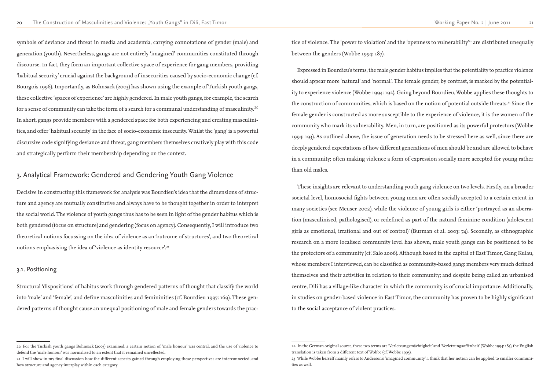Decisive in constructing this framework for analysis was Bourdieu's idea that the dimensions of structure and agency are mutually constitutive and always have to be thought together in order to interpret the social world. The violence of youth gangs thus has to be seen in light of the gender habitus which is both gendered (focus on structure) and gendering (focus on agency). Consequently, I will introduce two theoretical notions focussing on the idea of violence as an 'outcome of structures', and two theoretical notions emphasising the idea of 'violence as identity resource'.<sup>21</sup>

symbols of deviance and threat in media and academia, carrying connotations of gender (male) and generation (youth). Nevertheless, gangs are not entirely 'imagined' communities constituted through discourse. In fact, they form an important collective space of experience for gang members, providing 'habitual security' crucial against the background of insecurities caused by socio-economic change (cf. Bourgois 1996). Importantly, as Bohnsack (2003) has shown using the example of Turkish youth gangs, these collective 'spaces of experience' are highly gendered. In male youth gangs, for example, the search for a sense of community can take the form of a search for a communal understanding of masculinity.<sup>20</sup> In short, gangs provide members with a gendered space for both experiencing and creating masculinities, and offer 'habitual security' in the face of socio-economic insecurity. Whilst the 'gang' is a powerful discursive code signifying deviance and threat, gang members themselves creatively play with this code and strategically perform their membership depending on the context.

# 3. Analytical Framework: Gendered and Gendering Youth Gang Violence

tice of violence. The 'power to violation' and the 'openness to vulnerability'<sup>22</sup> are distributed unequally between the genders (Wobbe 1994: 187).

#### 3.1. Positioning

Structural 'dispositions' of habitus work through gendered patterns of thought that classify the world into 'male' and 'female', and define masculinities and femininities (cf. Bourdieu 1997: 169). These gendered patterns of thought cause an unequal positioning of male and female genders towards the prac-

Expressed in Bourdieu's terms, the male gender habitus implies that the potentiality to practice violence should appear more 'natural' and 'normal'. The female gender, by contrast, is marked by the potentiality to experience violence (Wobbe 1994: 192). Going beyond Bourdieu, Wobbe applies these thoughts to the construction of communities, which is based on the notion of potential outside threats.<sup>23</sup> Since the female gender is constructed as more susceptible to the experience of violence, it is the women of the community who mark its vulnerability. Men, in turn, are positioned as its powerful protectors (Wobbe 1994: 193). As outlined above, the issue of generation needs to be stressed here as well, since there are deeply gendered expectations of how different generations of men should be and are allowed to behave in a community; often making violence a form of expression socially more accepted for young rather than old males.

These insights are relevant to understanding youth gang violence on two levels. Firstly, on a broader societal level, homosocial fights between young men are often socially accepted to a certain extent in many societies (see Meuser 2002), while the violence of young girls is either 'portrayed as an aberration (masculinised, pathologised), or redefined as part of the natural feminine condition (adolescent girls as emotional, irrational and out of control)' (Burman et al. 2003: 74). Secondly, as ethnographic research on a more localised community level has shown, male youth gangs can be positioned to be the protectors of a community (cf. Salo 2006). Although based in the capital of East Timor, Gang Kulau, whose members I interviewed, can be classified as community-based gang: members very much defined themselves and their activities in relation to their community; and despite being called an urbanised centre, Dili has a village-like character in which the community is of crucial importance. Additionally, in studies on gender-based violence in East Timor, the community has proven to be highly significant to the social acceptance of violent practices.

22 In the German original source, these two terms are 'Verletzungsmächtigkeit' and 'Verletzungsoffenheit' (Wobbe 1994: 185), the English

<sup>20</sup> For the Turkish youth gangs Bohnsack (2003) examined, a certain notion of 'male honour' was central, and the use of violence to defend the 'male honour' was normalised to an extent that it remained unreflected.

<sup>21</sup> I will show in my final discussion how the different aspects gained through employing these perspectives are interconnected, and how structure and agency interplay within each category.

translation is taken from a different text of Wobbe (cf. Wobbe 1995). 23 While Wobbe herself mainly refers to Anderson's 'imagined community', I think that her notion can be applied to smaller communities as well.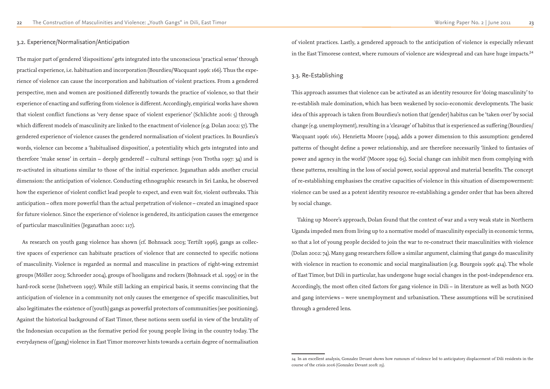#### 3.2. Experience/Normalisation/Anticipation

The major part of gendered 'dispositions' gets integrated into the unconscious 'practical sense' through practical experience, i.e. habituation and incorporation (Bourdieu/Wacquant 1996: 166). Thus the experience of violence can cause the incorporation and habituation of violent practices. From a gendered perspective, men and women are positioned differently towards the practice of violence, so that their experience of enacting and suffering from violence is different. Accordingly, empirical works have shown that violent conflict functions as 'very dense space of violent experience' (Schlichte 2006: 5) through which different models of masculinity are linked to the enactment of violence (e.g. Dolan 2002: 57). The gendered experience of violence causes the gendered normalisation of violent practices. In Bourdieu's words, violence can become a 'habitualised disposition', a potentiality which gets integrated into and therefore 'make sense' in certain – deeply gendered! – cultural settings (von Trotha 1997: 34) and is re-activated in situations similar to those of the initial experience. Jeganathan adds another crucial dimension: the anticipation of violence. Conducting ethnographic research in Sri Lanka, he observed how the experience of violent conflict lead people to expect, and even wait for, violent outbreaks. This anticipation – often more powerful than the actual perpetration of violence – created an imagined space for future violence. Since the experience of violence is gendered, its anticipation causes the emergence of particular masculinities (Jeganathan 2000: 117).

of violent practices. Lastly, a gendered approach to the anticipation of violence is especially relevant in the East Timorese context, where rumours of violence are widespread and can have huge impacts.<sup>24</sup>

As research on youth gang violence has shown (cf. Bohnsack 2003; Tertilt 1996), gangs as collective spaces of experience can habituate practices of violence that are connected to specific notions of masculinity. Violence is regarded as normal and masculine in practices of right-wing extremist groups (Möller 2003; Schroeder 2004), groups of hooligans and rockers (Bohnsack et al. 1995) or in the hard-rock scene (Inhetveen 1997). While still lacking an empirical basis, it seems convincing that the anticipation of violence in a community not only causes the emergence of specific masculinities, but also legitimates the existence of (youth) gangs as powerful protectors of communities (see positioning). Against the historical background of East Timor, these notions seem useful in view of the brutality of the Indonesian occupation as the formative period for young people living in the country today. The everydayness of (gang) violence in East Timor moreover hints towards a certain degree of normalisation

# 3.3. Re-Establishing

This approach assumes that violence can be activated as an identity resource for 'doing masculinity' to re-establish male domination, which has been weakened by socio-economic developments. The basic idea of this approach is taken from Bourdieu's notion that (gender) habitus can be 'taken over' by social change (e.g. unemployment), resulting in a 'cleavage' of habitus that is experienced as suffering (Bourdieu/ Wacquant 1996: 161). Henrietta Moore (1994), adds a power dimension to this assumption: gendered patterns of thought define a power relationship, and are therefore necessarily 'linked to fantasies of power and agency in the world' (Moore 1994: 65). Social change can inhibit men from complying with these patterns, resulting in the loss of social power, social approval and material benefits. The concept of re-establishing emphasises the creative capacities of violence in this situation of disempowerment: violence can be used as a potent identity resource re-establishing a gender order that has been altered by social change.

Taking up Moore's approach, Dolan found that the context of war and a very weak state in Northern Uganda impeded men from living up to a normative model of masculinity especially in economic terms, so that a lot of young people decided to join the war to re-construct their masculinities with violence (Dolan 2002: 74). Many gang researchers follow a similar argument, claiming that gangs do masculinity with violence in reaction to economic and social marginalisation (e.g. Bourgois 1996: 414). The whole of East Timor, but Dili in particular, has undergone huge social changes in the post-independence era. Accordingly, the most often cited factors for gang violence in Dili – in literature as well as both NGO and gang interviews – were unemployment and urbanisation. These assumptions will be scrutinised through a gendered lens.

24 In an excellent analysis, Gonzalez Devant shows how rumours of violence led to anticipatory displacement of Dili residents in the

course of the crisis 2006 (Gonzalez Devant 2008: 23).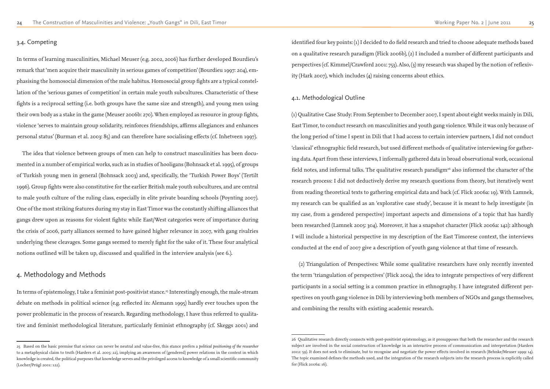#### 3.4. Competing

In terms of learning masculinities, Michael Meuser (e.g. 2002, 2006) has further developed Bourdieu's remark that 'men acquire their masculinity in serious games of competition' (Bourdieu 1997: 204), emphasising the homosocial dimension of the male habitus. Homosocial group fights are a typical constellation of the 'serious games of competition' in certain male youth subcultures. Characteristic of these fights is a reciprocal setting (i.e. both groups have the same size and strength), and young men using their own body as a stake in the game (Meuser 2006b: 270). When employed as resource in group fights, violence 'serves to maintain group solidarity, reinforces friendships, affirms allegiances and enhances personal status' (Burman et al. 2003: 85) and can therefore have socialising effects (cf. Inhetveen 1997).

In terms of epistemology, I take a feminist post-positivist stance.<sup>25</sup> Interestingly enough, the male-stream debate on methods in political science (e.g. reflected in: Alemann 1995) hardly ever touches upon the power problematic in the process of research. Regarding methodology, I have thus referred to qualitative and feminist methodological literature, particularly feminist ethnography (cf. Skeggs 2001) and

The idea that violence between groups of men can help to construct masculinities has been documented in a number of empirical works, such as in studies of hooligans (Bohnsack et al. 1995), of groups of Turkish young men in general (Bohnsack 2003) and, specifically, the 'Turkish Power Boys' (Tertilt 1996). Group fights were also constitutive for the earlier British male youth subcultures, and are central to male youth culture of the ruling class, especially in elite private boarding schools (Poynting 2007). One of the most striking features during my stay in East Timor was the constantly shifting alliances that gangs drew upon as reasons for violent fights: while East/West categories were of importance during the crisis of 2006, party alliances seemed to have gained higher relevance in 2007, with gang rivalries underlying these cleavages. Some gangs seemed to merely fight for the sake of it. These four analytical notions outlined will be taken up, discussed and qualified in the interview analysis (see 6.).

# 4. Methodology and Methods

identified four key points: (1) I decided to do field research and tried to choose adequate methods based on a qualitative research paradigm (Flick 2006b), (2) I included a number of different participants and perspectives (cf. Kimmel/Crawford 2001: 753). Also, (3) my research was shaped by the notion of reflexivity (Hark 2007), which includes (4) raising concerns about ethics.

# 4.1. Methodological Outline

(1) Qualitative Case Study: From September to December 2007, I spent about eight weeks mainly in Dili, East Timor, to conduct research on masculinities and youth gang violence. While it was only because of the long period of time I spent in Dili that I had access to certain interview partners, I did not conduct 'classical' ethnographic field research, but used different methods of qualitative interviewing for gathering data. Apart from these interviews, I informally gathered data in broad observational work, occasional field notes, and informal talks. The qualitative research paradigm<sup>26</sup> also informed the character of the research process: I did not deductively derive my research questions from theory, but iteratively went from reading theoretical texts to gathering empirical data and back (cf. Flick 2006a: 19). With Lamnek, my research can be qualified as an 'explorative case study', because it is meant to help investigate (in my case, from a gendered perspective) important aspects and dimensions of a topic that has hardly been researched (Lamnek 2005: 304). Moreover, it has a snapshot character (Flick 2006a: 142): although I will include a historical perspective in my description of the East Timorese context, the interviews conducted at the end of 2007 give a description of youth gang violence at that time of research.

 (2) Triangulation of Perspectives: While some qualitative researchers have only recently invented the term 'triangulation of perspectives' (Flick 2004), the idea to integrate perspectives of very different participants in a social setting is a common practice in ethnography. I have integrated different perspectives on youth gang violence in Dili by interviewing both members of NGOs and gangs themselves, and combining the results with existing academic research.

<sup>25</sup> Based on the basic premise that science can never be neutral and value-free, this stance prefers a *political positioning of the researcher* to a metaphysical claim to truth (Harders et al. 2005: 22), implying an awareness of (gendered) power relations in the context in which knowledge is created, the political purposes that knowledge serves and the privileged access to knowledge of a small scientific community (Locher/Prügl 2001: 122).

<sup>26</sup> Qualitative research directly connects with post-positivist epistemology, as it presupposes that both the researcher and the research subject are involved in the social construction of knowledge in an interactive process of communication and interpretation (Harders 2002: 59). It does not seek to eliminate, but to recognise and negotiate the power effects involved in research (Behnke/Meuser 1999: 14). The topic examined defines the methods used, and the integration of the research subjects into the research process is explicitly called for (Flick 2006a: 16).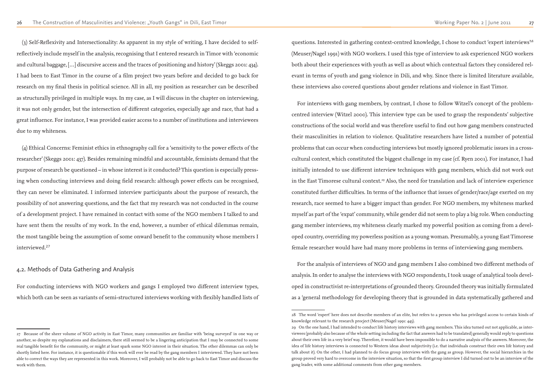(3) Self-Reflexivity and Intersectionality: As apparent in my style of writing, I have decided to selfreflectively include myself in the analysis, recognising that I entered research in Timor with 'economic and cultural baggage, […] discursive access and the traces of positioning and history' (Skeggs 2001: 434). I had been to East Timor in the course of a film project two years before and decided to go back for research on my final thesis in political science. All in all, my position as researcher can be described as structurally privileged in multiple ways. In my case, as I will discuss in the chapter on interviewing, it was not only gender, but the intersection of different categories, especially age and race, that had a great influence. For instance, I was provided easier access to a number of institutions and interviewees due to my whiteness.

(4) Ethical Concerns: Feminist ethics in ethnography call for a 'sensitivity to the power effects of the researcher' (Skeggs 2001: 437). Besides remaining mindful and accountable, feminists demand that the purpose of research be questioned – in whose interest is it conducted? This question is especially pressing when conducting interviews and doing field research: although power effects can be recognised, they can never be eliminated. I informed interview participants about the purpose of research, the possibility of not answering questions, and the fact that my research was not conducted in the course of a development project. I have remained in contact with some of the NGO members I talked to and have sent them the results of my work. In the end, however, a number of ethical dilemmas remain, the most tangible being the assumption of some onward benefit to the community whose members I interviewed.<sup>27</sup>

questions. Interested in gathering context-centred knowledge, I chose to conduct 'expert interviews'<sup>28</sup> (Meuser/Nagel 1991) with NGO workers. I used this type of interview to ask experienced NGO workers both about their experiences with youth as well as about which contextual factors they considered relevant in terms of youth and gang violence in Dili, and why. Since there is limited literature available, these interviews also covered questions about gender relations and violence in East Timor.

### 4.2. Methods of Data Gathering and Analysis

For conducting interviews with NGO workers and gangs I employed two different interview types, which both can be seen as variants of semi-structured interviews working with flexibly handled lists of

For interviews with gang members, by contrast, I chose to follow Witzel's concept of the problemcentred interview (Witzel 2000). This interview type can be used to grasp the respondents' subjective constructions of the social world and was therefore useful to find out how gang members constructed their masculinities in relation to violence. Qualitative researchers have listed a number of potential problems that can occur when conducting interviews but mostly ignored problematic issues in a crosscultural context, which constituted the biggest challenge in my case (cf. Ryen 2001). For instance, I had initially intended to use different interview techniques with gang members, which did not work out in the East Timorese cultural context.<sup>29</sup> Also, the need for translation and lack of interview experience constituted further difficulties. In terms of the influence that issues of gender/race/age exerted on my research, race seemed to have a bigger impact than gender. For NGO members, my whiteness marked myself as part of the 'expat' community, while gender did not seem to play a big role. When conducting gang member interviews, my whiteness clearly marked my powerful position as coming from a developed country, overriding my powerless position as a young woman. Presumably, a young East Timorese female researcher would have had many more problems in terms of interviewing gang members.

For the analysis of interviews of NGO and gang members I also combined two different methods of analysis. In order to analyse the interviews with NGO respondents, I took usage of analytical tools developed in constructivist re-interpretations of grounded theory. Grounded theory was initially formulated as a 'general methodology for developing theory that is grounded in data systematically gathered and

<sup>27</sup> Because of the sheer volume of NGO activity in East Timor, many communities are familiar with 'being surveyed' in one way or another, so despite my explanations and disclaimers, there still seemed to be a lingering anticipation that I may be connected to some real tangible benefit for the community, or might at least spark some NGO interest in their situation. The other dilemmas can only be shortly listed here. For instance, it is questionable if this work will ever be read by the gang members I interviewed. They have not been able to correct the ways they are represented in this work. Moreover, I will probably not be able to go back to East Timor and discuss the work with them.

<sup>28</sup> The word 'expert' here does not describe members of an elite, but refers to a person who has privileged access to certain kinds of knowledge relevant to the research procject (Meuser/Nagel 1991: 443). 29 On the one hand, I had intended to conduct life history interviews with gang members. This idea turned out not applicable, as interviewees (probably also because of the whole setting including the fact that answers had to be translated) generally would reply to questions about their own life in a very brief way. Therefore, it would have been impossible to do a narrative analysis of the answers. Moreover, the idea of life history interviews is connected to Western ideas about subjectivity (i.e. that individuals construct their own life history and talk about it). On the other, I had planned to do focus group interviews with the gang as group. However, the social hierarchies in the group proved very hard to overcome in the interview situation, so that the first group interview I did turned out to be an interview of the gang leader, with some additional comments from other gang members.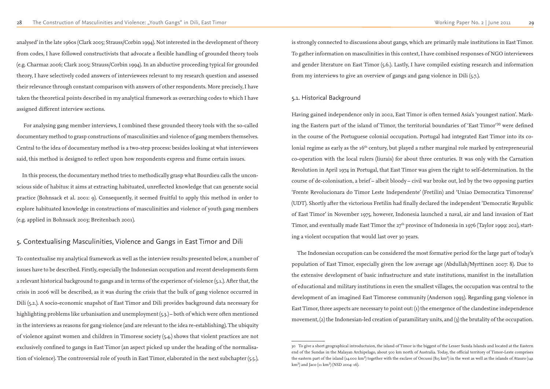analysed' in the late 1960s (Clark 2005; Strauss/Corbin 1994). Not interested in the development of theory from codes, I have followed constructivists that advocate a flexible handling of grounded theory tools (e.g. Charmaz 2006; Clark 2005; Strauss/Corbin 1994). In an abductive proceeding typical for grounded theory, I have selectively coded answers of interviewees relevant to my research question and assessed their relevance through constant comparison with answers of other respondents. More precisely, I have taken the theoretical points described in my analytical framework as overarching codes to which I have assigned different interview sections.

 For analysing gang member interviews, I combined these grounded theory tools with the so-called documentary method to grasp constructions of masculinities and violence of gang members themselves. Central to the idea of documentary method is a two-step process: besides looking at what interviewees said, this method is designed to reflect upon how respondents express and frame certain issues.

In this process, the documentary method tries to methodically grasp what Bourdieu calls the unconscious side of habitus: it aims at extracting habituated, unreflected knowledge that can generate social practice (Bohnsack et al. 2001: 9). Consequently, it seemed fruitful to apply this method in order to explore habituated knowledge in constructions of masculinities and violence of youth gang members (e.g. applied in Bohnsack 2003; Breitenbach 2001).

# 5. Contextualising Masculinities, Violence and Gangs in East Timor and Dili

To contextualise my analytical framework as well as the interview results presented below, a number of issues have to be described. Firstly, especially the Indonesian occupation and recent developments form a relevant historical background to gangs and in terms of the experience of violence (5.1.). After that, the crisis in 2006 will be described, as it was during the crisis that the bulk of gang violence occurred in Dili (5.2.). A socio-economic snapshot of East Timor and Dili provides background data necessary for highlighting problems like urbanisation and unemployment (5.3.) – both of which were often mentioned in the interviews as reasons for gang violence (and are relevant to the idea re-establishing). The ubiquity of violence against women and children in Timorese society (5.4.) shows that violent practices are not exclusively confined to gangs in East Timor (an aspect picked up under the heading of the normalisation of violence). The controversial role of youth in East Timor, elaborated in the next subchapter (5.5.),

is strongly connected to discussions about gangs, which are primarily male institutions in East Timor. To gather information on masculinities in this context, I have combined responses of NGO interviewees and gender literature on East Timor (5.6.). Lastly, I have compiled existing research and information from my interviews to give an overview of gangs and gang violence in Dili (5.7.).

#### 5.1. Historical Background

Having gained independence only in 2002, East Timor is often termed Asia's 'youngest nation'. Marking the Eastern part of the island of Timor, the territorial boundaries of 'East Timor'<sup>30</sup> were defined in the course of the Portuguese colonial occupation. Portugal had integrated East Timor into its colonial regime as early as the 16<sup>th</sup> century, but played a rather marginal role marked by entrepreneurial co-operation with the local rulers (liurais) for about three centuries. It was only with the Carnation Revolution in April 1974 in Portugal, that East Timor was given the right to self-determination. In the course of de-colonisation, a brief – albeit bloody – civil war broke out, led by the two opposing parties 'Frente Revolucionara do Timor Leste Independente' (Fretilin) and 'Uniao Democratica Timorense' (UDT). Shortly after the victorious Fretilin had finally declared the independent 'Democratic Republic of East Timor' in November 1975, however, Indonesia launched a naval, air and land invasion of East Timor, and eventually made East Timor the  $27<sup>th</sup>$  province of Indonesia in 1976 (Taylor 1999: 202), starting a violent occupation that would last over 30 years.

The Indonesian occupation can be considered the most formative period for the large part of today's population of East Timor, especially given the low average age (Abdullah/Myrttinen 2007: 8). Due to the extensive development of basic infrastructure and state institutions, manifest in the installation of educational and military institutions in even the smallest villages, the occupation was central to the development of an imagined East Timorese community (Anderson 1993). Regarding gang violence in East Timor, three aspects are necessary to point out: (1) the emergence of the clandestine independence movement, (2) the Indonesian-led creation of paramilitary units, and (3) the brutality of the occupation.

<sup>30</sup> To give a short geographical introductuion, the island of Timor is the biggest of the Lesser Sunda Islands and located at the Eastern end of the Sundas in the Malayan Archipelago, about 500 km north of Australia. Today, the official territory of Timor-Leste comprises the eastern part of the island (14.000 km<sup>2</sup>) together with the exclave of Oecussi (815 km<sup>2</sup>) in the west as well as the islands of Atauro (141  $km^2$ ) and Jaco (11  $km^2$ ) (NSD 2004: 16).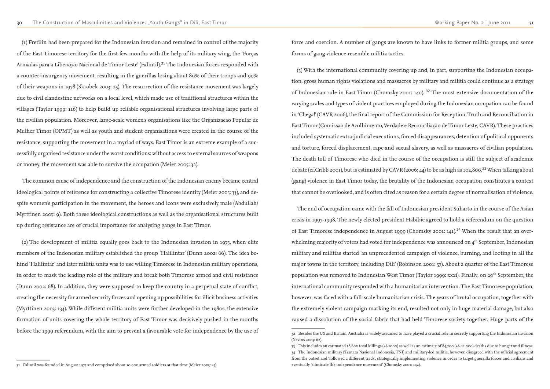(1) Fretilin had been prepared for the Indonesian invasion and remained in control of the majority of the East Timorese territory for the first few months with the help of its military wing, the 'Forças Armadas para a Liberaçao Nacional de Timor Leste' (Falintil).<sup>31</sup> The Indonesian forces responded with a counter-insurgency movement, resulting in the guerillas losing about 80% of their troops and 90% of their weapons in 1978 (Skrobek 2003: 25). The resurrection of the resistance movement was largely due to civil clandestine networks on a local level, which made use of traditional structures within the villages (Taylor 1999: 116) to help build up reliable organisational structures involving large parts of the civilian population. Moreover, large-scale women's organisations like the Organizacao Popular de Mulher Timor (OPMT) as well as youth and student organisations were created in the course of the resistance, supporting the movement in a myriad of ways. East Timor is an extreme example of a successfully organised resistance under the worst conditions: without access to external sources of weapons or money, the movement was able to survive the occupation (Meier 2005: 32).

The common cause of independence and the construction of the Indonesian enemy became central ideological points of reference for constructing a collective Timorese identity (Meier 2005: 33), and despite women's participation in the movement, the heroes and icons were exclusively male (Abdullah/ Myrttinen 2007: 9). Both these ideological constructions as well as the organisational structures built up during resistance are of crucial importance for analysing gangs in East Timor.

(2) The development of militia equally goes back to the Indonesian invasion in 1975, when elite members of the Indonesian military established the group 'Halilintar' (Dunn 2002: 66). The idea behind 'Halilintar' and later militia units was to use willing Timorese in Indonesian military operations, in order to mask the leading role of the military and break both Timorese armed and civil resistance (Dunn 2002: 68). In addition, they were supposed to keep the country in a perpetual state of conflict, creating the necessity for armed security forces and opening up possibilities for illicit business activities (Myrttinen 2003: 134). While different militia units were further developed in the 1980s, the extensive formation of units covering the whole territory of East Timor was decisively pushed in the months before the 1999 referendum, with the aim to prevent a favourable vote for independence by the use of

31 Falintil was founded in August 1975 and comprised about 10.000 armed soldiers at that time (Meier 2005: 25).

force and coercion. A number of gangs are known to have links to former militia groups, and some forms of gang violence resemble militia tactics.

(3) With the international community covering up and, in part, supporting the Indonesian occupation, gross human rights violations and massacres by military and militia could continue as a strategy of Indonesian rule in East Timor (Chomsky 2001: 140).<sup>32</sup> The most extensive documentation of the varying scales and types of violent practices employed during the Indonesian occupation can be found in 'Chega!' (CAVR 2006), the final report of the Commission for Reception, Truth and Reconciliation in East Timor (Comissao de Acolhimento, Verdade e Reconciliação de Timor Leste, CAVR). These practices included systematic extra-judicial executions, forced disappearances, detention of political opponents and torture, forced displacement, rape and sexual slavery, as well as massacres of civilian population. The death toll of Timorese who died in the course of the occupation is still the subject of academic debate (cf.Cribb 2001), but is estimated by CAVR (2006: 44) to be as high as 102,800.<sup>33</sup> When talking about (gang) violence in East Timor today, the brutality of the Indonesian occupation constitutes a context that cannot be overlooked, and is often cited as reason for a certain degree of normalisation of violence.

The end of occupation came with the fall of Indonesian president Suharto in the course of the Asian crisis in 1997-1998. The newly elected president Habibie agreed to hold a referendum on the question of East Timorese independence in August 1999 (Chomsky 2001: 141).<sup>34</sup> When the result that an overwhelming majority of voters had voted for independence was announced on 4<sup>th</sup> September, Indonesian military and militias started 'an unprecedented campaign of violence, burning, and looting in all the major towns in the territory, including Dili' (Robinson 2001: 57). About a quarter of the East Timorese population was removed to Indonesian West Timor (Taylor 1999: xxxi). Finally, on 20th September, the international community responded with a humanitarian intervention. The East Timorese population, however, was faced with a full-scale humanitarian crisis. The years of brutal occupation, together with the extremely violent campaign marking its end, resulted not only in huge material damage, but also caused a dissolution of the social fabric that had held Timorese society together. Huge parts of the

<sup>32</sup> Besides the US and Britain, Australia is widely assumed to have played a crucial role in secretly supporting the Indonesian invasion (Nevins 2005: 62).

<sup>33</sup> This includes an estimated 18,600 total killings (+/-1000) as well as an estimate of 84,200 (+/- 11,000) deaths due to hunger and illness. 34 The Indonesian military (Tentara Nasional Indonesia, TNI) and military-led militia, however, disagreed with the official agreement from the outset and 'followed a different track', strategically implementing violence in order to target guerrilla forces and civilians and eventually 'eliminate the independence movement' (Chomsky 2001: 142).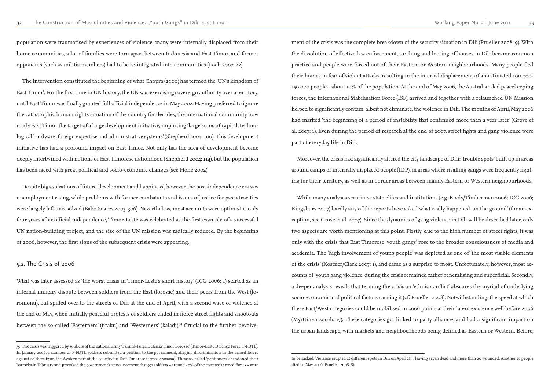population were traumatised by experiences of violence, many were internally displaced from their home communities, a lot of families were torn apart between Indonesia and East Timor, and former opponents (such as militia members) had to be re-integrated into communities (Loch 2007: 22).

The intervention constituted the beginning of what Chopra (2000) has termed the 'UN's kingdom of East Timor'. For the first time in UN history, the UN was exercising sovereign authority over a territory, until East Timor was finally granted full official independence in May 2002. Having preferred to ignore the catastrophic human rights situation of the country for decades, the international community now made East Timor the target of a huge development initiative, importing 'large sums of capital, technological hardware, foreign expertise and administrative systems' (Shepherd 2004: 100). This development initiative has had a profound impact on East Timor. Not only has the idea of development become deeply intertwined with notions of East Timorese nationhood (Shepherd 2004: 114), but the population has been faced with great political and socio-economic changes (see Hohe 2002).

What was later assessed as 'the worst crisis in Timor-Leste's short history' (ICG 2006: 1) started as an internal military dispute between soldiers from the East (lorosae) and their peers from the West (loromonu), but spilled over to the streets of Dili at the end of April, with a second wave of violence at the end of May, when initially peaceful protests of soldiers ended in fierce street fights and shootouts between the so-called 'Easterners' (firaku) and 'Westerners' (kaladi).<sup>35</sup> Crucial to the further devolve-

Despite big aspirations of future 'development and happiness', however, the post-independence era saw unemployment rising, while problems with former combatants and issues of justice for past atrocities were largely left unresolved (Babo Soares 2003: 306). Nevertheless, most accounts were optimistic: only four years after official independence, Timor-Leste was celebrated as the first example of a successful UN nation-building project, and the size of the UN mission was radically reduced. By the beginning of 2006, however, the first signs of the subsequent crisis were appearing.

#### 5.2. The Crisis of 2006

ment of the crisis was the complete breakdown of the security situation in Dili (Prueller 2008: 9). With the dissolution of effective law enforcement, torching and looting of houses in Dili became common practice and people were forced out of their Eastern or Western neighbourhoods. Many people fled their homes in fear of violent attacks, resulting in the internal displacement of an estimated 100.000- 150.000 people – about 10% of the population. At the end of May 2006, the Australian-led peacekeeping forces, the International Stabilisation Force (ISF), arrived and together with a relaunched UN Mission helped to significantly contain, albeit not eliminate, the violence in Dili. The months of April/May 2006 had marked 'the beginning of a period of instability that continued more than a year later' (Grove et al. 2007: 1). Even during the period of research at the end of 2007, street fights and gang violence were part of everyday life in Dili.

Moreover, the crisis had significantly altered the city landscape of Dili: 'trouble spots' built up in areas around camps of internally displaced people (IDP), in areas where rivalling gangs were frequently fighting for their territory, as well as in border areas between mainly Eastern or Western neighbourhoods.

While many analyses scrutinise state elites and institutions (e.g. Brady/Timberman 2006; ICG 2006; Kingsbury 2007) hardly any of the reports have asked what really happened 'on the ground' (for an exception, see Grove et al. 2007). Since the dynamics of gang violence in Dili will be described later, only two aspects are worth mentioning at this point. Firstly, due to the high number of street fights, it was only with the crisis that East Timorese 'youth gangs' rose to the broader consciousness of media and academia. The 'high involvement of young people' was depicted as one of 'the most visible elements of the crisis' (Kostner/Clark 2007: 1), and came as a surprise to most. Unfortunately, however, most accounts of 'youth gang violence' during the crisis remained rather generalising and superficial. Secondly, a deeper analysis reveals that terming the crisis an 'ethnic conflict' obscures the myriad of underlying socio-economic and political factors causing it (cf. Prueller 2008). Notwithstanding, the speed at which these East/West categories could be mobilised in 2006 points at their latent existence well before 2006 (Myrttinen 2007b: 17). These categories got linked to party alliances and had a significant impact on the urban landscape, with markets and neighbourhoods being defined as Eastern or Western. Before,

<sup>35</sup> The crisis was triggered by soldiers of the national army 'Falintil-Força Defensa Timor Lorosae' (Timor-Leste Defence Force, F-FDTL). In January 2006, a number of F-FDTL soldiers submitted a petition to the government, alleging discrimination in the armed forces against soldiers from the Western part of the country (in East Timorese terms, *loromonu*). These so-called 'petitioners' abandoned their barracks in February and provoked the government's announcement that 591 soldiers – around 40% of the country's armed forces – were

to be sacked. Violence erupted at different spots in Dili on April 28<sup>th</sup>, leaving seven dead and more than 20 wounded. Another 27 people died in May 2006 (Prueller 2008: 8).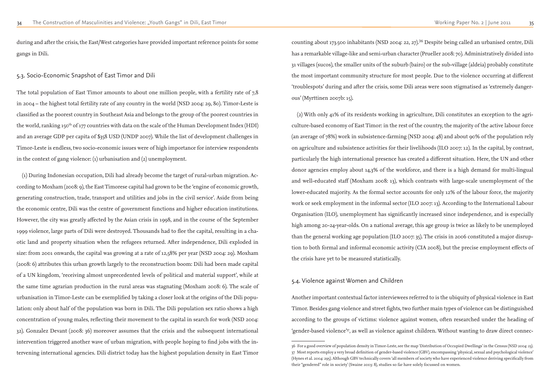during and after the crisis, the East/West categories have provided important reference points for some gangs in Dili.

#### 5.3. Socio-Economic Snapshot of East Timor and Dili

The total population of East Timor amounts to about one million people, with a fertility rate of 7,8 in 2004 – the highest total fertility rate of any country in the world (NSD 2004: 29, 80). Timor-Leste is classified as the poorest country in Southeast Asia and belongs to the group of the poorest countries in the world, ranking 150<sup>th</sup> of 177 countries with data on the scale of the Human Development Index (HDI) and an average GDP per capita of \$358 USD (UNDP 2007). While the list of development challenges in Timor-Leste is endless, two socio-economic issues were of high importance for interview respondents in the context of gang violence: (1) urbanisation and (2) unemployment.

counting about 173.500 inhabitants (NSD 2004: 22, 27).<sup>36</sup> Despite being called an urbanised centre, Dili has a remarkable village-like and semi-urban character (Prueller 2008: 70). Administratively divided into 31 villages (sucos), the smaller units of the suburb (bairo) or the sub-village (aldeia) probably constitute the most important community structure for most people. Due to the violence occurring at different 'troublespots' during and after the crisis, some Dili areas were soon stigmatised as 'extremely dangerous' (Myrttinen 2007b: 15).

(1) During Indonesian occupation, Dili had already become the target of rural-urban migration. According to Moxham (2008: 9), the East Timorese capital had grown to be the 'engine of economic growth, generating construction, trade, transport and utilities and jobs in the civil service'. Aside from being the economic centre, Dili was the centre of government functions and higher education institutions. However, the city was greatly affected by the Asian crisis in 1998, and in the course of the September 1999 violence, large parts of Dili were destroyed. Thousands had to flee the capital, resulting in a chaotic land and property situation when the refugees returned. After independence, Dili exploded in size: from 2001 onwards, the capital was growing at a rate of 12,58% per year (NSD 2004: 29). Moxham (2008: 6) attributes this urban growth largely to the reconstruction boom: Dili had been made capital of a UN kingdom, 'receiving almost unprecedented levels of political and material support', while at the same time agrarian production in the rural areas was stagnating (Moxham 2008: 6). The scale of urbanisation in Timor-Leste can be exemplified by taking a closer look at the origins of the Dili population: only about half of the population was born in Dili. The Dili population sex ratio shows a high concentration of young males, reflecting their movement to the capital in search for work (NSD 2004: 32). Gonzalez Devant (2008: 36) moreover assumes that the crisis and the subsequent international intervention triggered another wave of urban migration, with people hoping to find jobs with the intervening international agencies. Dili district today has the highest population density in East Timor

(2) With only 41% of its residents working in agriculture, Dili constitutes an exception to the agriculture-based economy of East Timor: in the rest of the country, the majority of the active labour force (an average of 78%) work in subsistence-farming (NSD 2004: 48) and about 90% of the population rely on agriculture and subsistence activities for their livelihoods (ILO 2007: 12). In the capital, by contrast, particularly the high international presence has created a different situation. Here, the UN and other donor agencies employ about 14,3% of the workforce, and there is a high demand for multi-lingual and well-educated staff (Moxham 2008: 13), which contrasts with large-scale unemployment of the lower-educated majority. As the formal sector accounts for only 12% of the labour force, the majority work or seek employment in the informal sector (ILO 2007: 13). According to the International Labour Organisation (ILO), unemployment has significantly increased since independence, and is especially high among 20-24-year-olds. On a national average, this age group is twice as likely to be unemployed than the general working age population (ILO 2007: 35). The crisis in 2006 constituted a major disruption to both formal and informal economic activity (CIA 2008), but the precise employment effects of the crisis have yet to be measured statistically.

### 5.4. Violence against Women and Children

Another important contextual factor interviewees referred to is the ubiquity of physical violence in East Timor. Besides gang violence and street fights, two further main types of violence can be distinguished according to the groups of victims: violence against women, often researched under the heading of 'gender-based violence'37, as well as violence against children. Without wanting to draw direct connec-

<sup>36</sup> For a good overview of population density in Timor-Leste, see the map 'Distribution of Occupied Dwellings' in the Census (NSD 2004: 23). 37 Most reports employ a very broad definition of gender-based violence (GBV), encompassing 'physical, sexual and psychological violence' (Hynes et al. 2004: 295). Although GBV technically covers 'all members of society who have experienced violence deriving specifically from their "gendered" role in society' (Swaine 2003: 8), studies so far have solely focussed on women.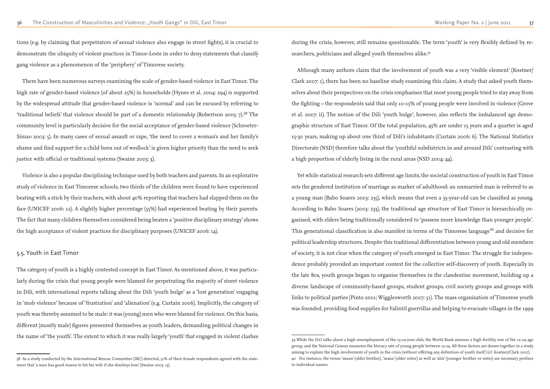tions (e.g. by claiming that perpetrators of sexual violence also engage in street fights), it is crucial to demonstrate the ubiquity of violent practices in Timor-Leste in order to deny statements that classify gang violence as a phenomenon of the 'periphery' of Timorese society.

There have been numerous surveys examining the scale of gender-based violence in East Timor. The high rate of gender-based violence (of about 25%) in households (Hynes et al. 2004: 294) is supported by the widespread attitude that gender-based violence is 'normal' and can be excused by referring to 'traditional beliefs' that violence should be part of a domestic relationship (Robertson 2005: 7).<sup>38</sup> The community level is particularly decisive for the social acceptance of gender-based violence (Schroeter-Simao 2003: 5). In many cases of sexual assault or rape, 'the need to cover a woman's and her family's shame and find support for a child born out of wedlock' is given higher priority than the need to seek justice with official or traditional systems (Swaine 2003: 3).

during the crisis, however, still remains questionable. The term 'youth' is very flexibly defined by researchers, politicians and alleged youth themselves alike.<sup>39</sup>

Violence is also a popular disciplining technique used by both teachers and parents. In an explorative study of violence in East Timorese schools, two thirds of the children were found to have experienced beating with a stick by their teachers, with about 40% reporting that teachers had slapped them on the face (UNICEF 2006: 12). A slightly higher percentage (55%) had experienced beating by their parents. The fact that many children themselves considered being beaten a 'positive disciplinary strategy' shows the high acceptance of violent practices for disciplinary purposes (UNICEF 2006: 14).

#### 5.5. Youth in East Timor

The category of youth is a highly contested concept in East Timor. As mentioned above, it was particularly during the crisis that young people were blamed for perpetrating the majority of street violence in Dili, with international reports talking about the Dili 'youth bulge' as a 'lost generation' engaging in 'mob violence' because of 'frustration' and 'alienation' (e.g. Curtain 2006). Implicitly, the category of youth was thereby assumed to be male: it was (young) men who were blamed for violence. On this basis, different (mostly male) figures presented themselves as youth leaders, demanding political changes in the name of 'the youth'. The extent to which it was really largely 'youth' that engaged in violent clashes

Although many authors claim that the involvement of youth was a very 'visible element' (Kostner/ Clark 2007: 1), there has been no baseline study examining this claim. A study that asked youth themselves about their perspectives on the crisis emphasises that most young people tried to stay away from the fighting – the respondents said that only 10-15% of young people were involved in violence (Grove et al. 2007: ii). The notion of the Dili 'youth bulge', however, also reflects the imbalanced age demographic structure of East Timor. Of the total population, 43% are under 15 years and a quarter is aged 15-30 years, making up about one third of Dili's inhabitants (Curtain 2006: 6). The National Statistics Directorate (NSD) therefore talks about the 'youthful subdistricts in and around Dili' contrasting with a high proportion of elderly living in the rural areas (NSD 2004: 44).

Yet while statistical research sets different age limits, the societal construction of youth in East Timor sets the gendered institution of marriage as marker of adulthood: an unmarried man is referred to as a young man (Babo Soares 2003: 235), which means that even a 35-year-old can be classified as young. According to Babo Soares (2003: 233), the traditional age structure of East Timor is hierarchically organised, with elders being traditionally considered to 'possess more knowledge than younger people'. This generational classification is also manifest in terms of the Timorese language<sup>40</sup> and decisive for political leadership structures. Despite this traditional differentiation between young and old members of society, it is not clear when the category of youth emerged in East Timor. The struggle for independence probably provided an important context for the collective self-discovery of youth. Especially in the late 80s, youth groups began to organise themselves in the clandestine movement, building up a diverse landscape of community-based groups, student groups, civil society groups and groups with links to political parties (Pinto 2001; Wigglesworth 2007: 51). The mass organisation of Timorese youth was founded, providing food supplies for Falintil guerrillas and helping to evacuate villages in the 1999

<sup>38</sup> As a study conducted by the International Rescue Committee (IRC) detected, 51% of their female respondents agreed with the statement that 'a man has good reason to hit his wife if she disobeys him' (Swaine 2003: 13).

<sup>39</sup> While the ILO talks about a high unemployment of the 15-19-year-olds, the World Bank assesses a high fertility rate of the 12-29 age group, and the National Census measures the literacy rate of young people between 15-24. All these factors are drawn together in a study aiming to explain the high involvement of youth in the crisis (without offering any definition of youth itself) (cf. Kostner/Clark 2007). 40 For instance, the terms 'maun' (older brother), 'mana' (older sister) as well as 'alin' (younger brother or sister) are necessary prefixes to individual names.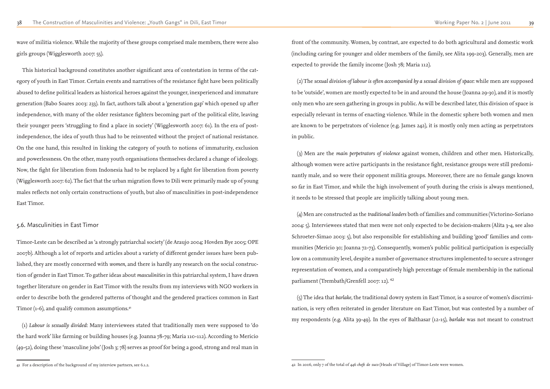wave of militia violence. While the majority of these groups comprised male members, there were also girls groups (Wigglesworth 2007: 55).

Timor-Leste can be described as 'a strongly patriarchal society' (de Araujo 2004; Hovden Bye 2005; OPE 2007b). Although a lot of reports and articles about a variety of different gender issues have been published, they are mostly concerned with *women*, and there is hardly any research on the social construction of gender in East Timor. To gather ideas about *masculinities* in this patriarchal system, I have drawn together literature on gender in East Timor with the results from my interviews with NGO workers in order to describe both the gendered patterns of thought and the gendered practices common in East Timor (1-6), and qualify common assumptions.<sup>41</sup>

This historical background constitutes another significant area of contestation in terms of the category of youth in East Timor. Certain events and narratives of the resistance fight have been politically abused to define political leaders as historical heroes against the younger, inexperienced and immature generation (Babo Soares 2003: 233). In fact, authors talk about a 'generation gap' which opened up after independence, with many of the older resistance fighters becoming part of the political elite, leaving their younger peers 'struggling to find a place in society' (Wigglesworth 2007: 61). In the era of postindependence, the idea of youth thus had to be reinvented without the project of national resistance. On the one hand, this resulted in linking the category of youth to notions of immaturity, exclusion and powerlessness. On the other, many youth organisations themselves declared a change of ideology. Now, the fight for liberation from Indonesia had to be replaced by a fight for liberation from poverty (Wigglesworth 2007: 62). The fact that the urban migration flows to Dili were primarily made up of young males reflects not only certain constructions of youth, but also of masculinities in post-independence East Timor.

### 5.6. Masculinities in East Timor

(4) Men are constructed as the *traditional leaders* both of families and communities (Victorino-Soriano 2004: 5). Interviewees stated that men were not only expected to be decision-makers (Alita 3-4, see also Schroeter-Simao 2003: 5), but also responsible for establishing and building 'good' families and communities (Mericio 30; Joanna 72-73). Consequently, women's public political participation is especially low on a community level, despite a number of governance structures implemented to secure a stronger representation of women, and a comparatively high percentage of female membership in the national parliament (Trembath/Grenfell 2007: 12).<sup>42</sup>

(1) *Labour is sexually divided*: Many interviewees stated that traditionally men were supposed to 'do the hard work' like farming or building houses (e.g. Joanna 78-79; Maria 110-112). According to Mericio (49-52), doing these 'masculine jobs' (Josh 3; 78) serves as proof for being a good, strong and real man in

front of the community. Women, by contrast, are expected to do both agricultural and domestic work (including caring for younger and older members of the family, see Alita 199-203). Generally, men are expected to provide the family income (Josh 78; Maria 112).

(2) The *sexual division of labour is often accompanied by a sexual division of space*: while men are supposed to be 'outside', women are mostly expected to be in and around the house (Joanna 29-30), and it is mostly only men who are seen gathering in groups in public. As will be described later, this division of space is especially relevant in terms of enacting violence. While in the domestic sphere both women and men are known to be perpetrators of violence (e.g. James 242), it is mostly only men acting as perpetrators in public.

(3) Men are the *main perpetrators of violence* against women, children and other men. Historically, although women were active participants in the resistance fight, resistance groups were still predominantly male, and so were their opponent militia groups. Moreover, there are no female gangs known so far in East Timor, and while the high involvement of youth during the crisis is always mentioned, it needs to be stressed that people are implicitly talking about young men.

(5) The idea that *barlake*, the traditional dowry system in East Timor, is a source of women's discrimination, is very often reiterated in gender literature on East Timor, but was contested by a number of my respondents (e.g. Alita 39-49). In the eyes of Balthasar (12-15), *barlake* was not meant to construct

<sup>41</sup> For a description of the background of my interview partners, see 6.1.2.

<sup>42</sup> In 2006, only 7 of the total of 446 *chefe de suco* (Heads of Village) of Timor-Leste were women.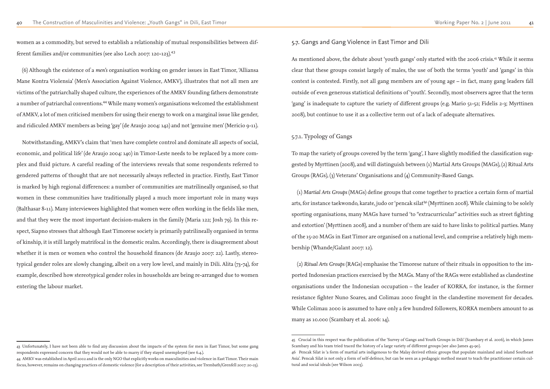women as a commodity, but served to establish a relationship of mutual responsibilities between different families and/or communities (see also Loch 2007: 120-123).<sup>43</sup>

(6) Although the existence of a *men's* organisation working on gender issues in East Timor, 'Alliansa Mane Kontra Violensia' (Men's Association Against Violence, AMKV), illustrates that not all men are victims of the patriarchally shaped culture, the experiences of the AMKV founding fathers demonstrate a number of patriarchal conventions.<sup>44</sup> While many women's organisations welcomed the establishment of AMKV, a lot of men criticised members for using their energy to work on a marginal issue like gender, and ridiculed AMKV members as being 'gay' (de Araujo 2004: 142) and not 'genuine men' (Mericio 9-11).

Notwithstanding, AMKV's claim that 'men have complete control and dominate all aspects of social, economic, and political life' (de Araujo 2004: 140) in Timor-Leste needs to be replaced by a more complex and fluid picture. A careful reading of the interviews reveals that some respondents referred to gendered patterns of thought that are not necessarily always reflected in practice. Firstly, East Timor is marked by high regional differences: a number of communities are matrilineally organised, so that women in these communities have traditionally played a much more important role in many ways (Balthasar 8-11). Many interviewees highlighted that women were often working in the fields like men, and that they were the most important decision-makers in the family (Maria 122; Josh 79). In this respect, Siapno stresses that although East Timorese society is primarily patrilineally organised in terms of kinship, it is still largely matrifocal in the domestic realm. Accordingly, there is disagreement about whether it is men or women who control the household finances (de Araujo 2007: 22). Lastly, stereotypical gender roles are slowly changing, albeit on a very low level, and mainly in Dili. Alita (73-74), for example, described how stereotypical gender roles in households are being re-arranged due to women entering the labour market.

As mentioned above, the debate about 'youth gangs' only started with the 2006 crisis.<sup>45</sup> While it seems clear that these groups consist largely of males, the use of both the terms 'youth' and 'gangs' in this context is contested. Firstly, not all gang members are of young age – in fact, many gang leaders fall outside of even generous statistical definitions of 'youth'. Secondly, most observers agree that the term 'gang' is inadequate to capture the variety of different groups (e.g. Mario 51-52; Fidelis 2-3; Myrttinen 2008), but continue to use it as a collective term out of a lack of adequate alternatives.

5.7. Gangs and Gang Violence in East Timor and Dili

### 5.7.1. Typology of Gangs

To map the variety of groups covered by the term 'gang', I have slightly modified the classification suggested by Myrttinen (2008), and will distinguish between (1) Martial Arts Groups (MAGs), (2) Ritual Arts Groups (RAGs), (3) Veterans' Organisations and (4) Community-Based Gangs.

(1) *Martial Arts Groups* (MAGs) define groups that come together to practice a certain form of martial arts, for instance taekwondo, karate, judo or 'pencak silat'46 (Myrttinen 2008). While claiming to be solely sporting organisations, many MAGs have turned 'to "extracurricular" activities such as street fighting and extortion' (Myrttinen 2008), and a number of them are said to have links to political parties. Many of the 15-20 MAGs in East Timor are organised on a national level, and comprise a relatively high membership (Whande/Galant 2007: 12).

(2) *Ritual Arts Groups* (RAGs) emphasise the Timorese nature of their rituals in opposition to the imported Indonesian practices exercised by the MAGs. Many of the RAGs were established as clandestine organisations under the Indonesian occupation – the leader of KORKA, for instance, is the former resistance fighter Nuno Soares, and Colimau 2000 fought in the clandestine movement for decades. While Colimau 2000 is assumed to have only a few hundred followers, KORKA members amount to as many as 10.000 (Scambary et al. 2006: 14).

<sup>43</sup> Unfortunately, I have not been able to find any discussion about the impacts of the system for men in East Timor, but some gang respondents expressed concern that they would not be able to marry if they stayed unemployed (see 6.4.).

<sup>44</sup> AMKV was established in April 2002 and is the only NGO that explicitly works on masculinities and violence in East Timor. Their main focus, however, remains on changing practices of domestic violence (for a description of their activities, see Trembath/Grenfell 2007: 20-23).

<sup>45</sup> Crucial in this respect was the publication of the 'Survey of Gangs and Youth Groups in Dili' (Scambary et al. 2006), in which James Scambary and his team tried traced the history of a large variety of different groups (see also James 43-90). 46 Pencak Silat is 'a form of martial arts indigenous to the Malay derived ethnic groups that populate mainland and island Southeast Asia'. Pencak Silat is not only a form of self-defence, but can be seen as a pedagogic method meant to teach the practitioner certain cultural and social ideals (see Wilson 2003).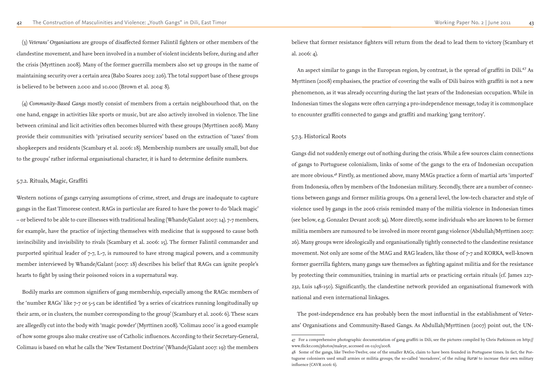(3) *Veterans' Organisations* are groups of disaffected former Falintil fighters or other members of the clandestine movement, and have been involved in a number of violent incidents before, during and after the crisis (Myrttinen 2008). Many of the former guerrilla members also set up groups in the name of maintaining security over a certain area (Babo Soares 2003: 226). The total support base of these groups is believed to be between 2.000 and 10.000 (Brown et al. 2004: 8).

(4) *Community-Based Gangs* mostly consist of members from a certain neighbourhood that, on the one hand, engage in activities like sports or music, but are also actively involved in violence. The line between criminal and licit activities often becomes blurred with these groups (Myrttinen 2008). Many provide their communities with 'privatised security services' based on the extraction of 'taxes' from shopkeepers and residents (Scambary et al. 2006: 18). Membership numbers are usually small, but due to the groups' rather informal organisational character, it is hard to determine definite numbers.

#### 5.7.2. Rituals, Magic, Graffiti

An aspect similar to gangs in the European region, by contrast, is the spread of graffiti in Dili.<sup>47</sup> As Myrttinen (2008) emphasises, the practice of covering the walls of Dili bairos with graffiti is not a new phenomenon, as it was already occurring during the last years of the Indonesian occupation. While in Indonesian times the slogans were often carrying a pro-independence message, today it is commonplace to encounter graffiti connected to gangs and graffiti and marking 'gang territory'.

Western notions of gangs carrying assumptions of crime, street, and drugs are inadequate to capture gangs in the East Timorese context. RAGs in particular are feared to have the power to do 'black magic' – or believed to be able to cure illnesses with traditional healing (Whande/Galant 2007: 14). 7-7 members, for example, have the practice of injecting themselves with medicine that is supposed to cause both invincibility and invisibility to rivals (Scambary et al. 2006: 15). The former Falintil commander and purported spiritual leader of 7-7, L-7, is rumoured to have strong magical powers, and a community member interviewed by Whande/Galant (2007: 18) describes his belief that RAGs can ignite people's hearts to fight by using their poisoned voices in a supernatural way.

Bodily marks are common signifiers of gang membership, especially among the RAGs: members of the 'number RAGs' like 7-7 or 5-5 can be identified 'by a series of cicatrices running longitudinally up their arm, or in clusters, the number corresponding to the group' (Scambary et al. 2006: 6). These scars are allegedly cut into the body with 'magic powder' (Myrttinen 2008). 'Colimau 2000' is a good example of how some groups also make creative use of Catholic influences. According to their Secretary-General, Colimau is based on what he calls the 'New Testament Doctrine' (Whande/Galant 2007: 19): the members

believe that former resistance fighters will return from the dead to lead them to victory (Scambary et al. 2006: 4).

#### 5.7.3. Historical Roots

Gangs did not suddenly emerge out of nothing during the crisis. While a few sources claim connections of gangs to Portuguese colonialism, links of some of the gangs to the era of Indonesian occupation are more obvious.48 Firstly, as mentioned above, many MAGs practice a form of martial arts 'imported' from Indonesia, often by members of the Indonesian military. Secondly, there are a number of connections between gangs and former militia groups. On a general level, the low-tech character and style of violence used by gangs in the 2006 crisis reminded many of the militia violence in Indonesian times (see below, e.g. Gonzalez Devant 2008: 34). More directly, some individuals who are known to be former militia members are rumoured to be involved in more recent gang violence (Abdullah/Myrttinen 2007: 26). Many groups were ideologically and organisationally tightly connected to the clandestine resistance movement. Not only are some of the MAG and RAG leaders, like those of 7-7 and KORKA, well-known former guerrilla fighters, many gangs saw themselves as fighting against militia and for the resistance by protecting their communities, training in martial arts or practicing certain rituals (cf. James 227- 232, Luis 148-150). Significantly, the clandestine network provided an organisational framework with national and even international linkages.

The post-independence era has probably been the most influential in the establishment of Veterans' Organisations and Community-Based Gangs. As Abdullah/Myrttinen (2007) point out, the UN-47 For a comprehensive photographic documentation of gang graffiti in Dili, see the pictures compiled by Chris Parkinson on http:// www.flickr.com/photos/maleye, accessed on 02/05/2008. 48 Some of the gangs, like Twelve-Twelve, one of the smaller RAGs, claim to have been founded in Portuguese times. In fact, the Portuguese colonisers used small armies or militia groups, the so-called 'moradores', of the ruling *liurai* to increase their own military

influence (CAVR 2006: 6).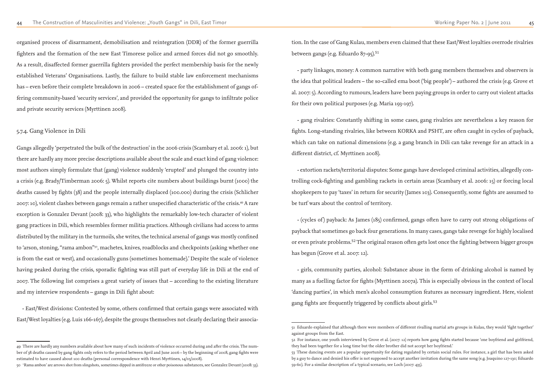organised process of disarmament, demobilisation and reintegration (DDR) of the former guerrilla fighters and the formation of the new East Timorese police and armed forces did not go smoothly. As a result, disaffected former guerrilla fighters provided the perfect membership basis for the newly established Veterans' Organisations. Lastly, the failure to build stable law enforcement mechanisms has – even before their complete breakdown in 2006 – created space for the establishment of gangs offering community-based 'security services', and provided the opportunity for gangs to infiltrate police and private security services (Myrttinen 2008).

#### 5.7.4. Gang Violence in Dili

tion. In the case of Gang Kulau, members even claimed that these East/West loyalties overrode rivalries between gangs (e.g. Eduardo 87-95).<sup>51</sup>

Gangs allegedly 'perpetrated the bulk of the destruction' in the 2006 crisis (Scambary et al. 2006: 1), but there are hardly any more precise descriptions available about the scale and exact kind of gang violence: most authors simply formulate that (gang) violence suddenly 'erupted' and plunged the country into a crisis (e.g. Brady/Timberman 2006: 5). Whilst reports cite numbers about buildings burnt (1000) the deaths caused by fights (38) and the people internally displaced (100.000) during the crisis (Schlicher 2007: 10), violent clashes between gangs remain a rather unspecified characteristic of the crisis.49 A rare exception is Gonzalez Devant (2008: 33), who highlights the remarkably low-tech character of violent gang practices in Dili, which resembles former militia practices. Although civilians had access to arms distributed by the military in the turmoils, she writes, the technical arsenal of gangs was mostly confined to 'arson, stoning, "rama ambon"50, machetes, knives, roadblocks and checkpoints (asking whether one is from the east or west), and occasionally guns (sometimes homemade).' Despite the scale of violence having peaked during the crisis, sporadic fighting was still part of everyday life in Dili at the end of 2007. The following list comprises a great variety of issues that – according to the existing literature and my interview respondents – gangs in Dili fight about:

- girls, community parties, alcohol: Substance abuse in the form of drinking alcohol is named by many as a fuelling factor for fights (Myrttinen 2007a). This is especially obvious in the context of local 'dancing parties', in which men's alcohol consumption features as necessary ingredient. Here, violent gang fights are frequently triggered by conflicts about girls.<sup>53</sup>

- East/West divisions: Contested by some, others confirmed that certain gangs were associated with East/West loyalties (e.g. Luis 166-167), despite the groups themselves not clearly declaring their associa-

- party linkages, money: A common narrative with both gang members themselves and observers is the idea that political leaders – the so-called ema boot ('big people') – authored the crisis (e.g. Grove et al. 2007: 5). According to rumours, leaders have been paying groups in order to carry out violent attacks for their own political purposes (e.g. Maria 193-197).

- gang rivalries: Constantly shifting in some cases, gang rivalries are nevertheless a key reason for fights. Long-standing rivalries, like between KORKA and PSHT, are often caught in cycles of payback, which can take on national dimensions (e.g. a gang branch in Dili can take revenge for an attack in a different district, cf. Myrttinen 2008).

- extortion rackets/territorial disputes: Some gangs have developed criminal activities, allegedly controlling cock-fighting and gambling rackets in certain areas (Scambary et al. 2006: 15) or forcing local shopkeepers to pay 'taxes' in return for security (James 103). Consequently, some fights are assumed to be turf wars about the control of territory.

- (cycles of ) payback: As James (185) confirmed, gangs often have to carry out strong obligations of payback that sometimes go back four generations. In many cases, gangs take revenge for highly localised or even private problems.<sup>52</sup> The original reason often gets lost once the fighting between bigger groups has begun (Grove et al. 2007: 12).

51 Eduardo explained that although there were members of different rivalling martial arts groups in Kulau, they would 'fight together'

<sup>49</sup> There are hardly any numbers available about how many of such incidents of violence occurred during and after the crisis. The number of 38 deaths caused by gang fights only refers to the period between April and June 2006 – by the beginning of 2008, gang fights were estimated to have caused about 100 deaths (personal correspondence with Henri Myrttinen, 14/05/2008).

<sup>50</sup> 'Rama ambon' are arrows shot from slingshots, sometimes dipped in antifreeze or other poisonous substances, see Gonzalez Devant (2008: 33).

against groups from the East.

<sup>52</sup> For instance, one youth interviewed by Grove et al. (2007: 12) reports how gang fights started because 'one boyfriend and girlfriend, they had been together for a long time but the older brother did not accept her boyfriend.' 53 These dancing events are a popular opportunity for dating regulated by certain social rules. For instance, a girl that has been asked by a guy to dance and denied his offer is not supposed to accept another invitation during the same song (e.g. Joaquino 127-130; Eduardo 59-60). For a similar description of a typical scenario, see Loch (2007: 435).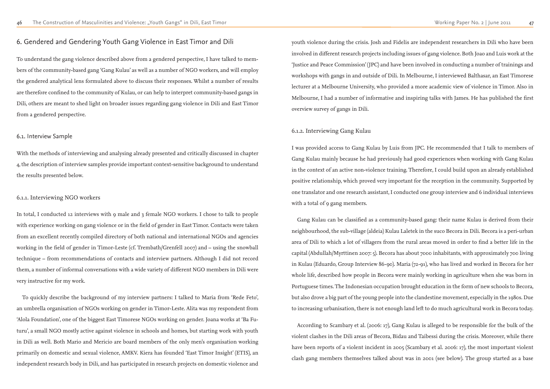# 6. Gendered and Gendering Youth Gang Violence in East Timor and Dili

To understand the gang violence described above from a gendered perspective, I have talked to members of the community-based gang 'Gang Kulau' as well as a number of NGO workers, and will employ the gendered analytical lens formulated above to discuss their responses. Whilst a number of results are therefore confined to the community of Kulau, or can help to interpret community-based gangs in Dili, others are meant to shed light on broader issues regarding gang violence in Dili and East Timor from a gendered perspective.

#### 6.1. Interview Sample

In total, I conducted 12 interviews with 9 male and 3 female NGO workers. I chose to talk to people with experience working on gang violence or in the field of gender in East Timor. Contacts were taken from an excellent recently compiled directory of both national and international NGOs and agencies working in the field of gender in Timor-Leste (cf. Trembath/Grenfell 2007) and – using the snowball technique – from recommendations of contacts and interview partners. Although I did not record them, a number of informal conversations with a wide variety of different NGO members in Dili were very instructive for my work.

With the methods of interviewing and analysing already presented and critically discussed in chapter 4, the description of interview samples provide important context-sensitive background to understand the results presented below.

#### 6.1.1. Interviewing NGO workers

I was provided access to Gang Kulau by Luis from JPC. He recommended that I talk to members of Gang Kulau mainly because he had previously had good experiences when working with Gang Kulau in the context of an active non-violence training. Therefore, I could build upon an already established positive relationship, which proved very important for the reception in the community. Supported by one translator and one research assistant, I conducted one group interview and 6 individual interviews with a total of 9 gang members.

To quickly describe the background of my interview partners: I talked to Maria from 'Rede Feto', an umbrella organisation of NGOs working on gender in Timor-Leste. Alita was my respondent from 'Alola Foundation', one of the biggest East Timorese NGOs working on gender. Joana works at 'Ba Futuru', a small NGO mostly active against violence in schools and homes, but starting work with youth in Dili as well. Both Mario and Mericio are board members of the only men's organisation working primarily on domestic and sexual violence, AMKV. Kiera has founded 'East Timor Insight' (ETIS), an independent research body in Dili, and has participated in research projects on domestic violence and

youth violence during the crisis. Josh and Fidelis are independent researchers in Dili who have been involved in different research projects including issues of gang violence. Both Joao and Luis work at the 'Justice and Peace Commission' (JPC) and have been involved in conducting a number of trainings and workshops with gangs in and outside of Dili. In Melbourne, I interviewed Balthasar, an East Timorese lecturer at a Melbourne University, who provided a more academic view of violence in Timor. Also in Melbourne, I had a number of informative and inspiring talks with James. He has published the first overview survey of gangs in Dili.

#### 6.1.2. Interviewing Gang Kulau

Gang Kulau can be classified as a community-based gang: their name Kulau is derived from their neighbourhood, the sub-village (aldeia) Kulau Laletek in the suco Becora in Dili. Becora is a peri-urban area of Dili to which a lot of villagers from the rural areas moved in order to find a better life in the capital (Abdullah/Myrttinen 2007: 5). Becora has about 7000 inhabitants, with approximately 700 living in Kulau (Eduardo, Group Interview 86-90). Maria (72-91), who has lived and worked in Becora for her whole life, described how people in Becora were mainly working in agriculture when she was born in Portuguese times. The Indonesian occupation brought education in the form of new schools to Becora, but also drove a big part of the young people into the clandestine movement, especially in the 1980s. Due to increasing urbanisation, there is not enough land left to do much agricultural work in Becora today.

According to Scambary et al. (2006: 17), Gang Kulau is alleged to be responsible for the bulk of the violent clashes in the Dili areas of Becora, Bidau and Taibessi during the crisis. Moreover, while there have been reports of a violent incident in 2005 (Scambary et al. 2006: 17), the most important violent clash gang members themselves talked about was in 2001 (see below). The group started as a base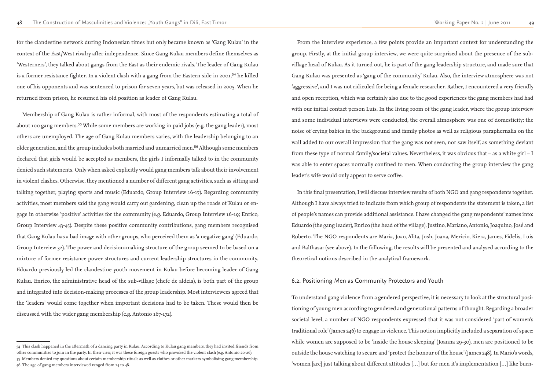for the clandestine network during Indonesian times but only became known as 'Gang Kulau' in the context of the East/West rivalry after independence. Since Gang Kulau members define themselves as 'Westerners', they talked about gangs from the East as their endemic rivals. The leader of Gang Kulau is a former resistance fighter. In a violent clash with a gang from the Eastern side in 2001,<sup>54</sup> he killed one of his opponents and was sentenced to prison for seven years, but was released in 2005. When he returned from prison, he resumed his old position as leader of Gang Kulau.

Membership of Gang Kulau is rather informal, with most of the respondents estimating a total of about 100 gang members.<sup>55</sup> While some members are working in paid jobs (e.g. the gang leader), most others are unemployed. The age of Gang Kulau members varies, with the leadership belonging to an older generation, and the group includes both married and unmarried men.<sup>56</sup> Although some members declared that girls would be accepted as members, the girls I informally talked to in the community denied such statements. Only when asked explicitly would gang members talk about their involvement in violent clashes. Otherwise, they mentioned a number of different gang activities, such as sitting and talking together, playing sports and music (Eduardo, Group Interview 16-17). Regarding community activities, most members said the gang would carry out gardening, clean up the roads of Kulau or engage in otherwise 'positive' activities for the community (e.g. Eduardo, Group Interview 16-19; Enrico, Group Interview 43-45). Despite these positive community contributions, gang members recognised that Gang Kulau has a bad image with other groups, who perceived them as 'a negative gang' (Eduardo, Group Interview 32). The power and decision-making structure of the group seemed to be based on a mixture of former resistance power structures and current leadership structures in the community. Eduardo previously led the clandestine youth movement in Kulau before becoming leader of Gang Kulau. Enrico, the administrative head of the sub-village (chefe de aldeia), is both part of the group and integrated into decision-making processes of the group leadership. Most interviewees agreed that the 'leaders' would come together when important decisions had to be taken. These would then be discussed with the wider gang membership (e.g. Antonio 167-172).

From the interview experience, a few points provide an important context for understanding the group. Firstly, at the initial group interview, we were quite surprised about the presence of the subvillage head of Kulau. As it turned out, he is part of the gang leadership structure, and made sure that Gang Kulau was presented as 'gang of the community' Kulau. Also, the interview atmosphere was not 'aggressive', and I was not ridiculed for being a female researcher. Rather, I encountered a very friendly and open reception, which was certainly also due to the good experiences the gang members had had with our initial contact person Luis. In the living room of the gang leader, where the group interview and some individual interviews were conducted, the overall atmosphere was one of domesticity: the noise of crying babies in the background and family photos as well as religious paraphernalia on the wall added to our overall impression that the gang was not seen, nor saw itself, as something deviant from these type of normal family/societal values. Nevertheless, it was obvious that – as a white girl – I was able to enter spaces normally confined to men. When conducting the group interview the gang leader's wife would only appear to serve coffee.

In this final presentation, I will discuss interview results of both NGO and gang respondents together. Although I have always tried to indicate from which group of respondents the statement is taken, a list of people's names can provide additional assistance. I have changed the gang respondents' names into: Eduardo (the gang leader), Enrico (the head of the village), Justino, Mariano, Antonio, Joaquino, José and Roberto. The NGO respondents are Maria, Joao, Alita, Josh, Joana, Mericio, Kiera, James, Fidelis, Luis and Balthasar (see above). In the following, the results will be presented and analysed according to the theoretical notions described in the analytical framework.

### 6.2. Positioning Men as Community Protectors and Youth

To understand gang violence from a gendered perspective, it is necessary to look at the structural positioning of young men according to gendered and generational patterns of thought. Regarding a broader societal level, a number of NGO respondents expressed that it was not considered 'part of women's traditional role' (James 246) to engage in violence. This notion implicitly included a separation of space: while women are supposed to be 'inside the house sleeping' (Joanna 29-30), men are positioned to be outside the house watching to secure and 'protect the honour of the house' (James 248). In Mario's words, 'women [are] just talking about different attitudes […] but for men it's implementation […] like burn-

<sup>54</sup> This clash happened in the aftermath of a dancing party in Kulau. According to Kulau gang members, they had invited friends from other communities to join in the party. In their view, it was these foreign guests who provoked the violent clash (e.g. Antonio 20-26). 55 Members denied my questions about certain membership rituals as well as clothes or other markers symbolising gang membership. 56 The age of gang members interviewed ranged from 24 to 48.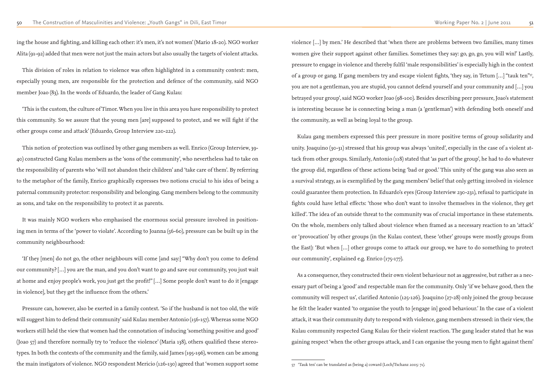ing the house and fighting, and killing each other: it's men, it's not women' (Mario 18-20). NGO worker Alita (91-92) added that men were not just the main actors but also usually the targets of violent attacks.

This division of roles in relation to violence was often highlighted in a community context: men, especially young men, are responsible for the protection and defence of the community, said NGO member Joao (83). In the words of Eduardo, the leader of Gang Kulau:

'This is the custom, the culture of Timor. When you live in this area you have responsibility to protect this community. So we assure that the young men [are] supposed to protect, and we will fight if the other groups come and attack' (Eduardo, Group Interview 220-222).

This notion of protection was outlined by other gang members as well. Enrico (Group Interview, 39- 40) constructed Gang Kulau members as the 'sons of the community', who nevertheless had to take on the responsibility of parents who 'will not abandon their children' and 'take care of them'. By referring to the metaphor of the family, Enrico graphically expresses two notions crucial to his idea of being a paternal community protector: responsibility and belonging. Gang members belong to the community as sons, and take on the responsibility to protect it as parents.

It was mainly NGO workers who emphasised the enormous social pressure involved in positioning men in terms of the 'power to violate'. According to Joanna (56-60), pressure can be built up in the community neighbourhood:

'If they [men] do not go, the other neighbours will come [and say:] "Why don't you come to defend our community? […] you are the man, and you don't want to go and save our community, you just wait at home and enjoy people's work, you just get the profit!" […] Some people don't want to do it [engage in violence], but they get the influence from the others.'

Pressure can, however, also be exerted in a family context. 'So if the husband is not too old, the wife will suggest him to defend their community' said Kulau member Antonio (156-157). Whereas some NGO workers still held the view that women had the connotation of inducing 'something positive and good' (Joao 57) and therefore normally try to 'reduce the violence' (Maria 138), others qualified these stereotypes. In both the contexts of the community and the family, said James (195-196), women can be among the main instigators of violence. NGO respondent Mericio (126-130) agreed that 'women support some

violence […] by men.' He described that 'when there are problems between two families, many times women give their support against other families. Sometimes they say: go, go, go, you will win!' Lastly, pressure to engage in violence and thereby fulfil 'male responsibilities' is especially high in the context of a group or gang. If gang members try and escape violent fights, 'they say, in Tetum […] "tauk ten"57, you are not a gentleman, you are stupid, you cannot defend yourself and your community and […] you betrayed your group', said NGO worker Joao (98-100). Besides describing peer pressure, Joao's statement is interesting because he is connecting being a man (a 'gentleman') with defending both oneself and the community, as well as being loyal to the group.

Kulau gang members expressed this peer pressure in more positive terms of group solidarity and unity. Joaquino (30-31) stressed that his group was always 'united', especially in the case of a violent attack from other groups. Similarly, Antonio (118) stated that 'as part of the group', he had to do whatever the group did, regardless of these actions being 'bad or good.' This unity of the gang was also seen as a survival strategy, as is exemplified by the gang members' belief that only getting involved in violence could guarantee them protection. In Eduardo's eyes (Group Interview 230-231), refusal to participate in fights could have lethal effects: 'those who don't want to involve themselves in the violence, they get killed'. The idea of an outside threat to the community was of crucial importance in these statements. On the whole, members only talked about violence when framed as a necessary reaction to an 'attack' or 'provocation' by other groups (in the Kulau context, these 'other' groups were mostly groups from the East): 'But when […] other groups come to attack our group, we have to do something to protect our community', explained e.g. Enrico (175-177).

As a consequence, they constructed their own violent behaviour not as aggressive, but rather as a necessary part of being a 'good' and respectable man for the community. Only 'if we behave good, then the community will respect us', clarified Antonio (125-126). Joaquino (27-28) only joined the group because he felt the leader wanted 'to organise the youth to [engage in] good behaviour.' In the case of a violent attack, it was their community duty to respond with violence, gang members stressed: in their view, the Kulau community respected Gang Kulau for their violent reaction. The gang leader stated that he was gaining respect 'when the other groups attack, and I can organise the young men to fight against them'

<sup>57 &#</sup>x27;Tauk ten' can be translated as (being a) coward (Loch/Tschanz 2005: 71).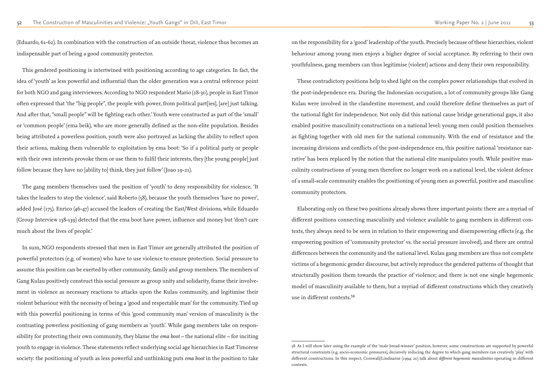(Eduardo, 61-62). In combination with the construction of an outside threat, violence thus becomes an indispensable part of being a good community protector.

This gendered positioning is intertwined with positioning according to age categories. In fact, the idea of 'youth' as less powerful and influential than the older generation was a central reference point for both NGO and gang interviewees. According to NGO respondent Mario (28-30), people in East Timor often expressed that 'the "big people", the people with power, from political part[ies], [are] just talking. And after that, "small people" will be fighting each other.' Youth were constructed as part of the 'small' or 'common people' (ema beik), who are more generally defined as the non-elite population. Besides being attributed a powerless position, youth were also portrayed as lacking the ability to reflect upon their actions, making them vulnerable to exploitation by ema boot: 'So if a political party or people with their own interests provoke them or use them to fulfil their interests, they [the young people] just follow because they have no [ability to] think, they just follow' (Joao 19-21).

The gang members themselves used the position of 'youth' to deny responsibility for violence. 'It takes the leaders to stop the violence', said Roberto (58), because the youth themselves 'have no power', added José (175). Enrico (46-47) accused the leaders of creating the East/West divisions, while Eduardo (Group Interview 138-139) detected that the ema boot have power, influence and money but 'don't care much about the lives of people.'

In sum, NGO respondents stressed that men in East Timor are generally attributed the position of powerful protectors (e.g. of women) who have to use violence to ensure protection. Social pressure to assume this position can be exerted by other community, family and group members. The members of Gang Kulau positively construct this social pressure as group unity and solidarity, frame their involvement in violence as necessary reactions to attacks upon the Kulau community, and legitimise their violent behaviour with the necessity of being a 'good and respectable man' for the community. Tied up with this powerful positioning in terms of this 'good community man' version of masculinity is the contrasting powerless positioning of gang members as 'youth'. While gang members take on responsibility for protecting their own community, they blame the *ema boot* – the national elite – for inciting youth to engage in violence. These statements reflect underlying social age hierarchies in East Timorese society: the positioning of youth as less powerful and unthinking puts *ema boot* in the position to take

on the responsibility for a 'good' leadership of the youth. Precisely because of these hierarchies, violent behaviour among young men enjoys a higher degree of social acceptance. By referring to their own youthfulness, gang members can thus legitimise (violent) actions and deny their own responsibility.

These contradictory positions help to shed light on the complex power relationships that evolved in the post-independence era. During the Indonesian occupation, a lot of community groups like Gang Kulau were involved in the clandestine movement, and could therefore define themselves as part of the national fight for independence. Not only did this national cause bridge generational gaps, it also enabled positive masculinity constructions on a national level: young men could position themselves as fighting together with old men for the national community. With the end of resistance and the increasing divisions and conflicts of the post-independence era, this positive national 'resistance narrative' has been replaced by the notion that the national elite manipulates youth. While positive masculinity constructions of young men therefore no longer work on a national level, the violent defence of a small-scale community enables the positioning of young men as powerful, positive and masculine community protectors.

Elaborating only on these two positions already shows three important points: there are a myriad of different positions connecting masculinity and violence available to gang members in different contexts, they always need to be seen in relation to their empowering and disempowering effects (e.g. the empowering position of 'community protector' vs. the social pressure involved), and there are central differences between the community and the national level. Kulau gang members are thus not complete victims of a hegemonic gender discourse, but actively reproduce the gendered patterns of thought that structurally position them towards the practice of violence; and there is not one single hegemonic model of masculinity available to them, but a myriad of different constructions which they creatively use in different contexts.<sup>58</sup>

58 As I will show later using the example of the 'male bread-winner' position, however, some constructions are supported by powerful

structural constraints (e.g. socio-economic pressures), decisively reducing the degree to which gang members can creatively 'play' with different constructions. In this respect, Cornwall/Lindisarne (1994: 20) talk about *different hegemonic masculinities* operating in different contexts.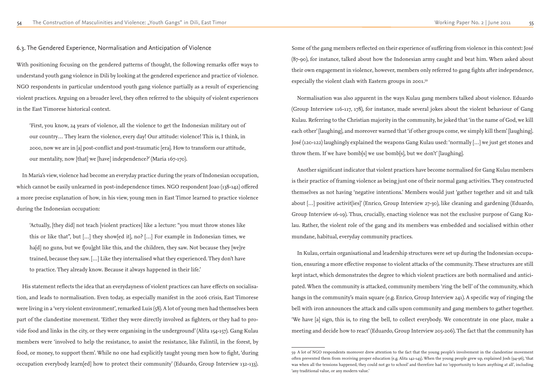6.3. The Gendered Experience, Normalisation and Anticipation of Violence

With positioning focusing on the gendered patterns of thought, the following remarks offer ways to understand youth gang violence in Dili by looking at the gendered experience and practice of violence. NGO respondents in particular understood youth gang violence partially as a result of experiencing violent practices. Arguing on a broader level, they often referred to the ubiquity of violent experiences in the East Timorese historical context.

'First, you know, 24 years of violence, all the violence to get the Indonesian military out of our country… They learn the violence, every day! Our attitude: violence! This is, I think, in 2000, now we are in [a] post-conflict and post-traumatic [era]. How to transform our attitude, our mentality, now [that] we [have] independence?' (Maria 167-170).

In Maria's view, violence had become an everyday practice during the years of Indonesian occupation, which cannot be easily unlearned in post-independence times. NGO respondent Joao (138-142) offered a more precise explanation of how, in his view, young men in East Timor learned to practice violence during the Indonesian occupation:

'Actually, [they did] not teach [violent practices] like a lecture: "you must throw stones like this or like that", but […] they show[ed it], no? […] For example in Indonesian times, we ha[d] no guns, but we f[ou]ght like this, and the children, they saw. Not because they [we]re trained, because they saw. […] Like they internalised what they experienced. They don't have to practice. They already know. Because it always happened in their life.'

His statement reflects the idea that an everydayness of violent practices can have effects on socialisation, and leads to normalisation. Even today, as especially manifest in the 2006 crisis, East Timorese were living in a 'very violent environment', remarked Luis (58). A lot of young men had themselves been part of the clandestine movement. 'Either they were directly involved as fighters, or they had to provide food and links in the city, or they were organising in the underground' (Alita 154-157). Gang Kulau members were 'involved to help the resistance, to assist the resistance, like Falintil, in the forest, by food, or money, to support them'. While no one had explicitly taught young men how to fight, 'during occupation everybody learn[ed] how to protect their community' (Eduardo, Group Interview 132-133).

Some of the gang members reflected on their experience of suffering from violence in this context: José (87-90), for instance, talked about how the Indonesian army caught and beat him. When asked about their own engagement in violence, however, members only referred to gang fights after independence, especially the violent clash with Eastern groups in 2001.59

Normalisation was also apparent in the ways Kulau gang members talked about violence. Eduardo (Group Interview 116-117, 178), for instance, made several jokes about the violent behaviour of Gang Kulau. Referring to the Christian majority in the community, he joked that 'in the name of God, we kill each other' [laughing], and moreover warned that 'if other groups come, we simply kill them' [laughing]. José (120-122) laughingly explained the weapons Gang Kulau used: 'normally […] we just get stones and throw them. If we have bomb[s] we use bomb[s], but we don't' [laughing].

Another significant indicator that violent practices have become normalised for Gang Kulau members is their practice of framing violence as being just one of their normal gang activities. They constructed themselves as not having 'negative intentions.' Members would just 'gather together and sit and talk about […] positive activit[ies]' (Enrico, Group Interview 27-30), like cleaning and gardening (Eduardo, Group Interview 16-19). Thus, crucially, enacting violence was not the exclusive purpose of Gang Kulau. Rather, the violent role of the gang and its members was embedded and socialised within other mundane, habitual, everyday community practices.

In Kulau, certain organisational and leadership structures were set up during the Indonesian occupation, ensuring a more effective response to violent attacks of the community. These structures are still kept intact, which demonstrates the degree to which violent practices are both normalised and anticipated. When the community is attacked, community members 'ring the bell' of the community, which hangs in the community's main square (e.g. Enrico, Group Interview 241). A specific way of ringing the bell with iron announces the attack and calls upon community and gang members to gather together. 'We have [a] sign, this is, to ring the bell, to collect everybody. We concentrate in one place, make a meeting and decide how to react' (Eduardo, Group Interview 205-206). The fact that the community has

<sup>59</sup> A lot of NGO respondents moreover drew attention to the fact that the young people's involvement in the clandestine movement often prevented them from receiving proper education (e.g. Alita 142-143). When the young people grew up, explained Josh (94-96), 'that was when all the tensions happened, they could not go to school' and therefore had no 'opportunity to learn anything at all', including 'any traditional value, or any modern value.'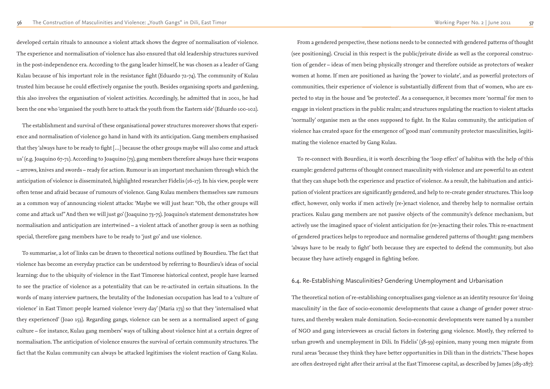developed certain rituals to announce a violent attack shows the degree of normalisation of violence. The experience and normalisation of violence has also ensured that old leadership structures survived in the post-independence era. According to the gang leader himself, he was chosen as a leader of Gang Kulau because of his important role in the resistance fight (Eduardo 72-74). The community of Kulau trusted him because he could effectively organise the youth. Besides organising sports and gardening, this also involves the organisation of violent activities. Accordingly, he admitted that in 2001, he had been the one who 'organised the youth here to attack the youth from the Eastern side' (Eduardo 100-102).

The establishment and survival of these organisational power structures moreover shows that experience and normalisation of violence go hand in hand with its anticipation. Gang members emphasised that they 'always have to be ready to fight […] because the other groups maybe will also come and attack us' (e.g. Joaquino 67-71). According to Joaquino (73), gang members therefore always have their weapons – arrows, knives and swords – ready for action. Rumour is an important mechanism through which the anticipation of violence is disseminated, highlighted researcher Fidelis (16-17). In his view, people were often tense and afraid because of rumours of violence. Gang Kulau members themselves saw rumours as a common way of announcing violent attacks: 'Maybe we will just hear: "Oh, the other groups will come and attack us!" And then we will just go' (Joaquino 73-75). Joaquino's statement demonstrates how normalisation and anticipation are intertwined – a violent attack of another group is seen as nothing special, therefore gang members have to be ready to 'just go' and use violence.

To summarise, a lot of links can be drawn to theoretical notions outlined by Bourdieu. The fact that violence has become an everyday practice can be understood by referring to Bourdieu's ideas of social learning: due to the ubiquity of violence in the East Timorese historical context, people have learned to see the practice of violence as a potentiality that can be re-activated in certain situations. In the words of many interview partners, the brutality of the Indonesian occupation has lead to a 'culture of violence' in East Timor: people learned violence 'every day' (Maria 173) so that they 'internalised what they experienced' (Joao 153). Regarding gangs, violence can be seen as a normalised aspect of gang culture – for instance, Kulau gang members' ways of talking about violence hint at a certain degree of normalisation. The anticipation of violence ensures the survival of certain community structures. The fact that the Kulau community can always be attacked legitimises the violent reaction of Gang Kulau.

From a gendered perspective, these notions needs to be connected with gendered patterns of thought (see positioning). Crucial in this respect is the public/private divide as well as the corporeal construction of gender – ideas of men being physically stronger and therefore outside as protectors of weaker women at home. If men are positioned as having the 'power to violate', and as powerful protectors of communities, their experience of violence is substantially different from that of women, who are expected to stay in the house and 'be protected'. As a consequence, it becomes more 'normal' for men to engage in violent practices in the public realm; and structures regulating the reaction to violent attacks 'normally' organise men as the ones supposed to fight. In the Kulau community, the anticipation of violence has created space for the emergence of 'good man' community protector masculinities, legitimating the violence enacted by Gang Kulau.

To re-connect with Bourdieu, it is worth describing the 'loop effect' of habitus with the help of this example: gendered patterns of thought connect masculinity with violence and are powerful to an extent that they can shape both the experience and practice of violence. As a result, the habituation and anticipation of violent practices are significantly gendered, and help to re-create gender structures. This loop effect, however, only works if men actively (re-)enact violence, and thereby help to normalise certain practices. Kulau gang members are not passive objects of the community's defence mechanism, but actively use the imagined space of violent anticipation for (re-)enacting their roles. This re-enactment of gendered practices helps to reproduce and normalise gendered patterns of thought: gang members 'always have to be ready to fight' both because they are expected to defend the community, but also because they have actively engaged in fighting before.

# 6.4. Re-Establishing Masculinities? Gendering Unemployment and Urbanisation

The theoretical notion of re-establishing conceptualises gang violence as an identity resource for 'doing masculinity' in the face of socio-economic developments that cause a change of gender power structures, and thereby weaken male domination. Socio-economic developments were named by a number of NGO and gang interviewees as crucial factors in fostering gang violence. Mostly, they referred to urban growth and unemployment in Dili. In Fidelis' (38-39) opinion, many young men migrate from rural areas 'because they think they have better opportunities in Dili than in the districts.' These hopes are often destroyed right after their arrival at the East Timorese capital, as described by James (283-287):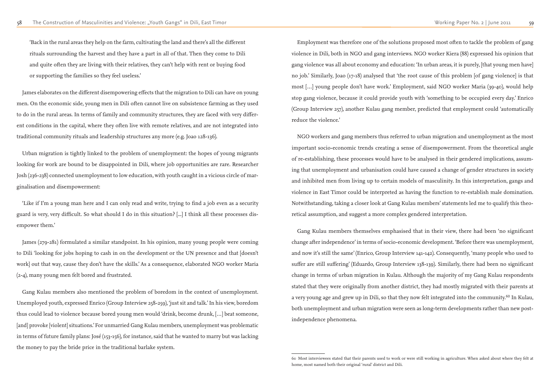'Back in the rural areas they help on the farm, cultivating the land and there's all the different rituals surrounding the harvest and they have a part in all of that. Then they come to Dili and quite often they are living with their relatives, they can't help with rent or buying food or supporting the families so they feel useless.'

James elaborates on the different disempowering effects that the migration to Dili can have on young men. On the economic side, young men in Dili often cannot live on subsistence farming as they used to do in the rural areas. In terms of family and community structures, they are faced with very different conditions in the capital, where they often live with remote relatives, and are not integrated into traditional community rituals and leadership structures any more (e.g. Joao 128-136).

Urban migration is tightly linked to the problem of unemployment: the hopes of young migrants looking for work are bound to be disappointed in Dili, where job opportunities are rare. Researcher Josh (236-238) connected unemployment to low education, with youth caught in a vicious circle of marginalisation and disempowerment:

'Like if I'm a young man here and I can only read and write, trying to find a job even as a security guard is very, very difficult. So what should I do in this situation? [...] I think all these processes disempower them.'

James (279-281) formulated a similar standpoint. In his opinion, many young people were coming to Dili 'looking for jobs hoping to cash in on the development or the UN presence and that [doesn't work] out that way, cause they don't have the skills.' As a consequence, elaborated NGO worker Maria (2-4), many young men felt bored and frustrated.

Gang Kulau members also mentioned the problem of boredom in the context of unemployment. Unemployed youth, expressed Enrico (Group Interview 258-259), 'just sit and talk.' In his view, boredom thus could lead to violence because bored young men would 'drink, become drunk, […] beat someone, [and] provoke [violent] situations.' For unmarried Gang Kulau members, unemployment was problematic in terms of future family plans: José (153-156), for instance, said that he wanted to marry but was lacking the money to pay the bride price in the traditional barlake system.

Employment was therefore one of the solutions proposed most often to tackle the problem of gang violence in Dili, both in NGO and gang interviews. NGO worker Kiera (88) expressed his opinion that gang violence was all about economy and education: 'In urban areas, it is purely, [that young men have] no job.' Similarly, Joao (17-18) analysed that 'the root cause of this problem [of gang violence] is that most […] young people don't have work.' Employment, said NGO worker Maria (39-40), would help stop gang violence, because it could provide youth with 'something to be occupied every day.' Enrico (Group Interview 257), another Kulau gang member, predicted that employment could 'automatically reduce the violence.'

NGO workers and gang members thus referred to urban migration and unemployment as the most important socio-economic trends creating a sense of disempowerment. From the theoretical angle of re-establishing, these processes would have to be analysed in their gendered implications, assuming that unemployment and urbanisation could have caused a change of gender structures in society and inhibited men from living up to certain models of masculinity. In this interpretation, gangs and violence in East Timor could be interpreted as having the function to re-establish male domination. Notwithstanding, taking a closer look at Gang Kulau members' statements led me to qualify this theoretical assumption, and suggest a more complex gendered interpretation.

Gang Kulau members themselves emphasised that in their view, there had been 'no significant change after independence' in terms of socio-economic development. 'Before there was unemployment, and now it's still the same' (Enrico, Group Interview 141-142). Consequently, 'many people who used to suffer are still suffering' (Eduardo, Group Interview 138-139). Similarly, there had been no significant change in terms of urban migration in Kulau. Although the majority of my Gang Kulau respondents stated that they were originally from another district, they had mostly migrated with their parents at a very young age and grew up in Dili, so that they now felt integrated into the community.<sup>60</sup> In Kulau, both unemployment and urban migration were seen as long-term developments rather than new postindependence phenomena.

<sup>60</sup> Most interviewees stated that their parents used to work or were still working in agriculture. When asked about where they felt at home, most named both their original 'rural' district and Dili.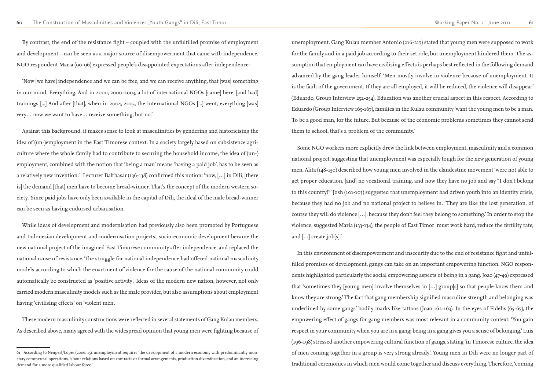By contrast, the end of the resistance fight – coupled with the unfulfilled promise of employment and development – can be seen as a major source of disempowerment that came with independence. NGO respondent Maria (90-96) expressed people's disappointed expectations after independence:

'Now [we have] independence and we can be free, and we can receive anything, that [was] something in our mind. Everything. And in 2000, 2000-2003, a lot of international NGOs [came] here, [and had] trainings [...] And after [that], when in 2004, 2005, the international NGOs [...] went, everything [was] very… now we want to have… receive something, but no.'

Against this background, it makes sense to look at masculinities by gendering and historicising the idea of (un-)employment in the East Timorese context. In a society largely based on subsistence agriculture where the whole family had to contribute to securing the household income, the idea of (un-) employment, combined with the notion that 'being a man' means 'having a paid job', has to be seen as a relatively new invention.<sup>61</sup> Lecturer Balthasar (136-138) confirmed this notion: 'now, [...] in Dili, [there is] the demand [that] men have to become bread-winner. That's the concept of the modern western society.' Since paid jobs have only been available in the capital of Dili, the ideal of the male bread-winner can be seen as having endorsed urbanisation.

While ideas of development and modernisation had previously also been promoted by Portuguese and Indonesian development and modernisation projects., socio-economic development became the new national project of the imagined East Timorese community after independence, and replaced the national cause of resistance. The struggle for national independence had offered national masculinity models according to which the enactment of violence for the cause of the national community could automatically be constructed as 'positive activity'. Ideas of the modern new nation, however, not only carried modern masculinity models such as the male provider, but also assumptions about employment having 'civilising effects' on 'violent men'.

These modern masculinity constructions were reflected in several statements of Gang Kulau members. As described above, many agreed with the widespread opinion that young men were fighting because of unemployment. Gang Kulau member Antonio (216-217) stated that young men were supposed to work for the family and in a paid job according to their set role, but unemployment hindered them. The assumption that employment can have civilising effects is perhaps best reflected in the following demand advanced by the gang leader himself: 'Men mostly involve in violence because of unemployment. It is the fault of the government. If they are all employed, it will be reduced, the violence will disappear' (Eduardo, Group Interview 252-254). Education was another crucial aspect in this respect. According to Eduardo (Group Interview 165-167), families in the Kulau community 'want the young men to be a man. To be a good man, for the future. But because of the economic problems sometimes they cannot send them to school, that's a problem of the community.'

Some NGO workers more explicitly drew the link between employment, masculinity and a common national project, suggesting that unemployment was especially tough for the new generation of young men. Alita (148-150) described how young men involved in the clandestine movement 'were not able to get proper education, [and] no vocational training, and now they have no job and say "I don't belong to this country!"' Josh (101-103) suggested that unemployment had driven youth into an identity crisis, because they had no job and no national project to believe in. 'They are like the lost generation, of course they will do violence […], because they don't feel they belong to something.' In order to stop the violence, suggested Maria (133-134), the people of East Timor 'must work hard, reduce the fertility rate, and […] create job[s].'

In this environment of disempowerment and insecurity due to the end of resistance fight and unfulfilled promises of development, gangs can take on an important empowering function. NGO respondents highlighted particularly the social empowering aspects of being in a gang. Joao (47-49) expressed that 'sometimes they [young men] involve themselves in […] group[s] so that people know them and know they are strong.' The fact that gang membership signified masculine strength and belonging was underlined by some gangs' bodily marks like tattoos (Joao 162-163). In the eyes of Fidelis (65-67), the empowering effect of gangs for gang members was most relevant in a community context: 'You gain respect in your community when you are in a gang; being in a gang gives you a sense of belonging.' Luis (196-198) stressed another empowering cultural function of gangs, stating 'in Timorese culture, the idea of men coming together in a group is very strong already'. Young men in Dili were no longer part of traditional ceremonies in which men would come together and discuss everything. Therefore, 'coming

<sup>61</sup> According to Neupert/Lopes (2006: 15), unemployment requires 'the development of a modern economy with predominantly monetary commercial operations, labour relations based on contracts or formal arrangements, production diversification, and an increasing demand for a more qualified labour force.'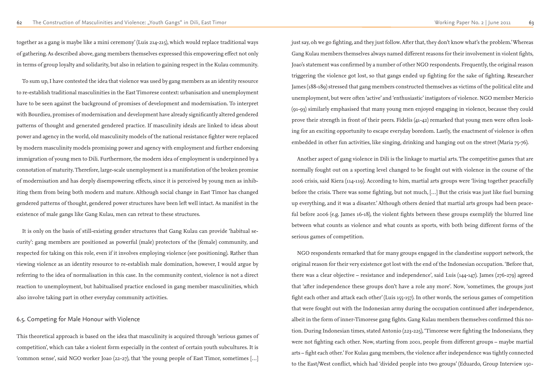together as a gang is maybe like a mini ceremony' (Luis 214-215), which would replace traditional ways of gathering. As described above, gang members themselves expressed this empowering effect not only in terms of group loyalty and solidarity, but also in relation to gaining respect in the Kulau community.

To sum up, I have contested the idea that violence was used by gang members as an identity resource to re-establish traditional masculinities in the East Timorese context: urbanisation and unemployment have to be seen against the background of promises of development and modernisation. To interpret with Bourdieu, promises of modernisation and development have already significantly altered gendered patterns of thought and generated gendered practice. If masculinity ideals are linked to ideas about power and agency in the world, old masculinity models of the national resistance fighter were replaced by modern masculinity models promising power and agency with employment and further endorsing immigration of young men to Dili. Furthermore, the modern idea of employment is underpinned by a connotation of maturity. Therefore, large-scale unemployment is a manifestation of the broken promise of modernisation and has deeply disempowering effects, since it is perceived by young men as inhibiting them from being both modern and mature. Although social change in East Timor has changed gendered patterns of thought, gendered power structures have been left well intact. As manifest in the existence of male gangs like Gang Kulau, men can retreat to these structures.

It is only on the basis of still-existing gender structures that Gang Kulau can provide 'habitual security': gang members are positioned as powerful (male) protectors of the (female) community, and respected for taking on this role, even if it involves employing violence (see positioning). Rather than viewing violence as an identity resource to re-establish male domination, however, I would argue by referring to the idea of normalisation in this case. In the community context, violence is not a direct reaction to unemployment, but habitualised practice enclosed in gang member masculinities, which also involve taking part in other everyday community activities.

### 6.5. Competing for Male Honour with Violence

This theoretical approach is based on the idea that masculinity is acquired through 'serious games of competition', which can take a violent form especially in the context of certain youth subcultures. It is 'common sense', said NGO worker Joao (22-27), that 'the young people of East Timor, sometimes […]

just say, oh we go fighting, and they just follow. After that, they don't know what's the problem.' Whereas Gang Kulau members themselves always named different reasons for their involvement in violent fights, Joao's statement was confirmed by a number of other NGO respondents. Frequently, the original reason triggering the violence got lost, so that gangs ended up fighting for the sake of fighting. Researcher James (188-189) stressed that gang members constructed themselves as victims of the political elite and unemployment, but were often 'active' and 'enthusiastic' instigators of violence. NGO member Mericio (91-93) similarly emphasised that many young men enjoyed engaging in violence, because they could prove their strength in front of their peers. Fidelis (41-42) remarked that young men were often looking for an exciting opportunity to escape everyday boredom. Lastly, the enactment of violence is often embedded in other fun activities, like singing, drinking and hanging out on the street (Maria 75-76).

Another aspect of gang violence in Dili is the linkage to martial arts. The competitive games that are normally fought out on a sporting level changed to be fought out with violence in the course of the 2006 crisis, said Kiera (114-119). According to him, martial arts groups were 'living together peacefully before the crisis. There was some fighting, but not much, […] But the crisis was just like fuel burning up everything, and it was a disaster.' Although others denied that martial arts groups had been peaceful before 2006 (e.g. James 16-18), the violent fights between these groups exemplify the blurred line between what counts as violence and what counts as sports, with both being different forms of the serious games of competition.

NGO respondents remarked that for many groups engaged in the clandestine support network, the original reason for their very existence got lost with the end of the Indonesian occupation. 'Before that, there was a clear objective – resistance and independence', said Luis (144-147). James (276-279) agreed that 'after independence these groups don't have a role any more'. Now, 'sometimes, the groups just fight each other and attack each other' (Luis 155-157). In other words, the serious games of competition that were fought out with the Indonesian army during the occupation continued after independence, albeit in the form of inner-Timorese gang fights. Gang Kulau members themselves confirmed this notion. During Indonesian times, stated Antonio (223-225), 'Timorese were fighting the Indonesians, they were not fighting each other. Now, starting from 2001, people from different groups – maybe martial arts – fight each other.' For Kulau gang members, the violence after independence was tightly connected to the East/West conflict, which had 'divided people into two groups' (Eduardo, Group Interview 150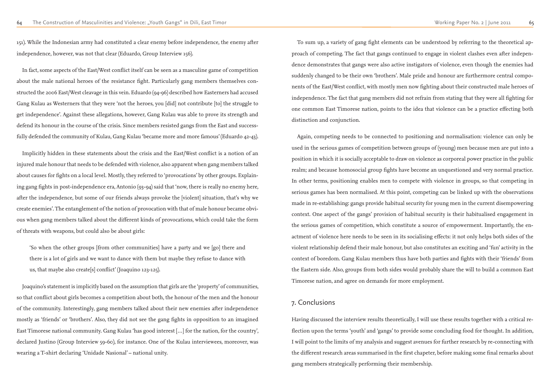151). While the Indonesian army had constituted a clear enemy before independence, the enemy after independence, however, was not that clear (Eduardo, Group Interview 156).

In fact, some aspects of the East/West conflict itself can be seen as a masculine game of competition about the male national heroes of the resistance fight. Particularly gang members themselves constructed the 2006 East/West cleavage in this vein. Eduardo (94-96) described how Easterners had accused Gang Kulau as Westerners that they were 'not the heroes, you [did] not contribute [to] the struggle to get independence'. Against these allegations, however, Gang Kulau was able to prove its strength and defend its honour in the course of the crisis. Since members resisted gangs from the East and successfully defended the community of Kulau, Gang Kulau 'became more and more famous' (Eduardo 42-43).

Implicitly hidden in these statements about the crisis and the East/West conflict is a notion of an injured male honour that needs to be defended with violence, also apparent when gang members talked about causes for fights on a local level. Mostly, they referred to 'provocations' by other groups. Explaining gang fights in post-independence era, Antonio (93-94) said that 'now, there is really no enemy here, after the independence, but some of our friends always provoke the [violent] situation, that's why we create enemies'. The entanglement of the notion of provocation with that of male honour became obvious when gang members talked about the different kinds of provocations, which could take the form of threats with weapons, but could also be about girls:

'So when the other groups [from other communities] have a party and we [go] there and there is a lot of girls and we want to dance with them but maybe they refuse to dance with us, that maybe also create[s] conflict' (Joaquino 123-125).

Joaquino's statement is implicitly based on the assumption that girls are the 'property' of communities, so that conflict about girls becomes a competition about both, the honour of the men and the honour of the community. Interestingly, gang members talked about their new enemies after independence mostly as 'friends' or 'brothers'. Also, they did not see the gang fights in opposition to an imagined East Timorese national community. Gang Kulau 'has good interest […] for the nation, for the country', declared Justino (Group Interview 59-60), for instance. One of the Kulau interviewees, moreover, was wearing a T-shirt declaring 'Unidade Nasional' – national unity.

To sum up, a variety of gang fight elements can be understood by referring to the theoretical approach of competing. The fact that gangs continued to engage in violent clashes even after independence demonstrates that gangs were also active instigators of violence, even though the enemies had suddenly changed to be their own 'brothers'. Male pride and honour are furthermore central components of the East/West conflict, with mostly men now fighting about their constructed male heroes of independence. The fact that gang members did not refrain from stating that they were all fighting for one common East Timorese nation, points to the idea that violence can be a practice effecting both distinction and conjunction.

Again, competing needs to be connected to positioning and normalisation: violence can only be used in the serious games of competition between groups of (young) men because men are put into a position in which it is socially acceptable to draw on violence as corporeal power practice in the public realm; and because homosocial group fights have become an unquestioned and very normal practice. In other terms, positioning enables men to compete with violence in groups, so that competing in serious games has been normalised. At this point, competing can be linked up with the observations made in re-establishing: gangs provide habitual security for young men in the current disempowering context. One aspect of the gangs' provision of habitual security is their habitualised engagement in the serious games of competition, which constitute a source of empowerment. Importantly, the enactment of violence here needs to be seen in its socialising effects: it not only helps both sides of the violent relationship defend their male honour, but also constitutes an exciting and 'fun' activity in the context of boredom. Gang Kulau members thus have both parties and fights with their 'friends' from the Eastern side. Also, groups from both sides would probably share the will to build a common East Timorese nation, and agree on demands for more employment.

# 7. Conclusions

Having discussed the interview results theoretically, I will use these results together with a critical reflection upon the terms 'youth' and 'gangs' to provide some concluding food for thought. In addition, I will point to the limits of my analysis and suggest avenues for further research by re-connecting with the different research areas summarised in the first chapeter, before making some final remarks about gang members strategically performing their membership.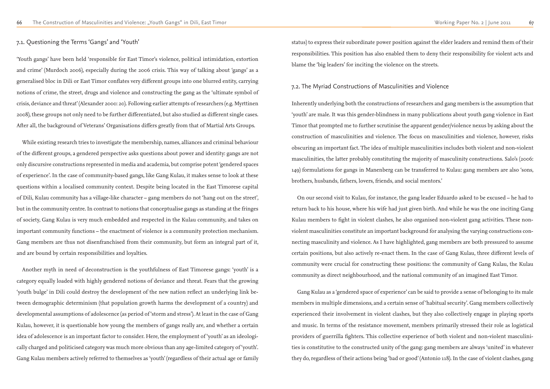### 7.1. Questioning the Terms 'Gangs' and 'Youth'

'Youth gangs' have been held 'responsible for East Timor's violence, political intimidation, extortion and crime' (Murdoch 2006), especially during the 2006 crisis. This way of talking about 'gangs' as a generalised bloc in Dili or East Timor conflates very different groups into one blurred entity, carrying notions of crime, the street, drugs and violence and constructing the gang as the 'ultimate symbol of crisis, deviance and threat' (Alexander 2000: 20). Following earlier attempts of researchers (e.g. Myrttinen 2008), these groups not only need to be further differentiated, but also studied as different single cases. After all, the background of Veterans' Organisations differs greatly from that of Martial Arts Groups.

While existing research tries to investigate the membership, names, alliances and criminal behaviour of the different groups, a gendered perspective asks questions about power and identity: gangs are not only discursive constructions represented in media and academia, but comprise potent 'gendered spaces of experience'. In the case of community-based gangs, like Gang Kulau, it makes sense to look at these questions within a localised community context. Despite being located in the East Timorese capital of Dili, Kulau community has a village-like character – gang members do not 'hang out on the street', but in the community centre. In contrast to notions that conceptualise gangs as standing at the fringes of society, Gang Kulau is very much embedded and respected in the Kulau community, and takes on important community functions – the enactment of violence is a community protection mechanism. Gang members are thus not disenfranchised from their community, but form an integral part of it, and are bound by certain responsibilities and loyalties.

Another myth in need of deconstruction is the youthfulness of East Timorese gangs: 'youth' is a category equally loaded with highly gendered notions of deviance and threat. Fears that the growing 'youth bulge' in Dili could destroy the development of the new nation reflect an underlying link between demographic determinism (that population growth harms the development of a country) and developmental assumptions of adolescence (as period of 'storm and stress'). At least in the case of Gang Kulau, however, it is questionable how young the members of gangs really are, and whether a certain idea of adolescence is an important factor to consider. Here, the employment of 'youth' as an ideologically charged and politicised category was much more obvious than any age-limited category of 'youth'. Gang Kulau members actively referred to themselves as 'youth' (regardless of their actual age or family status) to express their subordinate power position against the elder leaders and remind them of their responsibilities. This position has also enabled them to deny their responsibility for violent acts and blame the 'big leaders' for inciting the violence on the streets.

### 7.2. The Myriad Constructions of Masculinities and Violence

Inherently underlying both the constructions of researchers and gang members is the assumption that 'youth' are male. It was this gender-blindness in many publications about youth gang violence in East Timor that prompted me to further scrutinise the apparent gender/violence nexus by asking about the construction of masculinities and violence. The focus on masculinities and violence, however, risks obscuring an important fact. The idea of multiple masculinities includes both violent and non-violent masculinities, the latter probably constituting the majority of masculinity constructions. Salo's (2006: 149) formulations for gangs in Manenberg can be transferred to Kulau: gang members are also 'sons, brothers, husbands, fathers, lovers, friends, and social mentors.'

On our second visit to Kulau, for instance, the gang leader Eduardo asked to be excused – he had to return back to his house, where his wife had just given birth. And while he was the one inciting Gang Kulau members to fight in violent clashes, he also organised non-violent gang activities. These nonviolent masculinities constitute an important background for analysing the varying constructions connecting masculinity and violence. As I have highlighted, gang members are both pressured to assume certain positions, but also actively re-enact them. In the case of Gang Kulau, three different levels of community were crucial for constructing these positions: the community of Gang Kulau, the Kulau community as direct neighbourhood, and the national community of an imagined East Timor.

Gang Kulau as a 'gendered space of experience' can be said to provide a sense of belonging to its male members in multiple dimensions, and a certain sense of 'habitual security'. Gang members collectively experienced their involvement in violent clashes, but they also collectively engage in playing sports and music. In terms of the resistance movement, members primarily stressed their role as logistical providers of guerrilla fighters. This collective experience of both violent and non-violent masculinities is constitutive to the constructed unity of the gang: gang members are always 'united' in whatever they do, regardless of their actions being 'bad or good' (Antonio 118). In the case of violent clashes, gang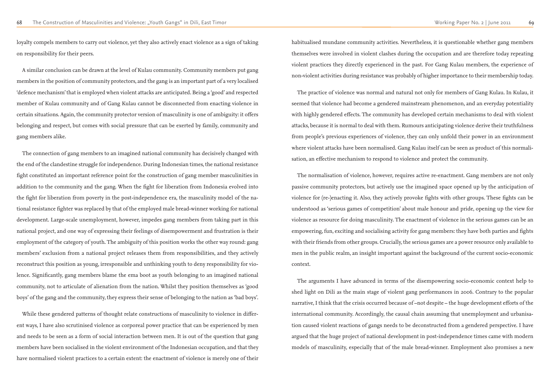loyalty compels members to carry out violence, yet they also actively enact violence as a sign of taking on responsibility for their peers.

A similar conclusion can be drawn at the level of Kulau community. Community members put gang members in the position of community protectors, and the gang is an important part of a very localised 'defence mechanism' that is employed when violent attacks are anticipated. Being a 'good' and respected member of Kulau community and of Gang Kulau cannot be disconnected from enacting violence in certain situations. Again, the community protector version of masculinity is one of ambiguity: it offers belonging and respect, but comes with social pressure that can be exerted by family, community and gang members alike.

The connection of gang members to an imagined national community has decisively changed with the end of the clandestine struggle for independence. During Indonesian times, the national resistance fight constituted an important reference point for the construction of gang member masculinities in addition to the community and the gang. When the fight for liberation from Indonesia evolved into the fight for liberation from poverty in the post-independence era, the masculinity model of the national resistance fighter was replaced by that of the employed male bread-winner working for national development. Large-scale unemployment, however, impedes gang members from taking part in this national project, and one way of expressing their feelings of disempowerment and frustration is their employment of the category of youth. The ambiguity of this position works the other way round: gang members' exclusion from a national project releases them from responsibilities, and they actively reconstruct this position as young, irresponsible and unthinking youth to deny responsibility for violence. Significantly, gang members blame the ema boot as youth belonging to an imagined national community, not to articulate of alienation from the nation. Whilst they position themselves as 'good boys' of the gang and the community, they express their sense of belonging to the nation as 'bad boys'.

While these gendered patterns of thought relate constructions of masculinity to violence in different ways, I have also scrutinised violence as corporeal power practice that can be experienced by men and needs to be seen as a form of social interaction between men. It is out of the question that gang members have been socialised in the violent environment of the Indonesian occupation, and that they have normalised violent practices to a certain extent: the enactment of violence is merely one of their

habitualised mundane community activities. Nevertheless, it is questionable whether gang members themselves were involved in violent clashes during the occupation and are therefore today repeating violent practices they directly experienced in the past. For Gang Kulau members, the experience of non-violent activities during resistance was probably of higher importance to their membership today.

The practice of violence was normal and natural not only for members of Gang Kulau. In Kulau, it seemed that violence had become a gendered mainstream phenomenon, and an everyday potentiality with highly gendered effects. The community has developed certain mechanisms to deal with violent attacks, because it is normal to deal with them. Rumours anticipating violence derive their truthfulness from people's previous experiences of violence, they can only unfold their power in an environment where violent attacks have been normalised. Gang Kulau itself can be seen as product of this normalisation, an effective mechanism to respond to violence and protect the community.

The normalisation of violence, however, requires active re-enactment. Gang members are not only passive community protectors, but actively use the imagined space opened up by the anticipation of violence for (re-)enacting it. Also, they actively provoke fights with other groups. These fights can be understood as 'serious games of competition' about male honour and pride, opening up the view for violence as resource for doing masculinity. The enactment of violence in the serious games can be an empowering, fun, exciting and socialising activity for gang members: they have both parties and fights with their friends from other groups. Crucially, the serious games are a power resource only available to men in the public realm, an insight important against the background of the current socio-economic context.

The arguments I have advanced in terms of the disempowering socio-economic context help to shed light on Dili as the main stage of violent gang performances in 2006. Contrary to the popular narrative, I think that the crisis occurred because of –not despite – the huge development efforts of the international community. Accordingly, the causal chain assuming that unemployment and urbanisation caused violent reactions of gangs needs to be deconstructed from a gendered perspective. I have argued that the huge project of national development in post-independence times came with modern models of masculinity, especially that of the male bread-winner. Employment also promises a new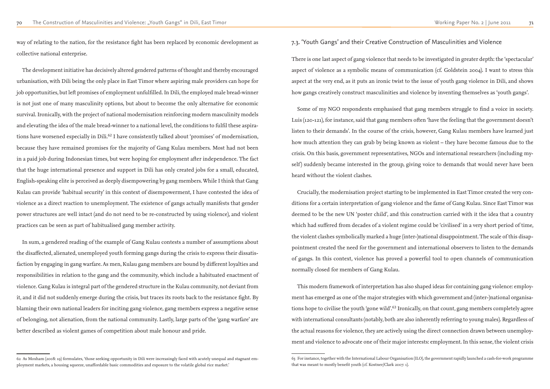way of relating to the nation, for the resistance fight has been replaced by economic development as collective national enterprise.

The development initiative has decisively altered gendered patterns of thought and thereby encouraged urbanisation, with Dili being the only place in East Timor where aspiring male providers can hope for job opportunities, but left promises of employment unfulfilled. In Dili, the employed male bread-winner is not just one of many masculinity options, but about to become the only alternative for economic survival. Ironically, with the project of national modernisation reinforcing modern masculinity models and elevating the idea of the male bread-winner to a national level, the conditions to fulfil these aspirations have worsened especially in Dili.<sup>62</sup> I have consistently talked about 'promises' of modernisation, because they have remained promises for the majority of Gang Kulau members. Most had not been in a paid job during Indonesian times, but were hoping for employment after independence. The fact that the huge international presence and support in Dili has only created jobs for a small, educated, English-speaking elite is perceived as deeply disempowering by gang members. While I think that Gang Kulau can provide 'habitual security' in this context of disempowerment, I have contested the idea of violence as a direct reaction to unemployment. The existence of gangs actually manifests that gender power structures are well intact (and do not need to be re-constructed by using violence), and violent practices can be seen as part of habitualised gang member activity.

In sum, a gendered reading of the example of Gang Kulau contests a number of assumptions about the disaffected, alienated, unemployed youth forming gangs during the crisis to express their dissatisfaction by engaging in gang warfare. As men, Kulau gang members are bound by different loyalties and responsibilities in relation to the gang and the community, which include a habituated enactment of violence. Gang Kulau is integral part of the gendered structure in the Kulau community, not deviant from it, and it did not suddenly emerge during the crisis, but traces its roots back to the resistance fight. By blaming their own national leaders for inciting gang violence, gang members express a negative sense of belonging, not alienation, from the national community. Lastly, large parts of the 'gang warfare' are better described as violent games of competition about male honour and pride.

# 7.3. 'Youth Gangs' and their Creative Construction of Masculinities and Violence

There is one last aspect of gang violence that needs to be investigated in greater depth: the 'spectacular' aspect of violence as a symbolic means of communication (cf. Goldstein 2004). I want to stress this aspect at the very end, as it puts an ironic twist to the issue of youth gang violence in Dili, and shows how gangs creatively construct masculinities and violence by inventing themselves as 'youth gangs'.

Some of my NGO respondents emphasised that gang members struggle to find a voice in society. Luis (120-121), for instance, said that gang members often 'have the feeling that the government doesn't listen to their demands'. In the course of the crisis, however, Gang Kulau members have learned just how much attention they can grab by being known as violent – they have become famous due to the crisis. On this basis, government representatives, NGOs and international researchers (including myself) suddenly became interested in the group, giving voice to demands that would never have been heard without the violent clashes.

Crucially, the modernisation project starting to be implemented in East Timor created the very conditions for a certain interpretation of gang violence and the fame of Gang Kulau. Since East Timor was deemed to be the new UN 'poster child', and this construction carried with it the idea that a country which had suffered from decades of a violent regime could be 'civilised' in a very short period of time, the violent clashes symbolically marked a huge (inter-)national disappointment. The scale of this disappointment created the need for the government and international observers to listen to the demands of gangs. In this context, violence has proved a powerful tool to open channels of communication normally closed for members of Gang Kulau.

This modern framework of interpretation has also shaped ideas for containing gang violence: employment has emerged as one of the major strategies with which government and (inter-)national organisations hope to civilise the youth 'gone wild'.<sup>63</sup> Ironically, on that count, gang members completely agree with international consultants (notably, both are also inherently referring to young males). Regardless of the actual reasons for violence, they are actively using the direct connection drawn between unemployment and violence to advocate one of their major interests: employment. In this sense, the violent crisis

<sup>62</sup> As Moxham (2008: 19) formulates, 'those seeking opportunity in Dili were increasingly faced with acutely unequal and stagnant employment markets, a housing squeeze, unaffordable basic commodities and exposure to the volatile global rice market.'

<sup>63</sup> For instance, together with the International Labour Organisation (ILO), the government rapidly launched a cash-for-work programme that was meant to mostly benefit youth (cf. Kostner/Clark 2007: 1).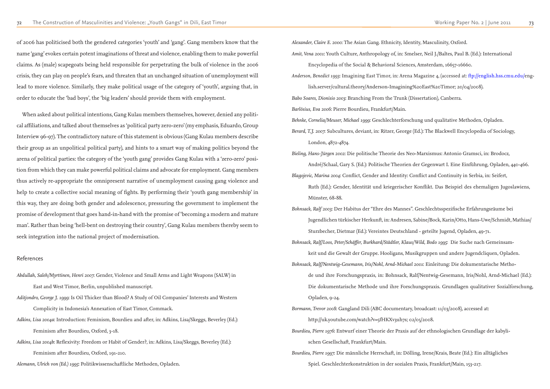of 2006 has politicised both the gendered categories 'youth' and 'gang'. Gang members know that the name 'gang' evokes certain potent imaginations of threat and violence, enabling them to make powerful claims. As (male) scapegoats being held responsible for perpetrating the bulk of violence in the 2006 crisis, they can play on people's fears, and threaten that an unchanged situation of unemployment will lead to more violence. Similarly, they make political usage of the category of 'youth', arguing that, in order to educate the 'bad boys', the 'big leaders' should provide them with employment.

When asked about political intentions, Gang Kulau members themselves, however, denied any political affiliations, and talked about themselves as 'political party zero-zero' (my emphasis, Eduardo, Group Interview 96-97). The contradictory nature of this statement is obvious (Gang Kulau members describe their group as an unpolitical political party), and hints to a smart way of making politics beyond the arena of political parties: the category of the 'youth gang' provides Gang Kulau with a 'zero-zero' position from which they can make powerful political claims and advocate for employment. Gang members thus actively re-appropriate the omnipresent narrative of unemployment causing gang violence and help to create a collective social meaning of fights. By performing their 'youth gang membership' in this way, they are doing both gender and adolescence, pressuring the government to implement the promise of development that goes hand-in-hand with the promise of 'becoming a modern and mature man'. Rather than being 'hell-bent on destroying their country', Gang Kulau members thereby seem to seek integration into the national project of modernisation.

#### References

- *Abdullah, Saleh/Myrttinen, Henri 2007*: Gender, Violence and Small Arms and Light Weapons (SALW) in East and West Timor, Berlin, unpublished manuscript.
- *Aditjondro, George J. 1999*: Is Oil Thicker than Blood? A Study of Oil Companies' Interests and Western Complicity in Indonesia's Annexation of East Timor, Commack.
- *Adkins, Lisa 2004a*: Introduction: Feminism, Bourdieu and after, in: Adkins, Lisa/Skeggs, Beverley (Ed.): Feminism after Bourdieu, Oxford, 3-18.
- *Adkins, Lisa 2004b*: Reflexivity: Freedom or Habit of Gender?, in: Adkins, Lisa/Skeggs, Beverley (Ed.): Feminism after Bourdieu, Oxford, 191-210.
- *Alemann, Ulrich von (Ed.) 1995*: Politikwissenschaftliche Methoden, Opladen.

*Alexander, Claire E. 2000*: The Asian Gang. Ethnicity, Identity, Masculinity, Oxford. *Amit, Vena 2001*: Youth Culture, Anthropology of, in: Smelser, Neil J./Baltes, Paul B. (Ed.): International Encyclopedia of the Social & Behavioral Sciences, Amsterdam, 16657-16660. *Anderson, Benedict 1993*: Imagining East Timor, in: Arena Magazine 4, (accessed at: ftp://english.hss.cmu.edu/english.server/cultural.theory/Anderson-Imagining%20East%20Timor; 20/04/2008). *Babo Soares, Dionisio 2003*: Branching From the Trunk (Dissertation), Canberra.

*Barlösius, Eva 2006*: Pierre Bourdieu, Frankfurt/Main. *Behnke, Cornelia/Meuser, Michael 1999*: Geschlechterforschung und qualitative Methoden, Opladen. *Berard, T.J. 2007*: Subcultures, deviant, in: Ritzer, George (Ed.): The Blackwell Encyclopedia of Sociology, London, 4872-4874.

André/Schaal, Gary S. (Ed.): Politische Theorien der Gegenwart I. Eine Einführung, Opladen, 440-466. Ruth (Ed.): Gender, Identität und kriegerischer Konflikt. Das Beispiel des ehemaligen Jugoslawiens,

- *Bieling, Hans-Jürgen 2002*: Die politische Theorie des Neo-Marxismus: Antonio Gramsci, in: Brodocz, *Blagojevic, Marina 2004*: Conflict, Gender and Identity: Conflict and Continuity in Serbia, in: Seifert, Münster, 68-88.
- *Bohnsack, Ralf 2003*: Der Habitus der "Ehre des Mannes". Geschlechtsspezifische Erfahrungsräume bei Sturzbecher, Dietmar (Ed.): Vereintes Deutschland - geteilte Jugend, Opladen, 49-71. *Bohnsack, Ralf/Loos, Peter/Schäffer, Burkhard/Städtler, Klaus/Wild, Bodo 1995*: Die Suche nach Gemeinsamkeit und die Gewalt der Gruppe. Hooligans, Musikgruppen und andere Jugendcliquen, Opladen. *Bohnsack, Ralf/Nentwig-Gesemann, Iris/Nohl, Arnd-Michael 2001*: Einleitung: Die dokumentarische Metho-Die dokumentarische Methode und ihre Forschungspraxis. Grundlagen qualitativer Sozialforschung, Opladen, 9-24.
- http://uk.youtube.com/watch?v=5fHKXv3uh7s; 02/05/2008. *Bourdieu, Pierre 1976*: Entwurf einer Theorie der Praxis auf der ethnologischen Grundlage der kabylischen Gesellschaft, Frankfurt/Main.
- *Bourdieu, Pierre 1997*: Die männliche Herrschaft, in: Dölling, Irene/Krais, Beate (Ed.): Ein alltägliches

Jugendlichen türkischer Herkunft, in: Andresen, Sabine/Bock, Karin/Otto, Hans-Uwe/Schmidt, Mathias/ de und ihre Forschungspraxis, in: Bohnsack, Ralf/Nentwig-Gesemann, Iris/Nohl, Arnd-Michael (Ed.):

*Bormann, Trevor 2008*: Gangland Dili (ABC documentary, broadcast: 11/03/2008), accessed at:

Spiel. Geschlechterkonstruktion in der sozialen Praxis, Frankfurt/Main, 153-217.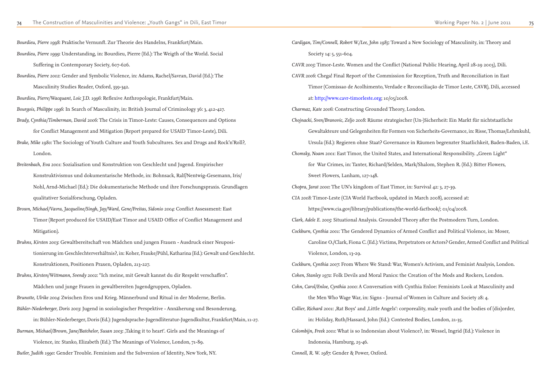*Bourdieu, Pierre 1998*: Praktische Vernunft. Zur Theorie des Handelns, Frankfurt/Main.

*Bourdieu, Pierre 1999*: Understanding, in: Bourdieu, Pierre (Ed.): The Weigth of the World. Social Suffering in Contemporary Society, 607-626. *Bourdieu, Pierre 2002*: Gender and Symbolic Violence, in: Adams, Rachel/Savran, David (Ed.): The Masculinity Studies Reader, Oxford, 339-342. *Bourdieu, Pierre/Wacquant, Loic J.D. 1996*: Reflexive Anthropologie, Frankfurt/Main. *Bourgois, Philippe 1996*: In Search of Masculinity, in: British Journal of Criminology 36: 3, 412-427. *Brady, Cynthia/Timberman, David 2006*: The Crisis in Timor-Leste: Causes, Consequences and Options for Conflict Management and Mitigation (Report prepared for USAID Timor-Leste), Dili. *Brake, Mike 1980*: The Sociology of Youth Culture and Youth Subcultures. Sex and Drugs and Rock'n'Roll?, London. *Breitenbach, Eva 2001*: Sozialisation und Konstruktion von Geschlecht und Jugend. Empirischer Konstruktivismus und dokumentarische Methode, in: Bohnsack, Ralf/Nentwig-Gesemann, Iris/ Nohl, Arnd-Michael (Ed.): Die dokumentarische Methode und ihre Forschungspraxis. Grundlagen qualitativer Sozialforschung, Opladen. *Brown, Michael/Vavra, Jacqueline/Singh, Jay/Ward, Gene/Freitas, Sidonio 2004*: Conflict Assessment: East Timor (Report produced for USAID/East Timor and USAID Office of Conflict Management and Mitigation). *Bruhns, Kirsten 2003*: Gewaltbereitschaft von Mädchen und jungen Frauen - Ausdruck einer Neupositionierung im Geschlechterverhältnis?, in: Koher, Frauke/Pühl, Katharina (Ed.): Gewalt und Geschlecht. Konstruktionen, Positionen Praxen, Opladen, 213-227. *Bruhns, Kirsten/Wittmann, Svendy 2002*: "Ich meine, mit Gewalt kannst du dir Respekt verschaffen". Mädchen und junge Frauen in gewaltbereiten Jugendgruppen, Opladen. *Brunotte, Ulrike 2004*: Zwischen Eros und Krieg. Männerbund und Ritual in der Moderne, Berlin. *Bühler-Niederberger, Doris 2003*: Jugend in soziologischer Perspektive - Annäherung und Besonderung, in: Bühler-Niederberger, Doris (Ed.): Jugendsprache-Jugendliteratur-Jugendkultur, Frankfurt/Main, 11-27. *Burman, Michael/Brown, Jane/Batchelor, Susan 2003*: *Jaking it to heart'. Girls and the Meanings of* Violence, in: Stanko, Elizabeth (Ed.): The Meanings of Violence, London, 71-89. *Butler, Judith 1990*: Gender Trouble. Feminism and the Subversion of Identity, New York, NY.

*Cardigan, Tim/Connell, Robert W./Lee, John 1985*: Toward a New Sociology of Masculinity, in: Theory and Society 14: 5, 551-604. *CAVR 2005*: Timor-Leste. Women and the Conflict (National Public Hearing, April 28-29 2003), Dili. *CAVR 2006*: Chega! Final Report of the Commission for Reception, Truth and Reconciliation in East Timor (Comissao de Acolhimento, Verdade e Reconciliação de Timor Leste, CAVR), Dili, accessed at: http://www.cavr-timorleste.org; 10/05/2008. *Charmaz, Kate 2006*: Constructing Grounded Theory, London. *Chojnacki, Sven/Branovic, Zeljo 2008*: Räume strategischer (Un‐)Sicherheit: Ein Markt für nichtstaatliche Gewaltakteure und Gelegenheiten für Formen von Sicherheits‐Governance, in: Risse, Thomas/Lehmkuhl, Ursula (Ed.): Regieren ohne Staat? Governance in Räumen begrenzter Staatlichkeit, Baden-Baden, i.E. *Chomsky, Noam 2001*: East Timor, the United States, and International Responsibility. "Green Light" for War Crimes, in: Tanter, Richard/Selden, Mark/Shalom, Stephen R. (Ed.): Bitter Flowers, Sweet Flowers, Lanham, 127-148. *Chopra, Jarat 2000*: The UN's kingdom of East Timor, in: Survival 42: 3, 27-39. *CIA 2008*: Timor-Leste (CIA World Factbook, updated in March 2008), accessed at: https://www.cia.gov/library/publications/the-world-factbook/; 01/04/2008. *Clark, Adele E. 2005*: Situational Analysis. Grounded Theory after the Postmodern Turn, London. *Cockburn, Cynthia 2001*: The Gendered Dynamics of Armed Conflict and Political Violence, in: Moser, Caroline O./Clark, Fiona C. (Ed.): Victims, Perpetrators or Actors? Gender, Armed Conflict and Political Violence, London, 13-29. *Cockburn, Cynthia 2007*: From Where We Stand: War, Women's Activism, and Feminist Analysis, London. *Cohen, Stanley 1972*: Folk Devils and Moral Panics: the Creation of the Mods and Rockers, London. *Cohn, Carol/Enloe, Cynthia 2000*: A Conversation with Cynthia Enloe: Feminists Look at Masculinity and the Men Who Wage War, in: Signs - Journal of Women in Culture and Society 28: 4. *Collier, Richard 2001*: ,Rat Boys' and ,Little Angels': corporeality, male youth and the bodies of (dis)order, in: Holiday, Ruth/Hassard, John (Ed.): Contested Bodies, London, 21-35. *Colombijn, Freek 2001*: What is so Indonesian about Violence?, in: Wessel, Ingrid (Ed.): Violence in Indonesia, Hamburg, 25-46. *Connell, R. W. 1987*: Gender & Power, Oxford.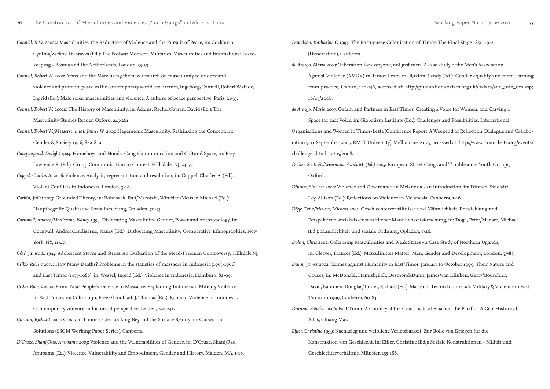*Connell, R.W. 2002a*: Masculinities, the Reduction of Violence and the Pursuit of Peace, in: Cockburn, Cynthia/Zarkov, Dubravka (Ed.): The Postwar Moment. Militaries, Masculinities and International Peacekeeping - Bosnia and the Netherlands, London, 33-39. *Connell, Robert W. 2000*: Arms and the Man: using the new research on masculinity to understand violence and promote peace in the contemporary world, in: Breines, Ingeborg/Connell, Robert W./Eide, Ingrid (Ed.): Male roles, masculinities and violence. A culture of peace perspective, Paris, 21-33. *Connell, Robert W. 2002b*: The History of Masculinity, in: Adams, Rachel/Savran, David (Ed.): The Masculinity Studies Reader, Oxford, 245-261. *Connell, Robert W./Messerschmidt, James W. 2005*: Hegemonic Masculinity. Rethinking the Concept, in: Gender & Society 19: 6, 829-859. *Conquergood, Dwight 1994*: Homeboys and Hoods: Gang Communication and Cultural Space, in: Frey, Lawrence R. (Ed.): Group Communication in Context, Hillsdale, NJ, 23-55. *Coppel, Charles A. 2006*: Violence. Analysis, representation and resolution, in: Coppel, Charles A. (Ed.): Violent Conflicts in Indonesia, London, 3-18. *Corbin, Juliet 2003*: Grounded Theory, in: Bohnsack, Ralf/Marotzki, Winfried/Meuser, Michael (Ed.): Hauptbegriffe Qualitative Sozialforschung, Opladen, 70-75. *Cornwall, Andrea/Lindisarne, Nancy 1994*: Dislocating Masculinity: Gender, Power and Anthropology, in: Cornwall, Andrea/Lindisarne, Nancy (Ed.): Dislocating Masculinity. Comparative Ethnographies, New York, NY, 11-47. *Côté, James E. 1994*: Adolescent Storm and Stress. An Evaluation of the Mead-Freeman Controversy, Hillsdale, NJ. *Cribb, Robert 2001*: How Many Deaths? Problems in the statistics of massacre in Indonesia (1965-1966) and East Timor (1975-1980), in: Wessel, Ingrid (Ed.): Violence in Indonesia, Hamburg, 82-99. *Cribb, Robert 2002*: From Total People's Defence to Massacre. Explaining Indonesian Military Violence in East Timor, in: Colombijn, Freek/Lindblad, J. Thomas (Ed.): Roots of Violence in Indonesia. Contemporary violence in historical perspective, Leiden, 227-241. *Curtain, Richard 2006*: Crisis in Timor Leste: Looking Beyond the Surface Reality for Causes and Solutions (SSGM Working Paper Series), Canberra.

*D'Cruze, Shani/Rao, Anupama 2005*: Violence and the Vulnerabilities of Gender, in: D'Cruze, Shani/Rao, Anupama (Ed.): Violence, Vulnerability and Embodiment. Gender and History, Malden, MA, 1-18. *Davidson, Katharine G 1994*: The Portuguese Colonisation of Timor. The Final Stage 1850-1912 (Dissertation), Canberra. *de Araujo, Mario 2004*: 'Liberation for everyone, not just men'. A case study ofthe Men's Association Against Violence (AMKV) in Timor Leste, in: Ruxton, Sandy (Ed.): Gender equality and men: learning from practice, Oxford, 140-146, accessed at: http://publications.oxfam.org.uk//oxfam/add\_info\_003.asp; 10/05/2008. *de Araujo, Mario 2007*: Oxfam and Partners in East Timor. Creating a Voice for Women, and Carving a Space for that Voice, in: Globalism Institute (Ed.): Challenges and Possibilities. International Organisations and Women in Timor-Leste (Conference Report, A Weekend of Reflection, Dialogue and Collaboration 9-11 September 2005, RMIT University), Melbourne, 21-25, accessed at: http://www.timor-leste.org/events/ challenges.html; 10/05/2008. *Decker, Scott H./Weerman, Frank M. (Ed.) 2005*: European Street Gangs and Troublesome Youth Groups, Oxford. *Dinnen, Sinclair 2000*: Violence and Governance in Melanesia - an introduction, in: Dinnen, Sinclair/ Ley, Allison (Ed.): Reflections on Violence in Melanesia, Canberra, 1-16. *Döge, Peter/Meuser, Michael 2001*: Geschlechterverhältnisse und Männlichkeit. Entwicklung und Perspektiven sozialwissenschaftlicher Männlichkeitsforschung, in: Döge, Peter/Meuser, Michael (Ed.): Männlichkeit und soziale Ordnung, Opladen, 7-26. *Dolan, Chris 2002*: Collapsing Masculinities and Weak States - a Case Study of Northern Uganda, in: Cleaver, Frances (Ed.): Masculinities Matter! Men, Gender and Development, London, 57-83. *Dunn, James 2002*: Crimes against Humanity in East Timor, January to October 1999: Their Nature and Causes, in: McDonald, Hamish/Ball, Desmond/Dunn, James/van Klinken, Gerry/Bourchier, David/Kammen, Douglas/Tanter, Richard (Ed.): Master of Terror: Indonesia's Military & Violence in East Timor in 1999, Canberra, 60-83. *Durand, Frédéric 2006*: East Timor. A Country at the Crossroads of Asia and the Pacific - A Geo-Historical Atlas, Chiang Mai. *Eifler, Christine 1999*: Nachkrieg und weibliche Verletzbarkeit. Zur Rolle von Kriegen für die Konstruktion von Geschlecht, in: Eifler, Christine (Ed.): Soziale Konstruktionen - Militär und

Geschlechterverhältnis, Münster, 155-186.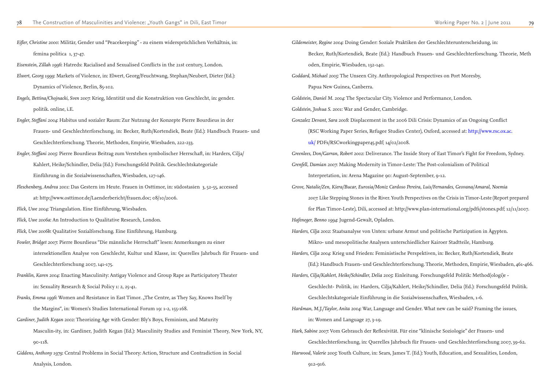*Eifler, Christine 2000*: Militär, Gender und "Peacekeeping" - zu einem widersprüchlichen Verhältnis, in: femina politica 1, 37-47.

*Eisenstein, Zillah 1996*: Hatreds: Racialised and Sexualised Conflicts in the 21st century, London.

- *Elwert, Georg 1999*: Markets of Violence, in: Elwert, Georg/Feuchtwang, Stephan/Neubert, Dieter (Ed.): Dynamics of Violence, Berlin, 85-102.
- *Engels, Bettina/Chojnacki, Sven 2007*: Krieg, Identität und die Konstruktion von Geschlecht, in: gender. politik. online, i.E.
- *Engler, Steffani 2004*: Habitus und sozialer Raum: Zur Nutzung der Konzepte Pierre Bourdieus in der Frauen- und Geschlechterforschung, in: Becker, Ruth/Kortendiek, Beate (Ed.): Handbuch Frauen- und Geschlechterforschung. Theorie, Methoden, Empirie, Wiesbaden, 222-233.
- *Engler, Steffani 2005*: Pierre Bourdieus Beitrag zum Verstehen symbolischer Herrschaft, in: Harders, Cilja/ Kahlert, Heike/Schindler, Delia (Ed.): Forschungsfeld Politik. Geschlechtskategoriale

*Franks, Emma 1996*: Women and Resistance in East Timor. "The Centre, as They Say, Knows Itself by the Margins", in: Women's Studies International Forum 19: 1-2, 155-168.

Einführung in die Sozialwissenschaften, Wiesbaden, 127-146.

- *Fleschenberg, Andrea 2001*: Das Gestern im Heute. Frauen in Osttimor, in: südostasien 3, 52-55, accessed
	- at: http://www.osttimor.de/Laenderbericht/frauen.doc; 08/10/2006.
- *Flick, Uwe 2004*: Triangulation. Eine Einführung, Wiesbaden.
- *Flick, Uwe 2006a*: An Introduction to Qualitative Research, London.
- *Flick, Uwe 2006b*: Qualitative Sozialforschung. Eine Einführung, Hamburg.

*Fowler, Bridget 2007*: Pierre Bourdieus "Die männliche Herrschaft" lesen: Anmerkungen zu einer

intersektionellen Analyse von Geschlecht, Kultur und Klasse, in: Querelles Jahrbuch für Frauen- und Geschlechterforschung 2007, 141-175.

*Franklin, Karen 2004*: Enacting Masculinity: Antigay Violence and Group Rape as Participatory Theater in: Sexuality Research & Social Policy 1: 2, 25-41.

- *Gardiner, Judith Kegan 2002*: Theorizing Age with Gender: Bly's Boys, Feminism, and Maturity Masculin-ity, in: Gardiner, Judith Kegan (Ed.): Masculinity Studies and Feminist Theory, New York, NY, 90-118.
- *Giddens, Anthony 1979*: Central Problems in Social Theory: Action, Structure and Contradiction in Social Analysis, London.

*Gildemeister, Regine 2004*: Doing Gender: Soziale Praktiken der Geschlechterunterscheidung, in: Becker, Ruth/Kortendiek, Beate (Ed.): Handbuch Frauen- und Geschlechterforschung. Theorie, Meth oden, Empirie, Wiesbaden, 132-140. *Goddard, Michael 2005*: The Unseen City. Anthropological Perspectives on Port Moresby, Papua New Guinea, Canberra. *Goldstein, Daniel M. 2004*: The Spectacular City. Violence and Performance, London. *Goldstein, Joshua S. 2001*: War and Gender, Cambridge. *Gonzalez Devant, Sara 2008*: Displacement in the 2006 Dili Crisis: Dynamics of an Ongoing Conflict (RSC Working Paper Series, Refugee Studies Center), Oxford, accessed at: http://www.rsc.ox.ac. uk/ PDFs/RSCworkingpaper45.pdf; 14/02/2008. *Greenlees, Don/Garran, Robert 2002*: Deliverance. The Inside Story of East Timor's Fight for Freedom, Sydney. *Grenfell, Damian 2007*: Making Modernity in Timor-Leste: The Post-colonialism of Political Interpretation, in: Arena Magazine 90: August-September, 9-12. *Grove, Natalie/Zen, Kiera/Bucar, Eurosia/Moniz Cardoso Pereira, Luis/Fernandes, Geovana/Amaral, Noemia 2007*: Like Stepping Stones in the River. Youth Perspectives on the Crisis in Timor-Leste (Report prepared for Plan Timor-Leste), Dili, accessed at: http://www.plan-international.org/pdfs/stones.pdf; 12/11/2007. *Hafeneger, Benno 1994*: Jugend-Gewalt, Opladen. *Harders, Cilja 2002*: Staatsanalyse von Unten: urbane Armut und politische Partizipation in Ägypten. Mikro- und mesopolitische Analysen unterschiedlicher Kairoer Stadtteile, Hamburg. *Harders, Cilja 2004*: Krieg und Frieden: Feministische Perspektiven, in: Becker, Ruth/Kortendiek, Beate (Ed.): Handbuch Frauen- und Geschlechterforschung. Theorie, Methoden, Empirie, Wiesbaden, 461-466. *Harders, Cilja/Kahlert, Heike/Schindler, Delia 2005*: Einleitung. Forschungsfeld Politik: Method(ologi)e - Geschlecht- Politik, in: Harders, Cilja/Kahlert, Heike/Schindler, Delia (Ed.): Forschungsfeld Politik. Geschlechtskategoriale Einführung in die Sozialwissenschaften, Wiesbaden, 1-6. *Hardman, M.J./Taylor, Anita 2004*: War, Language and Gender. What new can be said? Framing the issues, in: Women and Language 27, 3-19. *Hark, Sabine 2007*: Vom Gebrauch der Reflexivität. Für eine "klinische Soziologie" der Frauen- und Geschlechterforschung, in: Querelles Jahrbuch für Frauen- und Geschlechterforschung 2007, 39-62. *Harwood, Valerie 2005*: Youth Culture, in: Sears, James T. (Ed.): Youth, Education, and Sexualities, London,

912-916.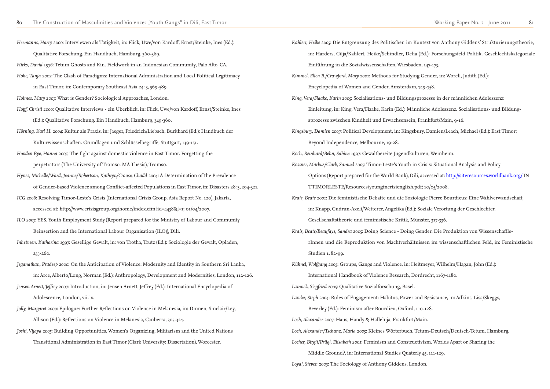*Hermanns, Harry 2000*: Interviewen als Tätigkeit, in: Flick, Uwe/von Kardoff, Ernst/Steinke, Ines (Ed.): Qualitative Forschung. Ein Handbuch, Hamburg, 360-369. *Hicks, David 1976*: Tetum Ghosts and Kin. Fieldwork in an Indonesian Community, Palo Alto, CA. *Hohe, Tanja 2002*: The Clash of Paradigms: International Administration and Local Political Legitimacy in East Timor, in: Contemporary Southeast Asia 24: 3, 569-589. *Holmes, Mary 2007*: What is Gender? Sociological Approaches, London. *Hopf, Christl 2000*: Qualitative Interviews - ein Überblick, in: Flick, Uwe/von Kardoff, Ernst/Steinke, Ines (Ed.): Qualitative Forschung. Ein Handbuch, Hamburg, 349-360. *Hörning, Karl H. 2004*: Kultur als Praxis, in: Jaeger, Friedrich/Liebsch, Burkhard (Ed.): Handbuch der Kulturwissenschaften. Grundlagen und Schlüsselbegriffe, Stuttgart, 139-151. *Hovden Bye, Hanna 2005*: The fight against domestic violence in East Timor. Forgetting the perpetrators (The University of Tromso: MA Thesis), Tromso. *Hynes, Michelle/Ward, Jeanne/Robertson, Kathryn/Crouse, Chadd 2004:* A Determination of the Prevalence of Gender-based Violence among Conflict-affected Populations in East Timor, in: Disasters 28: 3, 294-321. *ICG 2006*: Resolving Timor-Leste's Crisis (International Crisis Group, Asia Report No. 120), Jakarta, accessed at: http://www.crisisgroup.org/home/index.cfm?id=4438&l=1; 01/04/2007. *ILO 2007*: YES. Youth Employment Study (Report prepared for the Ministry of Labour and Community Reinsertion and the International Labour Organisation (ILO)), Dili. *Inhetveen, Katharina 1997*: Gesellige Gewalt, in: von Trotha, Trutz (Ed.): Soziologie der Gewalt, Opladen, 235-260. *Jeganathan, Pradeep 2000*: On the Anticipation of Violence: Modernity and Identity in Southern Sri Lanka, in: Arce, Alberto/Long, Norman (Ed.): Anthropology, Development and Modernities, London, 112-126. *Jensen Arnett, Jeffrey 2007*: Introduction, in: Jensen Arnett, Jeffrey (Ed.): International Encyclopedia of Adolescence, London, vii-ix. *Jolly, Margaret 2000*: Epilogue: Further Reflections on Violence in Melanesia, in: Dinnen, Sinclair/Ley, Allison (Ed.): Reflections on Violence in Melanesia, Canberra, 305-324. *Joshi, Vijaya 2005*: Building Opportunities. Women's Organizing, Militarism and the United Nations Transitional Administration in East Timor (Clark University: Dissertation), Worcester.

- in: Harders, Cilja/Kahlert, Heike/Schindler, Delia (Ed.): Forschungsfeld Politik. Geschlechtskategoriale Options (Report prepared for the World Bank), Dili, accessed at: http://siteresources.worldbank.org/ IN rInnen und die Reproduktion von Machtverhältnissen im wissenschaftlichen Feld, in: Feministische
	-
	-
	-
	-
	-
	-
	-

*Kahlert, Heike 2005*: Die Entgrenzung des Politischen im Kontext von Anthony Giddens' Strukturierungstheorie, Einführung in die Sozialwissenschaften, Wiesbaden, 147-173. *Kimmel, Ellen B./Crawford, Mary 2001*: Methods for Studying Gender, in: Worell, Judith (Ed.): Encyclopedia of Women and Gender, Amsterdam, 749-758. *King, Vera/Flaake, Karin 2005*: Sozialisations- und Bildungsprozesse in der männlichen Adoleszenz: Einleitung, in: King, Vera/Flaake, Karin (Ed.): Männliche Adoleszenz. Sozialisations- und Bildungsprozesse zwischen Kindheit und Erwachsensein, Frankfurt/Main, 9-16. *Kingsbury, Damien 2007*: Political Development, in: Kingsbury, Damien/Leach, Michael (Ed.): East Timor: Beyond Independence, Melbourne, 19-28. *Koch, Reinhard/Behn, Sabine 1997*: Gewaltbereite Jugendkulturen, Weinheim. *Kostner, Markus/Clark, Samuel 2007*: Timor-Leste's Youth in Crisis: Situational Analysis and Policy TTIMORLESTE/Resources/youngincrisienglish.pdf; 10/05/2008. *Krais, Beate 2001*: Die feministische Debatte und die Soziologie Pierre Bourdieus: Eine Wahlverwandschaft, in: Knapp, Gudrun-Axeli/Wetterer, Angelika (Ed.): Soziale Verortung der Geschlechter. Gesellschaftstheorie und feministische Kritik, Münster, 317-336. *Krais, Beate/Beaufays, Sandra 2005*: Doing Science - Doing Gender. Die Produktion von Wissenschaftle-Studien 1, 82-99. *Kühnel, Wolfgang 2003*: Groups, Gangs and Violence, in: Heitmeyer, Wilhelm/Hagan, John (Ed.): International Handbook of Violence Research, Dordrecht, 1167-1180. *Lamnek, Siegfried 2005*: Qualitative Sozialforschung, Basel. *Lawler, Steph 2004*: Rules of Engagement: Habitus, Power and Resistance, in: Adkins, Lisa/Skeggs, Beverley (Ed.): Feminism after Bourdieu, Oxford, 110-128. *Loch, Alexander 2007*: Haus, Handy & Halleluja, Frankfurt/Main. *Loch, Alexander/Tschanz, Maria 2005*: Kleines Wörterbuch. Tetum-Deutsch/Deutsch-Tetum, Hamburg. *Locher, Birgit/Prügl, Elisabeth 2001*: Feminism and Constructivism. Worlds Apart or Sharing the Middle Ground?, in: International Studies Quaterly 45, 111-129. *Loyal, Steven 2003*: The Sociology of Anthony Giddens, London.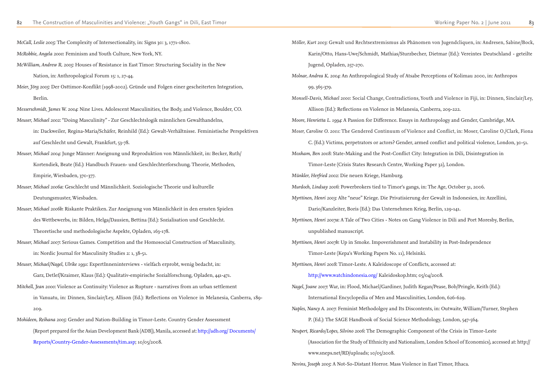*McCall, Leslie 2005*: The Complexity of Intersectionality, in: Signs 30: 3, 1771-1800. *McRobbie, Angela 2000*: Feminism and Youth Culture, New York, NY. *McWilliam, Andrew R. 2005*: Houses of Resistance in East Timor: Structuring Sociality in the New Nation, in: Anthropological Forum 15: 1, 27-44. *Meier, Jörg 2005*: Der Osttimor-Konflikt (1998-2002). Gründe und Folgen einer gescheiterten Integration, Berlin. *Messerschmidt, James W. 2004*: Nine Lives. Adolescent Masculinities, the Body, and Violence, Boulder, CO. *Meuser, Michael 2002*: "Doing Masculinity" - Zur Geschlechtslogik männlichen Gewalthandelns, in: Dackweiler, Regina-Maria/Schäfer, Reinhild (Ed.): Gewalt-Verhältnisse. Feministische Perspektiven auf Geschlecht und Gewalt, Frankfurt, 53-78. *Meuser, Michael 2004*: Junge Männer: Aneignung und Reproduktion von Männlichkeit, in: Becker, Ruth/ Kortendiek, Beate (Ed.): Handbuch Frauen- und Geschlechterforschung. Theorie, Methoden, Empirie, Wiesbaden, 370-377. *Meuser, Michael 2006a*: Geschlecht und Männlichkeit. Soziologische Theorie und kulturelle Deutungsmuster, Wiesbaden. *Meuser, Michael 2006b*: Riskante Praktiken. Zur Aneignung von Männlichkeit in den ernsten Spielen des Wettbewerbs, in: Bilden, Helga/Dausien, Bettina (Ed.): Sozialisation und Geschlecht. Theoretische und methodologische Aspekte, Opladen, 163-178. *Meuser, Michael 2007*: Serious Games. Competition and the Homosocial Construction of Masculinity, in: Nordic Journal for Masculinity Studies 2: 1, 38-51. *Meuser, Michael/Nagel, Ulrike 1991*: ExpertInneninterviews - vielfach erprobt, wenig bedacht, in: Garz, Detlef/Kraimer, Klaus (Ed.): Qualitativ-empirische Sozialforschung, Opladen, 441-471. *Mitchell, Jean 2000*: Violence as Continuity: Violence as Rupture - narratives from an urban settlement in Vanuatu, in: Dinnen, Sinclair/Ley, Allison (Ed.): Reflections on Violence in Melanesia, Canberra, 189- 209. *Mohideen, Reihana 2005*: Gender and Nation-Building in Timor-Leste. Country Gender Assessment (Report prepared for the Asian Development Bank (ADB)), Manila, accessed at: http://adb.org/ Documents/ Reports/Country-Gender-Assessments/tim.asp; 10/05/2008.

*Möller, Kurt 2003*: Gewalt und Rechtsextremismus als Phänomen von Jugendcliquen, in: Andresen, Sabine/Bock, Karin/Otto, Hans-Uwe/Schmidt, Mathias/Sturzbecher, Dietmar (Ed.): Vereintes Deutschland - geteilte Jugend, Opladen, 257-270. *Molnar, Andrea K. 2004*: An Anthropological Study of Atsabe Perceptions of Kolimau 2000, in: Anthropos 99, 365-379. *Monsell-Davis, Michael 2000*: Social Change, Contradictions, Youth and Violence in Fiji, in: Dinnen, Sinclair/Ley, Allison (Ed.): Reflections on Violence in Melanesia, Canberra, 209-222. *Moore, Henrietta L. 1994*: A Passion for Difference. Essays in Anthropology and Gender, Cambridge, MA. *Moser, Caroline O. 2001*: The Gendered Continuum of Violence and Conflict, in: Moser, Caroline O./Clark, Fiona C. (Ed.): Victims, perpetrators or actors? Gender, armed conflict and political violence, London, 30-51. *Moxham, Ben 2008*: State-Making and the Post-Conflict City: Integration in Dili, Disintegration in Timor-Leste (Crisis States Research Centre, Working Paper 32), London. *Münkler, Herfried 2002*: Die neuen Kriege, Hamburg. *Murdoch, Lindsay 2006*: Powerbrokers tied to Timor's gangs, in: The Age, October 31, 2006. *Myrttinen, Henri 2003*: Alte "neue" Kriege. Die Privatisierung der Gewalt in Indonesien, in: Azzellini, Dario/Kanzleiter, Boris (Ed.): Das Unternehmen Krieg, Berlin, 129-141. *Myrttinen, Henri 2007a*: A Tale of Two Cities - Notes on Gang Violence in Dili and Port Moresby, Berlin, unpublished manuscript. *Myrttinen, Henri 2007b*: Up in Smoke. Impoverishment and Instability in Post-Independence Timor-Leste (Kepa's Working Papers No. 11), Helsinki. *Myrttinen, Henri 2008*: Timor-Leste. A Kaleidoscope of Conflicts, accessed at: http://www.watchindonesia.org/ Kaleidoskop.htm; 05/04/2008. *Nagel, Joane 2007*: War, in: Flood, Michael/Gardiner, Judith Kegan/Pease, Bob/Pringle, Keith (Ed.): International Encyclopedia of Men and Masculinities, London, 626-629. *Naples, Nancy A. 2007*: Feminist Methodolgoy and Its Discontents, in: Outwaite, William/Turner, Stephen P. (Ed.): The SAGE Handbook of Social Science Methodology, London, 547-564. *Neupert, Ricardo/Lopes, Silvino 2006*: The Demographic Component of the Crisis in Timor-Leste (Association for the Study of Ethnicity and Nationalism, London School of Economics), accessed at: http:// www.sneps.net/RD/uploads; 10/05/2008.

*Nevins, Joseph 2005*: A Not-So-Distant Horror. Mass Violence in East Timor, Ithaca.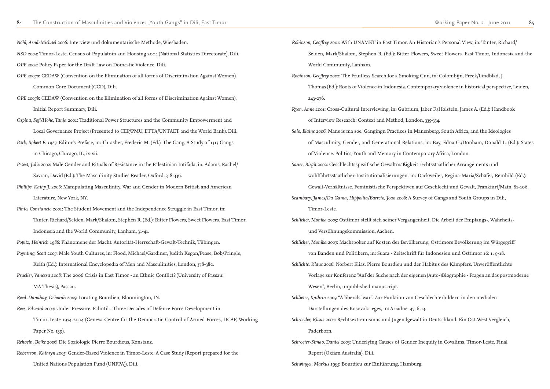*Nohl, Arnd-Michael 2006:* Interview und dokumentarische Methode, Wiesbaden. *NSD 2004*: Timor-Leste. Census of Populatoin and Housing 2004 (National Statistics Directorate), Dili. *OPE 2002*: Policy Paper for the Draft Law on Domestic Violence, Dili. *OPE 2007a*: CEDAW (Convention on the Elimination of all forms of Discrimination Against Women). Common Core Document (CCD), Dili. *OPE 2007b*: CEDAW (Convention on the Elimination of all forms of Discrimination Against Women). Initial Report Summary, Dili. *Ospina, Sofi/Hohe, Tanja 2001*: Traditional Power Structures and the Community Empowerment and Local Governance Project (Presented to CEP/PMU, ETTA/UNTAET and the World Bank), Dili.

*Park, Robert E. 1927*: Editor's Preface, in: Thrasher, Frederic M. (Ed.): The Gang. A Study of 1313 Gangs in Chicago, Chicago, IL, ix-xii.

*Peteet, Julie 2002*: Male Gender and Rituals of Resistance in the Palestinian Intifada, in: Adams, Rachel/ Savran, David (Ed.): The Masculinity Studies Reader, Oxford, 318-336.

*Phillips, Kathy J. 2006*: Manipulating Masculinity. War and Gender in Modern British and American Literature, New York, NY.

*Pinto, Constancio 2001*: The Student Movement and the Independence Struggle in East Timor, in: Tanter, Richard/Selden, Mark/Shalom, Stephen R. (Ed.): Bitter Flowers, Sweet Flowers. East Timor, Indonesia and the World Community, Lanham, 31-41.

*Popitz, Heinrich 1986*: Phänomene der Macht. Autorität-Herrschaft-Gewalt-Technik, Tübingen. *Poynting, Scott 2007*: Male Youth Cultures, in: Flood, Michael/Gardiner, Judith Kegan/Pease, Bob/Pringle,

Keith (Ed.): International Encyclopedia of Men and Masculinities, London, 378-380. *Prueller, Vanessa 2008*: The 2006 Crisis in East Timor - an Ethnic Conflict? (University of Passau:

MA Thesis), Passau.

*Reed-Danahay, Deborah 2005*: Locating Bourdieu, Bloomington, IN.

*Rees, Edward 2004*: Under Pressure. Falintil - Three Decades of Defence Force Development in

Timor-Leste 1974-2004 (Geneva Centre for the Democratic Control of Armed Forces, DCAF, Working Paper No. 139).

*Rehbein, Boike 2006*: Die Soziologie Pierre Bourdieus, Konstanz.

*Robertson, Kathryn 2005*: Gender-Based Violence in Timor-Leste. A Case Study (Report prepared for the United Nations Population Fund (UNFPA)), Dili.

*Robinson, Geoffrey 2001*: With UNAMET in East Timor. An Historian's Personal View, in: Tanter, Richard/ Selden, Mark/Shalom, Stephen R. (Ed.): Bitter Flowers, Sweet Flowers. East Timor, Indonesia and the World Community, Lanham. *Robinson, Geoffrey 2002*: The Fruitless Search for a Smoking Gun, in: Colombijn, Freek/Lindblad, J. Thomas (Ed.): Roots of Violence in Indonesia. Contemporary violence in historical perspective, Leiden, 243-276. *Ryen, Anne 2001*: Cross-Cultural Interviewing, in: Gubrium, Jaber F./Holstein, James A. (Ed.): Handbook of Interview Research: Context and Method, London, 335-354. *Salo, Elaine 2006*: Mans is ma soe. Gangingn Practices in Manenberg, South Africa, and the Ideologies of Masculinity, Gender, and Generational Relations, in: Bay, Edna G./Donham, Donald L. (Ed.): States of Violence. Politics, Youth and Memory in Contemporary Africa, London. *Sauer, Birgit 2002*: Geschlechtsspezifische Gewaltmäßigkeit rechtsstaatlicher Arrangements und wohlfahrtsstaatlicher Institutionalisierungen, in: Dackweiler, Regina-Maria/Schäfer, Reinhild (Ed.): Gewalt-Verhältnisse. Feministische Perspektiven auf Geschlecht und Gewalt, Frankfurt/Main, 81-106. *Scambary, James/Da Gama, Hippolita/Barreto, Joao 2006*: A Survey of Gangs and Youth Groups in Dili, Timor-Leste. *Schlicher, Monika 2005*: Osttimor stellt sich seiner Vergangenheit. Die Arbeit der Empfangs-, Wahrheitsund Versöhnungskommission, Aachen. *Schlicher, Monika 2007*: Machtpoker auf Kosten der Bevölkerung. Osttimors Bevölkerung im Würgegriff von Banden und Politikern, in: Suara - Zeitschrift für Indonesien und Osttimor 16: 1, 9-18. *Schlichte, Klaus 2006*: Norbert Elias, Pierre Bourdieu und der Habitus des Kämpfers. Unveröffentlichte Vorlage zur Konferenz "Auf der Suche nach der eigenen (Auto-)Biographie - Fragen an das postmoderne Wesen", Berlin, unpublished manuscript. *Schlieter, Kathrin 2005*: "A liberals' war". Zur Funktion von Geschlechterbildern in den medialen Darstellungen des Kosovokrieges, in: Ariadne 47, 6-13. *Schroeder, Klaus 2004*: Rechtsextremismus und Jugendgewalt in Deutschland. Ein Ost-West Vergleich, Paderborn. *Schroeter-Simao, Daniel 2003*: Underlying Causes of Gender Inequity in Covalima, Timor-Leste. Final Report (Oxfam Australia), Dili.

*Schwingel, Markus 1995*: Bourdieu zur Einführung, Hamburg.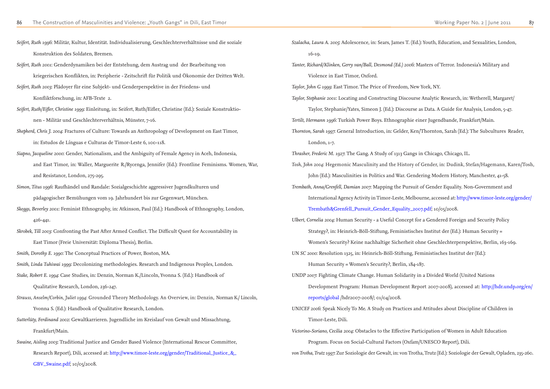| Seifert, Ruth 1996: Militär, Kultur, Identität. Individualisierung, Geschlechterverhältnisse und die soziale      |
|-------------------------------------------------------------------------------------------------------------------|
| Konstruktion des Soldaten, Bremen.                                                                                |
| Seifert, Ruth 2001: Genderdynamiken bei der Entstehung, dem Austrag und der Bearbeitung von                       |
| kriegerischen Konflikten, in: Peripherie - Zeitschrift für Politik und Ökonomie der Dritten Welt.                 |
| Seifert, Ruth 2003: Plädoyer für eine Subjekt- und Genderperspektive in der Friedens- und                         |
| Konfliktforschung, in: AFB-Texte 2.                                                                               |
| Seifert, Ruth/Eifler, Christine 1999: Einleitung, in: Seifert, Ruth/Eifler, Christine (Ed.): Soziale Konstruktio- |
| nen - Militär und Geschlechterverhältnis, Münster, 7-16.                                                          |
| Shepherd, Chris J. 2004: Fractures of Culture: Towards an Anthropology of Development on East Timor,              |
| in: Estudos de Línguas e Culturas de Timor-Leste 6, 100-118.                                                      |
| Siapno, Jacqueline 2000: Gender, Nationalism, and the Ambiguity of Female Agency in Aceh, Indonesia,              |
| and East Timor, in: Waller, Marguerite R./Rycenga, Jennifer (Ed.): Frontline Feminisms. Women, War,               |
| and Resistance, London, 275-295.                                                                                  |
| Simon, Titus 1996: Raufhändel und Randale: Sozialgeschichte aggressiver Jugendkulturen und                        |
| pädagogischer Bemühungen vom 19. Jahrhundert bis zur Gegenwart, München.                                          |
| Skeggs, Beverley 2001: Feminist Ethnography, in: Atkinson, Paul (Ed.): Handbook of Ethnography, London,           |
| 426-441.                                                                                                          |
| Skrobek, Till 2003: Confronting the Past After Armed Conflict. The Difficult Quest for Accountability in          |
| East Timor (Freie Universität: Diploma Thesis), Berlin.                                                           |
| Smith, Dorothy E. 1990: The Conceptual Practices of Power, Boston, MA.                                            |
| Smith, Linda Tuhiwai 1999: Decolonizing methodologies. Research and Indigenous Peoples, London.                   |
| Stake, Robert E. 1994: Case Studies, in: Denzin, Norman K./Lincoln, Yvonna S. (Ed.): Handbook of                  |
| Qualitative Research, London, 236-247.                                                                            |
| Strauss, Anselm/Corbin, Juliet 1994: Grounded Theory Methodology. An Overview, in: Denzin, Norman K./ Lincoln,    |
| Yvonna S. (Ed.): Handbook of Qualitative Research, London.                                                        |
| Sutterlüty, Ferdinand 2002: Gewaltkarrieren. Jugendliche im Kreislauf von Gewalt und Missachtung,                 |
| Frankfurt/Main.                                                                                                   |
| Swaine, Aisling 2003: Traditional Justice and Gender Based Violence (International Rescue Committee,              |
| Research Report), Dili, accessed at: http://www.timor-leste.org/gender/Traditional_Justice_&_                     |
| GBV_Swaine.pdf; 10/05/2008.                                                                                       |

*Szalacha, Laura A. 2005*: Adolescence, in: Sears, James T. (Ed.): Youth, Education, and Sexualities, London,

16-19. *Tanter, Richard/Klinken, Gerry van/Ball, Desmond (Ed.) 2006*: Masters of Terror. Indonesia's Military and Violence in East Timor, Oxford. *Taylor, John G 1999*: East Timor. The Price of Freedom, New York, NY. *Taylor, Stephanie 2001*: Locating and Constructing Discourse Analytic Research, in: Wetherell, Margaret/ Taylor, Stephanie/Yates, Simeon J. (Ed.): Discourse as Data. A Guide for Analysis, London, 5-47. *Tertilt, Hermann 1996*: Turkish Power Boys. Ethnographie einer Jugendbande, Frankfurt/Main. *Thornton, Sarah 1997*: General Introduction, in: Gelder, Ken/Thornton, Sarah (Ed.): The Subcultures Reader, London, 1-7. *Thrasher, Frederic M. 1927*: The Gang. A Study of 1313 Gangs in Chicago, Chicago, IL. *Tosh, John 2004*: Hegemonic Masculinity and the History of Gender, in: Dudink, Stefan/Hagemann, Karen/Tosh, John (Ed.): Masculinities in Politics and War. Gendering Modern History, Manchester, 41-58. *Trembath, Anna/Grenfell, Damian 2007*: Mapping the Pursuit of Gender Equality. Non-Government and International Agency Activity in Timor-Leste, Melbourne, accessed at: http://www.timor-leste.org/gender/ Trembath&Grenfell\_Pursuit\_Gender\_Equality\_2007.pdf; 10/05/2008. *Ulbert, Cornelia 2004*: Human Security - a Useful Concept for a Gendered Foreign and Security Policy Strategy?, in: Heinrich-Böll-Stiftung, Feministisches Institut der (Ed.): Human Security = Women's Security? Keine nachhaltige Sicherheit ohne Geschlechterperspektive, Berlin, 163-169. *UN SC 2000*: Resolution 1325, in: Heinrich-Böll-Stiftung, Feministisches Institut der (Ed.): Human Security = Women's Security?, Berlin, 184-187. *UNDP 2007*: Fighting Climate Change. Human Solidarity in a Divided World (United Nations Development Program: Human Development Report 2007-2008), accessed at: http://hdr.undp.org/en/ reports/global /hdr2007-2008/; 01/04/2008. *UNICEF 2006*: Speak Nicely To Me. A Study on Practices and Attitudes about Discipline of Children in Timor-Leste, Dili. *Victorino-Soriano, Cecilia 2004*: Obstacles to the Effective Participation of Women in Adult Education Program. Focus on Social-Cultural Factors (Oxfam/UNESCO Report), Dili. *von Trotha, Trutz 1997*: Zur Soziologie der Gewalt, in: von Trotha, Trutz (Ed.): Soziologie der Gewalt, Opladen, 235-260.